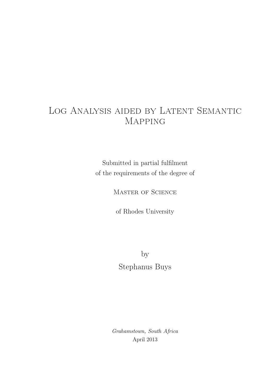## Log Analysis aided by Latent Semantic Mapping

Submitted in partial fulfilment of the requirements of the degree of

Master of Science

of Rhodes University

by Stephanus Buys

Grahamstown, South Africa April 2013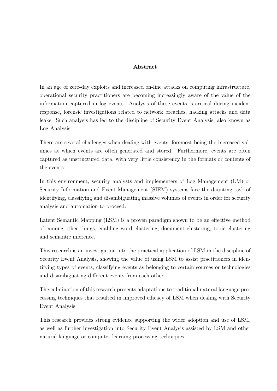#### Abstract

In an age of zero-day exploits and increased on-line attacks on computing infrastructure, operational security practitioners are becoming increasingly aware of the value of the information captured in log events. Analysis of these events is critical during incident response, forensic investigations related to network breaches, hacking attacks and data leaks. Such analysis has led to the discipline of Security Event Analysis, also known as Log Analysis.

There are several challenges when dealing with events, foremost being the increased volumes at which events are often generated and stored. Furthermore, events are often captured as unstructured data, with very little consistency in the formats or contents of the events.

In this environment, security analysts and implementers of Log Management (LM) or Security Information and Event Management (SIEM) systems face the daunting task of identifying, classifying and disambiguating massive volumes of events in order for security analysis and automation to proceed.

Latent Semantic Mapping (LSM) is a proven paradigm shown to be an effective method of, among other things, enabling word clustering, document clustering, topic clustering and semantic inference.

This research is an investigation into the practical application of LSM in the discipline of Security Event Analysis, showing the value of using LSM to assist practitioners in identifying types of events, classifying events as belonging to certain sources or technologies and disambiguating different events from each other.

The culmination of this research presents adaptations to traditional natural language processing techniques that resulted in improved efficacy of LSM when dealing with Security Event Analysis.

This research provides strong evidence supporting the wider adoption and use of LSM, as well as further investigation into Security Event Analysis assisted by LSM and other natural language or computer-learning processing techniques.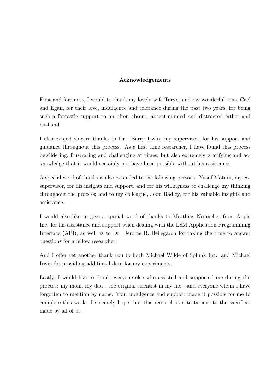#### Acknowledgements

First and foremost, I would to thank my lovely wife Taryn, and my wonderful sons, Cael and Egan, for their love, indulgence and tolerance during the past two years, for being such a fantastic support to an often absent, absent-minded and distracted father and husband.

I also extend sincere thanks to Dr. Barry Irwin, my supervisor, for his support and guidance throughout this process. As a first time researcher, I have found this process bewildering, frustrating and challenging at times, but also extremely gratifying and acknowledge that it would certainly not have been possible without his assistance.

A special word of thanks is also extended to the following persons: Yusuf Motara, my cosupervisor, for his insights and support, and for his willingness to challenge my thinking throughout the process; and to my colleague, Joon Radley, for his valuable insights and assistance.

I would also like to give a special word of thanks to Matthias Neeracher from Apple Inc. for his assistance and support when dealing with the LSM Application Programming Interface (API), as well as to Dr. Jerome R. Bellegarda for taking the time to answer questions for a fellow researcher.

And I offer yet another thank you to both Michael Wilde of Splunk Inc. and Michael Irwin for providing additional data for my experiments.

Lastly, I would like to thank everyone else who assisted and supported me during the process: my mom, my dad - the original scientist in my life - and everyone whom I have forgotten to mention by name. Your indulgence and support made it possible for me to complete this work. I sincerely hope that this research is a testament to the sacrifices made by all of us.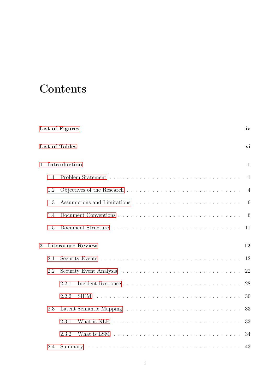# **Contents**

|                |     | List of Figures                                                                                                       | iv             |
|----------------|-----|-----------------------------------------------------------------------------------------------------------------------|----------------|
|                |     | List of Tables                                                                                                        | vi             |
| $\mathbf{1}$   |     | Introduction                                                                                                          | $\mathbf{1}$   |
|                | 1.1 |                                                                                                                       | $\mathbf{1}$   |
|                | 1.2 |                                                                                                                       | $\overline{4}$ |
|                | 1.3 |                                                                                                                       | 6              |
|                | 1.4 |                                                                                                                       | 6              |
|                | 1.5 |                                                                                                                       | 11             |
|                |     |                                                                                                                       |                |
| $\overline{2}$ |     | <b>Literature Review</b>                                                                                              | 12             |
|                | 2.1 |                                                                                                                       | 12             |
|                | 2.2 |                                                                                                                       | 22             |
|                |     | 2.2.1                                                                                                                 | 28             |
|                |     | 2.2.2<br><b>SIEM</b>                                                                                                  | 30             |
|                | 2.3 |                                                                                                                       | 33             |
|                |     | What is NLP $\ldots$ , $\ldots$ , $\ldots$ , $\ldots$ , $\ldots$ , $\ldots$ , $\ldots$ , $\ldots$ , $\ldots$<br>2.3.1 | 33             |
|                |     | What is LSM $\dots \dots \dots \dots \dots \dots \dots \dots \dots \dots \dots \dots$<br>2.3.2                        | 34             |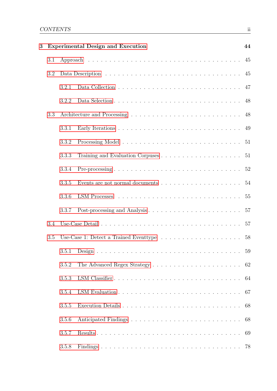| 3 |     |       | <b>Experimental Design and Execution</b>                                             | 44 |
|---|-----|-------|--------------------------------------------------------------------------------------|----|
|   | 3.1 |       |                                                                                      | 45 |
|   | 3.2 |       |                                                                                      | 45 |
|   |     | 3.2.1 |                                                                                      | 47 |
|   |     | 3.2.2 |                                                                                      | 48 |
|   | 3.3 |       |                                                                                      | 48 |
|   |     | 3.3.1 |                                                                                      | 49 |
|   |     | 3.3.2 |                                                                                      |    |
|   |     | 3.3.3 |                                                                                      | 51 |
|   |     | 3.3.4 |                                                                                      |    |
|   |     | 3.3.5 | Events are not normal documents $\dots \dots \dots \dots \dots \dots \dots \dots$ 54 |    |
|   |     | 3.3.6 |                                                                                      |    |
|   |     | 3.3.7 |                                                                                      | 57 |
|   | 3.4 |       |                                                                                      | 57 |
|   | 3.5 |       | Use-Case 1: Detect a Trained Eventype $\ldots \ldots \ldots \ldots \ldots \ldots$    | 58 |
|   |     |       |                                                                                      | 59 |
|   |     | 3.5.2 |                                                                                      | 62 |
|   |     | 3.5.3 |                                                                                      | 64 |
|   |     | 3.5.4 |                                                                                      | 67 |
|   |     | 3.5.5 |                                                                                      | 68 |
|   |     | 3.5.6 |                                                                                      | 68 |
|   |     | 3.5.7 |                                                                                      | 69 |
|   |     | 3.5.8 |                                                                                      |    |
|   |     |       |                                                                                      |    |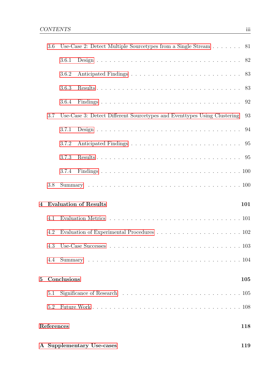|             | 3.6 | Use-Case 2: Detect Multiple Source types from a Single Stream $\ldots \ldots$ 81 |     |    |
|-------------|-----|----------------------------------------------------------------------------------|-----|----|
|             |     | 3.6.1                                                                            |     |    |
|             |     | 3.6.2                                                                            |     |    |
|             |     | 3.6.3                                                                            |     | 83 |
|             |     | 3.6.4                                                                            |     | 92 |
|             | 3.7 | Use-Case 3: Detect Different Sourcetypes and Eventypes Using Clustering          |     | 93 |
|             |     | 3.7.1                                                                            |     |    |
|             |     | 3.7.2                                                                            |     |    |
|             |     | 3.7.3                                                                            |     |    |
|             |     | 3.7.4                                                                            |     |    |
|             | 3.8 |                                                                                  |     |    |
|             |     |                                                                                  |     |    |
| 4           |     | <b>Evaluation of Results</b>                                                     | 101 |    |
|             | 4.1 |                                                                                  |     |    |
|             | 4.2 |                                                                                  |     |    |
|             | 4.3 |                                                                                  |     |    |
|             | 4.4 |                                                                                  |     |    |
| $5^{\circ}$ |     | Conclusions                                                                      | 105 |    |
|             | 5.1 |                                                                                  |     |    |
|             | 5.2 |                                                                                  |     |    |
|             |     | References                                                                       | 118 |    |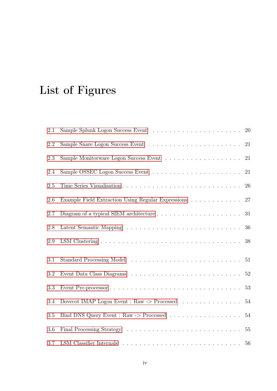# <span id="page-6-0"></span>List of Figures

| 2.1 |                                                                           | 20     |
|-----|---------------------------------------------------------------------------|--------|
| 2.2 |                                                                           | 21     |
| 2.3 |                                                                           | 21     |
| 2.4 |                                                                           | 21     |
| 2.5 |                                                                           | 26     |
| 2.6 | Example Field Extraction Using Regular Expressions                        | 27     |
| 2.7 |                                                                           | 31     |
| 2.8 |                                                                           | 36     |
| 2.9 |                                                                           | 38     |
| 3.1 |                                                                           | 51     |
| 3.2 |                                                                           | 52     |
| 3.3 |                                                                           | 53     |
| 3.4 | Dovecot IMAP Logon Event : Raw -> Processed $\ldots \ldots \ldots \ldots$ | $54\,$ |
| 3.5 |                                                                           | 54     |
| 3.6 |                                                                           | $55\,$ |
| 3.7 |                                                                           | 56     |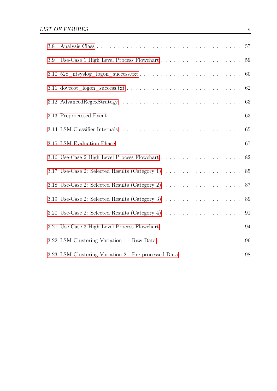| 3.8 |                                                                                                                 |    |
|-----|-----------------------------------------------------------------------------------------------------------------|----|
| 3.9 |                                                                                                                 | 59 |
|     |                                                                                                                 | 60 |
|     |                                                                                                                 |    |
|     |                                                                                                                 | 63 |
|     |                                                                                                                 |    |
|     | 3.14 LSM Classifier Internals $\ldots \ldots \ldots \ldots \ldots \ldots \ldots \ldots \ldots \ldots \ldots 65$ |    |
|     |                                                                                                                 |    |
|     |                                                                                                                 |    |
|     | 3.17 Use-Case 2: Selected Results (Category 1) $\ldots \ldots \ldots \ldots \ldots \ldots$ 85                   |    |
|     | 3.18 Use-Case 2: Selected Results (Category 2) $\ldots \ldots \ldots \ldots \ldots \ldots \ldots 87$            |    |
|     | 3.19 Use-Case 2: Selected Results (Category 3) $\ldots \ldots \ldots \ldots \ldots \ldots$ 89                   |    |
|     | 3.20 Use-Case 2: Selected Results (Category 4) $\ldots \ldots \ldots \ldots \ldots \ldots$ 91                   |    |
|     |                                                                                                                 |    |
|     |                                                                                                                 | 96 |
|     | 3.23 LSM Clustering Variation 2 - Pre-processed Data $\ldots \ldots \ldots \ldots$ .                            |    |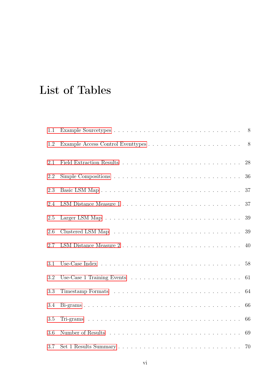# <span id="page-8-0"></span>List of Tables

| 1.1 |        |
|-----|--------|
| 1.2 | 8      |
| 2.1 | $28\,$ |
| 2.2 | 36     |
| 2.3 | 37     |
| 2.4 | 37     |
| 2.5 | 39     |
| 2.6 | 39     |
| 2.7 | 40     |
| 3.1 | 58     |
| 3.2 | 61     |
| 3.3 | 64     |
| 3.4 | 66     |
| 3.5 | 66     |
| 3.6 | 69     |
| 3.7 | 70     |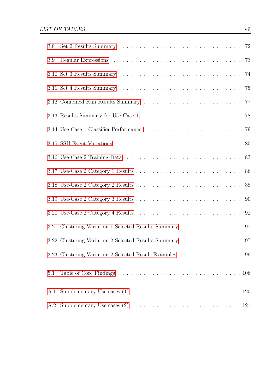| 3.8 |                                                         |    |
|-----|---------------------------------------------------------|----|
| 3.9 |                                                         | 73 |
|     |                                                         | 74 |
|     |                                                         | 75 |
|     |                                                         | 77 |
|     |                                                         | 78 |
|     |                                                         | 79 |
|     |                                                         | 80 |
|     |                                                         | 83 |
|     |                                                         | 86 |
|     |                                                         |    |
|     |                                                         | 90 |
|     |                                                         | 92 |
|     | 3.21 Clustering Variation 1 Selected Results Summary    | 97 |
|     | 3.22 Clustering Variation 2 Selected Results Summary    | 97 |
|     | 3.23 Clustering Variation 2 Selected Result Examples 99 |    |
| 5.1 |                                                         |    |
| A.1 |                                                         |    |
| A.2 |                                                         |    |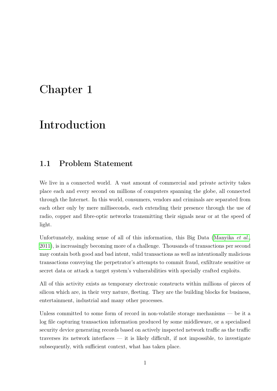## <span id="page-10-0"></span>Chapter 1

## Introduction

### <span id="page-10-1"></span>1.1 Problem Statement

We live in a connected world. A vast amount of commercial and private activity takes place each and every second on millions of computers spanning the globe, all connected through the Internet. In this world, consumers, vendors and criminals are separated from each other only by mere milliseconds, each extending their presence through the use of radio, copper and fibre-optic networks transmitting their signals near or at the speed of light.

Unfortunately, making sense of all of this information, this Big Data [\(Manyika](#page-124-0) *et al.*, [2011\)](#page-124-0), is increasingly becoming more of a challenge. Thousands of transactions per second may contain both good and bad intent, valid transactions as well as intentionally malicious transactions conveying the perpetrator's attempts to commit fraud, exfiltrate sensitive or secret data or attack a target system's vulnerabilities with specially crafted exploits.

All of this activity exists as temporary electronic constructs within millions of pieces of silicon which are, in their very nature, fleeting. They are the building blocks for business, entertainment, industrial and many other processes.

Unless committed to some form of record in non-volatile storage mechanisms — be it a log file capturing transaction information produced by some middleware, or a specialised security device generating records based on actively inspected network traffic as the traffic traverses its network interfaces  $-$  it is likely difficult, if not impossible, to investigate subsequently, with sufficient context, what has taken place.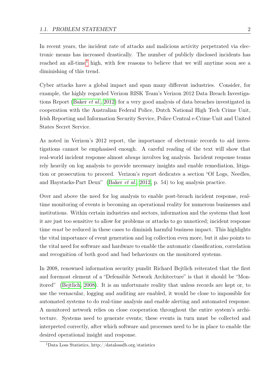In recent years, the incident rate of attacks and malicious activity perpetrated via electronic means has increased drastically. The number of publicly disclosed incidents has reached an all-time<sup>[1](#page-11-0)</sup> high, with few reasons to believe that we will anytime soon see a diminishing of this trend.

Cyber attacks have a global impact and span many different industries. Consider, for example, the highly regarded Verizon RISK Team's Verizon 2012 Data Breach Investigations Report [\(Baker](#page-119-1) et al., [2012\)](#page-119-1) for a very good analysis of data breaches investigated in cooperation with the Australian Federal Police, Dutch National High Tech Crime Unit, Irish Reporting and Information Security Service, Police Central e-Crime Unit and United States Secret Service.

As noted in Verizon's 2012 report, the importance of electronic records to aid investigations cannot be emphasised enough. A careful reading of the text will show that real-world incident response almost always involves log analysis. Incident response teams rely heavily on log analysis to provide necessary insights and enable remediation, litigation or prosecution to proceed. Verizon's report dedicates a section "Of Logs, Needles, and Haystacks-Part Deux" [\(Baker](#page-119-1) et al., [2012,](#page-119-1) p. 54) to log analysis practice.

Over and above the need for log analysis to enable post-breach incident response, realtime monitoring of events is becoming an operational reality for numerous businesses and institutions. Within certain industries and sectors, information and the systems that host it are just too sensitive to allow for problems or attacks to go unnoticed; incident response time *must* be reduced in these cases to diminish harmful business impact. This highlights the vital importance of event generation and log collection even more, but it also points to the vital need for software and hardware to enable the automatic classification, correlation and recognition of both good and bad behaviours on the monitored systems.

In 2008, renowned information security pundit Richard Bejtlich reiterated that the first and foremost element of a "Defensible Network Architecture" is that it should be "Monitored" [\(Bejtlich, 2008\)](#page-119-2). It is an unfortunate reality that unless records are kept or, to use the vernacular, logging and auditing are enabled, it would be close to impossible for automated systems to do real-time analysis and enable alerting and automated response. A monitored network relies on close cooperation throughout the entire system's architecture. Systems need to generate events; these events in turn must be collected and interpreted correctly, after which software and processes need to be in place to enable the desired operational insight and response.

<span id="page-11-0"></span><sup>1</sup>Data Loss Statistics, http://datalossdb.org/statistics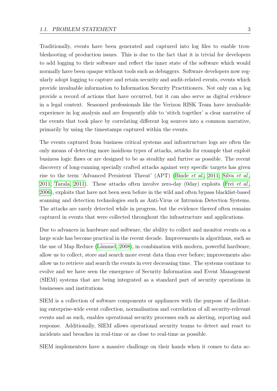Traditionally, events have been generated and captured into log files to enable troubleshooting of production issues. This is due to the fact that it is trivial for developers to add logging to their software and reflect the inner state of the software which would normally have been opaque without tools such as debuggers. Software developers now regularly adopt logging to capture and retain security and audit-related events, events which provide invaluable information to Information Security Practitioners. Not only can a log provide a record of actions that have occurred, but it can also serve as digital evidence in a legal context. Seasoned professionals like the Verizon RISK Team have invaluable experience in log analysis and are frequently able to 'stitch together' a clear narrative of the events that took place by correlating different log sources into a common narrative, primarily by using the timestamps captured within the events.

The events captured from business critical systems and infrastructure logs are often the only means of detecting more insidious types of attacks, attacks for example that exploit business logic flaws or are designed to be as stealthy and furtive as possible. The recent discovery of long-running specially crafted attacks against very specific targets has given rise to the term 'Advanced Persistent Threat' (APT) [\(Binde](#page-120-0) et al., [2011;](#page-120-0) Silva [et al.](#page-125-0), [2011;](#page-125-0) [Tarala, 2011\)](#page-126-0). These attacks often involve zero-day (0day) exploits (Frei  $et al.,$  $et al.,$ [2006\)](#page-121-0), exploits that have not been seen before in the wild and often bypass blacklist-based scanning and detection technologies such as Anti-Virus or Intrusion Detection Systems. The attacks are rarely detected while in progress, but the evidence thereof often remains captured in events that were collected throughout the infrastructure and applications.

Due to advances in hardware and software, the ability to collect and monitor events on a large scale has become practical in the recent decade. Improvements in algorithms, such as the use of Map Reduce [\(Lämmel, 2008\)](#page-124-1), in combination with modern, powerful hardware, allow us to collect, store and search more event data than ever before; improvements also allow us to retrieve and search the events in ever decreasing time. The systems continue to evolve and we have seen the emergence of Security Information and Event Management (SIEM) systems that are being integrated as a standard part of security operations in businesses and institutions.

SIEM is a collection of software components or appliances with the purpose of facilitating enterprise-wide event collection, normalisation and correlation of all security-relevant events and as such, enables operational security processes such as alerting, reporting and response. Additionally, SIEM allows operational security teams to detect and react to incidents and breaches in real-time or as close to real-time as possible.

SIEM implementers have a massive challenge on their hands when it comes to data ac-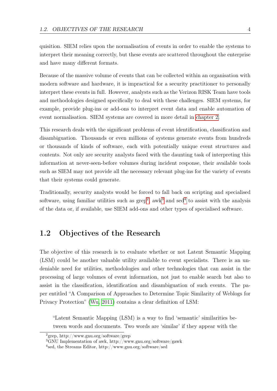quisition. SIEM relies upon the normalisation of events in order to enable the systems to interpret their meaning correctly, but these events are scattered throughout the enterprise and have many different formats.

Because of the massive volume of events that can be collected within an organisation with modern software and hardware, it is impractical for a security practitioner to personally interpret these events in full. However, analysts such as the Verizon RISK Team have tools and methodologies designed specifically to deal with these challenges. SIEM systems, for example, provide plug-ins or add-ons to interpret event data and enable automation of event normalisation. SIEM systems are covered in more detail in [chapter 2.](#page-21-0)

This research deals with the significant problems of event identification, classification and disambiguation. Thousands or even millions of systems generate events from hundreds or thousands of kinds of software, each with potentially unique event structures and contents. Not only are security analysts faced with the daunting task of interpreting this information at never-seen-before volumes during incident response, their available tools such as SIEM may not provide all the necessary relevant plug-ins for the variety of events that their systems could generate.

Traditionally, security analysts would be forced to fall back on scripting and specialised software, using familiar utilities such as  $\text{grep}^2$  $\text{grep}^2$ , awk<sup>[3](#page-13-2)</sup> and sed<sup>[4](#page-13-3)</sup> to assist with the analysis of the data or, if available, use SIEM add-ons and other types of specialised software.

## <span id="page-13-0"></span>1.2 Objectives of the Research

The objective of this research is to evaluate whether or not Latent Semantic Mapping (LSM) could be another valuable utility available to event specialists. There is an undeniable need for utilities, methodologies and other technologies that can assist in the processing of large volumes of event information, not just to enable search but also to assist in the classification, identification and disambiguation of such events. The paper entitled "A Comparison of Approaches to Determine Topic Similarity of Weblogs for Privacy Protection" [\(Wu, 2011\)](#page-127-0) contains a clear definition of LSM:

"Latent Semantic Mapping (LSM) is a way to find 'semantic' similarities between words and documents. Two words are 'similar' if they appear with the

<span id="page-13-1"></span><sup>2</sup>grep, http://www.gnu.org/software/grep

<span id="page-13-2"></span><sup>3</sup>GNU Implementation of awk, http://www.gnu.org/software/gawk

<span id="page-13-3"></span><sup>4</sup> sed, the Streams Editor, http://www.gnu.org/software/sed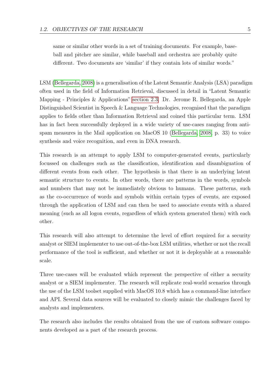same or similar other words in a set of training documents. For example, baseball and pitcher are similar, while baseball and orchestra are probably quite different. Two documents are 'similar' if they contain lots of similar words."

LSM [\(Bellegarda, 2008\)](#page-120-1) is a generalisation of the Latent Semantic Analysis (LSA) paradigm often used in the field of Information Retrieval, discussed in detail in "Latent Semantic Mapping - Principles & Applications" [section 2.3.](#page-42-0) Dr. Jerome R. Bellegarda, an Apple Distinguished Scientist in Speech & Language Technologies, recognised that the paradigm applies to fields other than Information Retrieval and coined this particular term. LSM has in fact been successfully deployed in a wide variety of use-cases ranging from antispam measures in the Mail application on MacOS 10 [\(Bellegarda, 2008,](#page-120-1) p. 33) to voice synthesis and voice recognition, and even in DNA research.

This research is an attempt to apply LSM to computer-generated events, particularly focussed on challenges such as the classification, identification and disambiguation of different events from each other. The hypothesis is that there is an underlying latent semantic structure to events. In other words, there are patterns in the words, symbols and numbers that may not be immediately obvious to humans. These patterns, such as the co-occurrence of words and symbols within certain types of events, are exposed through the application of LSM and can then be used to associate events with a shared meaning (such as all logon events, regardless of which system generated them) with each other.

This research will also attempt to determine the level of effort required for a security analyst or SIEM implementer to use out-of-the-box LSM utilities, whether or not the recall performance of the tool is sufficient, and whether or not it is deployable at a reasonable scale.

Three use-cases will be evaluated which represent the perspective of either a security analyst or a SIEM implementer. The research will replicate real-world scenarios through the use of the LSM toolset supplied with MacOS 10.8 which has a command-line interface and API. Several data sources will be evaluated to closely mimic the challenges faced by analysts and implementers.

The research also includes the results obtained from the use of custom software components developed as a part of the research process.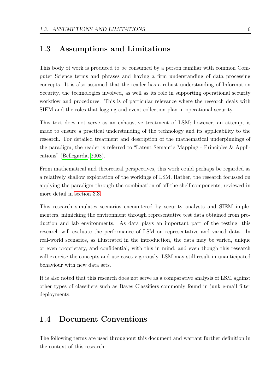### <span id="page-15-0"></span>1.3 Assumptions and Limitations

This body of work is produced to be consumed by a person familiar with common Computer Science terms and phrases and having a firm understanding of data processing concepts. It is also assumed that the reader has a robust understanding of Information Security, the technologies involved, as well as its role in supporting operational security workflow and procedures. This is of particular relevance where the research deals with SIEM and the roles that logging and event collection play in operational security.

This text does not serve as an exhaustive treatment of LSM; however, an attempt is made to ensure a practical understanding of the technology and its applicability to the research. For detailed treatment and description of the mathematical underpinnings of the paradigm, the reader is referred to "Latent Semantic Mapping - Principles & Applications" [\(Bellegarda, 2008\)](#page-120-1).

From mathematical and theoretical perspectives, this work could perhaps be regarded as a relatively shallow exploration of the workings of LSM. Rather, the research focussed on applying the paradigm through the combination of off-the-shelf components, reviewed in more detail in [section 3.3.](#page-57-1)

This research simulates scenarios encountered by security analysts and SIEM implementers, mimicking the environment through representative test data obtained from production and lab environments. As data plays an important part of the testing, this research will evaluate the performance of LSM on representative and varied data. In real-world scenarios, as illustrated in the introduction, the data may be varied, unique or even proprietary, and confidential; with this in mind, and even though this research will exercise the concepts and use-cases vigorously, LSM may still result in unanticipated behaviour with new data sets.

It is also noted that this research does not serve as a comparative analysis of LSM against other types of classifiers such as Bayes Classifiers commonly found in junk e-mail filter deployments.

### <span id="page-15-1"></span>1.4 Document Conventions

The following terms are used throughout this document and warrant further definition in the context of this research: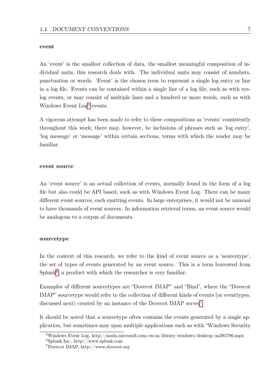#### event

An 'event' is the smallest collection of data, the smallest meaningful composition of individual units, this research deals with. The individual units may consist of numbers, punctuation or words. 'Event' is the chosen term to represent a single log entry or line in a log file. Events can be contained within a single line of a log file, such as with syslog events, or may consist of multiple lines and a hundred or more words, such as with Windows Event Log<sup>[5](#page-16-0)</sup> events.

A vigorous attempt has been made to refer to these compositions as 'events' consistently throughout this work; there may, however, be inclusions of phrases such as 'log entry', 'log message' or 'message' within certain sections, terms with which the reader may be familiar.

#### event source

An 'event source' is an actual collection of events, normally found in the form of a log file but also could be API based, such as with Windows Event Log. There can be many different event sources, each emitting events. In large enterprises, it would not be unusual to have thousands of event sources. In information retrieval terms, an event source would be analogous to a corpus of documents.

#### sourcetype

In the context of this research, we refer to the kind of event source as a 'sourcetype', the set of types of events generated by an event source. This is a term borrowed from  $Splunk<sup>6</sup>$  $Splunk<sup>6</sup>$  $Splunk<sup>6</sup>$ , a product with which the researcher is very familiar.

Examples of different sourcetypes are "Dovecot IMAP" and "Bind", where the "Dovecot IMAP" sourcetype would refer to the collection of different kinds of events (or eventtypes, discussed next) created by an instance of the Dovecot IMAP server<sup>[7](#page-16-2)</sup>.

It should be noted that a sourcetype often contains the events generated by a single application, but sometimes may span multiple applications such as with "Windows Security

<span id="page-16-1"></span><span id="page-16-0"></span><sup>5</sup>Windows Event Log, http://msdn.microsoft.com/en-us/library/windows/desktop/aa385780.aspx  $6$ Splunk Inc., http://www.splunk.com

<span id="page-16-2"></span><sup>7</sup>Dovecot IMAP, http://www.dovecot.org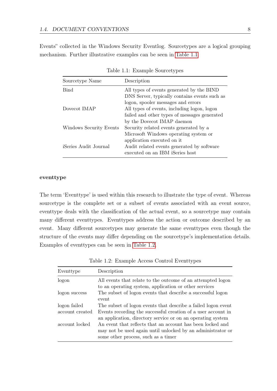Events" collected in the Windows Security Eventlog. Sourcetypes are a logical grouping mechanism. Further illustrative examples can be seen in [Table 1.1.](#page-17-0)

| Sourcetype Name             | Description                                                                                |
|-----------------------------|--------------------------------------------------------------------------------------------|
| <b>Bind</b>                 | All types of events generated by the BIND<br>DNS Server, typically contains events such as |
|                             | logon, spooler messages and errors                                                         |
| Dovecot IMAP                | All types of events, including logon, logon                                                |
|                             | failed and other types of messages generated                                               |
|                             | by the Dovecot IMAP daemon                                                                 |
| Windows Security Events     | Security related events generated by a                                                     |
|                             | Microsoft Windows operating system or                                                      |
|                             | application executed on it.                                                                |
| <i>Series Audit Journal</i> | Audit related events generated by software<br>executed on an IBM iSeries host              |

<span id="page-17-0"></span>Table 1.1: Example Sourcetypes

#### eventtype

The term 'Eventtype' is used within this research to illustrate the type of event. Whereas sourcetype is the complete set or a subset of events associated with an event source, eventtype deals with the classification of the actual event, so a sourcetype may contain many different eventtypes. Eventtypes address the action or outcome described by an event. Many different sourcetypes may generate the same eventtypes even though the structure of the events may differ depending on the sourcetype's implementation details. Examples of eventtypes can be seen in [Table 1.2.](#page-17-1)

| Eventtype       | Description                                                                                                                                                      |
|-----------------|------------------------------------------------------------------------------------------------------------------------------------------------------------------|
| logon           | All events that relate to the outcome of an attempted logon<br>to an operating system, application or other services                                             |
| logon success   | The subset of logon events that describe a successful logon<br>event                                                                                             |
| logon failed    | The subset of logon events that describe a failed logon event                                                                                                    |
| account created | Events recording the successful creation of a user account in<br>an application, directory service or on an operating system                                     |
| account locked  | An event that reflects that an account has been locked and<br>may not be used again until unlocked by an administrator or<br>some other process, such as a timer |

<span id="page-17-1"></span>Table 1.2: Example Access Control Eventtypes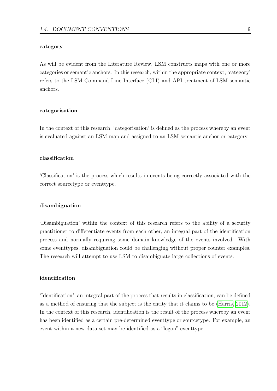#### category

As will be evident from the Literature Review, LSM constructs maps with one or more categories or semantic anchors. In this research, within the appropriate context, 'category' refers to the LSM Command Line Interface (CLI) and API treatment of LSM semantic anchors.

#### categorisation

In the context of this research, 'categorisation' is defined as the process whereby an event is evaluated against an LSM map and assigned to an LSM semantic anchor or category.

#### classification

'Classification' is the process which results in events being correctly associated with the correct sourcetype or eventtype.

#### disambiguation

'Disambiguation' within the context of this research refers to the ability of a security practitioner to differentiate events from each other, an integral part of the identification process and normally requiring some domain knowledge of the events involved. With some eventtypes, disambiguation could be challenging without proper counter examples. The research will attempt to use LSM to disambiguate large collections of events.

#### identification

'Identification', an integral part of the process that results in classification, can be defined as a method of ensuring that the subject is the entity that it claims to be [\(Harris, 2012\)](#page-122-0). In the context of this research, identification is the result of the process whereby an event has been identified as a certain pre-determined eventtype or sourcetype. For example, an event within a new data set may be identified as a "logon" eventtype.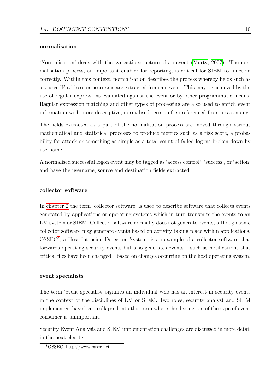#### normalisation

'Normalisation' deals with the syntactic structure of an event [\(Marty, 2007\)](#page-124-2). The normalisation process, an important enabler for reporting, is critical for SIEM to function correctly. Within this context, normalisation describes the process whereby fields such as a source IP address or username are extracted from an event. This may be achieved by the use of regular expressions evaluated against the event or by other programmatic means. Regular expression matching and other types of processing are also used to enrich event information with more descriptive, normalised terms, often referenced from a taxonomy.

The fields extracted as a part of the normalisation process are moved through various mathematical and statistical processes to produce metrics such as a risk score, a probability for attack or something as simple as a total count of failed logons broken down by username.

A normalised successful logon event may be tagged as 'access control', 'success', or 'action' and have the username, source and destination fields extracted.

#### collector software

In [chapter 2](#page-21-0) the term 'collector software' is used to describe software that collects events generated by applications or operating systems which in turn transmits the events to an LM system or SIEM. Collector software normally does not generate events, although some collector software may generate events based on activity taking place within applications. OSSEC[8](#page-19-0) , a Host Intrusion Detection System, is an example of a collector software that forwards operating security events but also generates events – such as notifications that critical files have been changed – based on changes occurring on the host operating system.

#### event specialists

The term 'event specialist' signifies an individual who has an interest in security events in the context of the disciplines of LM or SIEM. Two roles, security analyst and SIEM implementer, have been collapsed into this term where the distinction of the type of event consumer is unimportant.

Security Event Analysis and SIEM implementation challenges are discussed in more detail in the next chapter.

<span id="page-19-0"></span><sup>8</sup>OSSEC, http://www.ossec.net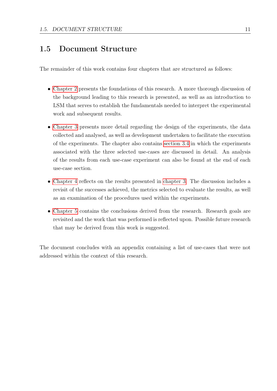### <span id="page-20-0"></span>1.5 Document Structure

The remainder of this work contains four chapters that are structured as follows:

- [Chapter 2](#page-21-0) presents the foundations of this research. A more thorough discussion of the background leading to this research is presented, as well as an introduction to LSM that serves to establish the fundamentals needed to interpret the experimental work and subsequent results.
- [Chapter 3](#page-53-0) presents more detail regarding the design of the experiments, the data collected and analysed, as well as development undertaken to facilitate the execution of the experiments. The chapter also contains [section 3.4](#page-66-1) in which the experiments associated with the three selected use-cases are discussed in detail. An analysis of the results from each use-case experiment can also be found at the end of each use-case section.
- [Chapter 4](#page-110-0) reflects on the results presented in [chapter 3.](#page-53-0) The discussion includes a revisit of the successes achieved, the metrics selected to evaluate the results, as well as an examination of the procedures used within the experiments.
- [Chapter 5](#page-114-0) contains the conclusions derived from the research. Research goals are revisited and the work that was performed is reflected upon. Possible future research that may be derived from this work is suggested.

The document concludes with an appendix containing a list of use-cases that were not addressed within the context of this research.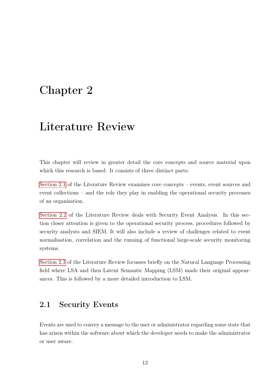## <span id="page-21-0"></span>Chapter 2

## Literature Review

This chapter will review in greater detail the core concepts and source material upon which this research is based. It consists of three distinct parts:

[Section 2.1](#page-21-1) of the Literature Review examines core concepts – events, event sources and event collections – and the role they play in enabling the operational security processes of an organisation.

[Section 2.2](#page-31-0) of the Literature Review deals with Security Event Analysis. In this section closer attention is given to the operational security process, procedures followed by security analysts and SIEM. It will also include a review of challenges related to event normalisation, correlation and the running of functional large-scale security monitoring systems.

[Section 2.3](#page-42-0) of the Literature Review focusses briefly on the Natural Language Processing field where LSA and then Latent Semantic Mapping (LSM) made their original appearances. This is followed by a more detailed introduction to LSM.

## <span id="page-21-1"></span>2.1 Security Events

Events are used to convey a message to the user or administrator regarding some state that has arisen within the software about which the developer needs to make the administrator or user aware.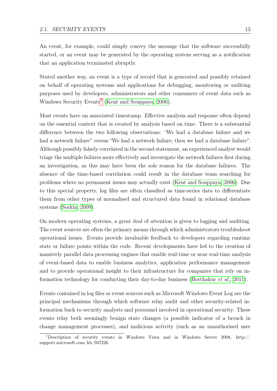An event, for example, could simply convey the message that the software successfully started, or an event may be generated by the operating system serving as a notification that an application terminated abruptly.

Stated another way, an event is a type of record that is generated and possibly retained on behalf of operating systems and applications for debugging, monitoring or auditing purposes used by developers, administrators and other consumers of event data such as Windows Security Events<sup>[1](#page-22-0)</sup> [\(Kent and Souppaya, 2006\)](#page-123-0).

Most events have an associated timestamp. Effective analysis and response often depend on the essential context that is created by analysis based on time. There is a substantial difference between the two following observations: "We had a database failure and we had a network failure" versus "We had a network failure; then we had a database failure". Although possibly falsely correlated in the second statement, an experienced analyst would triage the multiple failures more effectively and investigate the network failures first during an investigation, as this may have been the sole reason for the database failures. The absence of the time-based correlation could result in the database team searching for problems where no permanent issues may actually exist [\(Kent and Souppaya, 2006\)](#page-123-0). Due to this special property, log files are often classified as time-series data to differentiate them from other types of normalised and structured data found in relational database systems [\(Sorkin, 2009\)](#page-126-1).

On modern operating systems, a great deal of attention is given to logging and auditing. The event sources are often the primary means through which administrators troubleshoot operational issues. Events provide invaluable feedback to developers regarding runtime state or failure points within the code. Recent developments have led to the creation of massively parallel data processing engines that enable real-time or near real-time analysis of event-based data to enable business analytics, application performance management and to provide operational insight to their infrastructure for companies that rely on in-formation technology for conducting their day-to-day business [\(Borthakur](#page-120-2) *et al.*, [2011\)](#page-120-2).

Events contained in log files or event sources such as Microsoft Windows Event Log are the principal mechanisms through which software relay audit and other security-related information back to security analysts and personnel involved in operational security. These events relay both seemingly benign state changes (a possible indicator of a breach in change management processes), and malicious activity (such as an unauthorised user

<span id="page-22-0"></span><sup>1</sup>Description of security events in Windows Vista and in Windows Server 2008, http:// support.microsoft.com/kb/947226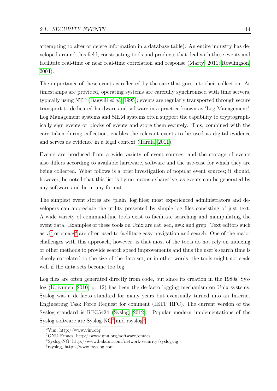attempting to alter or delete information in a database table). An entire industry has developed around this field, constructing tools and products that deal with these events and facilitate real-time or near real-time correlation and response [\(Marty, 2011;](#page-124-3) [Rowlingson,](#page-125-1) [2004\)](#page-125-1).

The importance of these events is reflected by the care that goes into their collection. As timestamps are provided, operating systems are carefully synchronised with time servers, typically using NTP [\(Bagwill](#page-119-3) *et al.*, [1995\)](#page-119-3); events are regularly transported through secure transport to dedicated hardware and software in a practice known as 'Log Management'. Log Management systems and SIEM systems often support the capability to cryptographically sign events or blocks of events and store them securely. This, combined with the care taken during collection, enables the relevant events to be used as digital evidence and serves as evidence in a legal context [\(Tarala, 2011\)](#page-126-0).

Events are produced from a wide variety of event sources, and the storage of events also differs according to available hardware, software and the use-case for which they are being collected. What follows is a brief investigation of popular event sources; it should, however, be noted that this list is by no means exhaustive, as events can be generated by any software and be in any format.

The simplest event stores are 'plain' log files; most experienced administrators and developers can appreciate the utility presented by simple log files consisting of just text. A wide variety of command-line tools exist to facilitate searching and manipulating the event data. Examples of these tools on Unix are cat, sed, awk and grep. Text editors such as  $vi^2$  $vi^2$  or emacs<sup>[3](#page-23-1)</sup> are often used to facilitate easy navigation and search. One of the major challenges with this approach, however, is that most of the tools do not rely on indexing or other methods to provide search speed improvements and thus the user's search time is closely correlated to the size of the data set, or in other words, the tools might not scale well if the data sets become too big.

Log files are often generated directly from code, but since its creation in the 1980s, Syslog [\(Koivunen, 2010,](#page-123-1) p. 12) has been the de-facto logging mechanism on Unix systems. Syslog was a de-facto standard for many years but eventually turned into an Internet Engineering Task Force Request for comment (IETF RFC). The current version of the Syslog standard is RFC5424 [\(Syslog, 2012\)](#page-126-2). Popular modern implementations of the Syslog software are Syslog-NG<sup>[4](#page-23-2)</sup> and rsyslog<sup>[5](#page-23-3)</sup>.

<span id="page-23-0"></span> $2V$ im, http://www.vim.org

<span id="page-23-1"></span><sup>3</sup>GNU Emacs, http://www.gnu.org/software/emacs

<span id="page-23-2"></span><sup>4</sup>Syslog-NG, http://www.balabit.com/network-security/syslog-ng

<span id="page-23-3"></span><sup>5</sup> rsyslog, http://www.rsyslog.com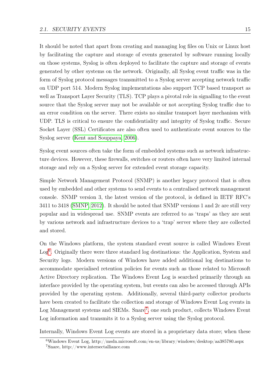It should be noted that apart from creating and managing log files on Unix or Linux host by facilitating the capture and storage of events generated by software running locally on those systems, Syslog is often deployed to facilitate the capture and storage of events generated by other systems on the network. Originally, all Syslog event traffic was in the form of Syslog protocol messages transmitted to a Syslog server accepting network traffic on UDP port 514. Modern Syslog implementations also support TCP based transport as well as Transport Layer Security (TLS). TCP plays a pivotal role in signalling to the event source that the Syslog server may not be available or not accepting Syslog traffic due to an error condition on the server. There exists no similar transport layer mechanism with UDP. TLS is critical to ensure the confidentiality and integrity of Syslog traffic. Secure Socket Layer (SSL) Certificates are also often used to authenticate event sources to the Syslog server [\(Kent and Souppaya, 2006\)](#page-123-0).

Syslog event sources often take the form of embedded systems such as network infrastructure devices. However, these firewalls, switches or routers often have very limited internal storage and rely on a Syslog server for extended event storage capacity.

Simple Network Management Protocol (SNMP) is another legacy protocol that is often used by embedded and other systems to send events to a centralised network management console. SNMP version 3, the latest version of the protocol, is defined in IETF RFC's 3411 to 3418 [\(SMNP, 2012\)](#page-125-2). It should be noted that SNMP versions 1 and 2c are still very popular and in widespread use. SNMP events are referred to as 'traps' as they are sent by various network and infrastructure devices to a 'trap' server where they are collected and stored.

On the Windows platform, the system standard event source is called Windows Event Log<sup>[6](#page-24-0)</sup>. Originally there were three standard log destinations: the Application, System and Security logs. Modern versions of Windows have added additional log destinations to accommodate specialised retention policies for events such as those related to Microsoft Active Directory replication. The Windows Event Log is searched primarily through an interface provided by the operating system, but events can also be accessed through APIs provided by the operating system. Additionally, several third-party collector products have been created to facilitate the collection and storage of Windows Event Log events in Log Management systems and SIEMs. Snare<sup>[7](#page-24-1)</sup>, one such product, collects Windows Event Log information and transmits it to a Syslog server using the Syslog protocol.

Internally, Windows Event Log events are stored in a proprietary data store; when these

<span id="page-24-1"></span><span id="page-24-0"></span><sup>&</sup>lt;sup>6</sup>Windows Event Log, http://msdn.microsoft.com/en-us/library/windows/desktop/aa385780.aspx <sup>7</sup>Snare, http://www.intersectalliance.com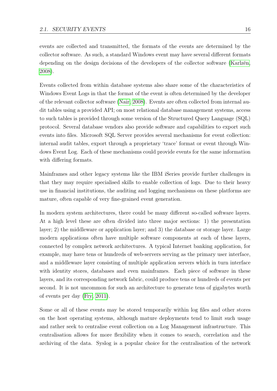events are collected and transmitted, the formats of the events are determined by the collector software. As such, a standard Windows event may have several different formats depending on the design decisions of the developers of the collector software [\(Karlzén,](#page-123-2) [2008\)](#page-123-2).

Events collected from within database systems also share some of the characteristics of Windows Event Logs in that the format of the event is often determined by the developer of the relevant collector software [\(Nair, 2008\)](#page-124-4). Events are often collected from internal audit tables using a provided API; on most relational database management systems, access to such tables is provided through some version of the Structured Query Language (SQL) protocol. Several database vendors also provide software and capabilities to export such events into files. Microsoft SQL Server provides several mechanisms for event collection: internal audit tables, export through a proprietary 'trace' format or event through Windows Event Log. Each of these mechanisms could provide events for the same information with differing formats.

Mainframes and other legacy systems like the IBM iSeries provide further challenges in that they may require specialised skills to enable collection of logs. Due to their heavy use in financial institutions, the auditing and logging mechanisms on these platforms are mature, often capable of very fine-grained event generation.

In modern system architectures, there could be many different so-called software layers. At a high level these are often divided into three major sections: 1) the presentation layer; 2) the middleware or application layer; and 3) the database or storage layer. Large modern applications often have multiple software components at each of these layers, connected by complex network architectures. A typical Internet banking application, for example, may have tens or hundreds of web-servers serving as the primary user interface, and a middleware layer consisting of multiple application servers which in turn interface with identity stores, databases and even mainframes. Each piece of software in these layers, and its corresponding network fabric, could produce tens or hundreds of events per second. It is not uncommon for such an architecture to generate tens of gigabytes worth of events per day [\(Fry, 2011\)](#page-122-1).

Some or all of these events may be stored temporarily within log files and other stores on the host operating systems, although mature deployments tend to limit such usage and rather seek to centralise event collection on a Log Management infrastructure. This centralisation allows for more flexibility when it comes to search, correlation and the archiving of the data. Syslog is a popular choice for the centralisation of the network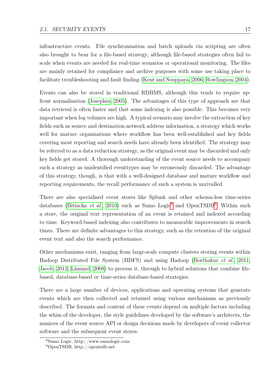infrastructure events. File synchronisation and batch uploads via scripting are often also brought to bear for a file-based strategy, although file-based strategies often fail to scale when events are needed for real-time scenarios or operational monitoring. The files are mainly retained for compliance and archive purposes with some use taking place to facilitate troubleshooting and fault finding [\(Kent and Souppaya, 2006;](#page-123-0) [Rowlingson, 2004\)](#page-125-1).

Events can also be stored in traditional RDBMS, although this tends to require upfront normalisation [\(Josephes, 2005\)](#page-123-3). The advantages of this type of approach are that data retrieval is often faster and that some indexing is also possible. This becomes very important when log volumes are high. A typical scenario may involve the extraction of key fields such as source and destination network address information, a strategy which works well for mature organisations where workflow has been well-established and key fields covering most reporting and search needs have already been identified. The strategy may be referred to as a data reduction strategy, as the original event may be discarded and only key fields get stored. A thorough understanding of the event source needs to accompany such a strategy as unidentified eventtypes may be erroneously discarded. The advantage of this strategy, though, is that with a well-designed database and mature workflow and reporting requirements, the recall performance of such a system is unrivalled.

There are also specialised event stores like Splunk and other schema-less time-series databases [\(Bitincka](#page-120-3) *et al.*, [2010\)](#page-120-3) such as Sumo Logic<sup>[8](#page-26-0)</sup> and OpenTSDB<sup>[9](#page-26-1)</sup>. Within such a store, the original text representation of an event is retained and indexed according to time. Keyword-based indexing also contributes to measurable improvements in search times. There are definite advantages to this strategy, such as the retention of the original event text and also the search performance.

Other mechanisms exist, ranging from large-scale compute clusters storing events within Hadoop Distributed File System (HDFS) and using Hadoop [\(Borthakur](#page-120-2) et al., [2011;](#page-120-2) [Jacob, 2012;](#page-123-4) [Lämmel, 2008\)](#page-124-1) to process it, through to hybrid solutions that combine filebased, database-based or time-series database-based strategies.

There are a large number of devices, applications and operating systems that generate events which are then collected and retained using various mechanisms as previously described. The formats and content of these events depend on multiple factors including the whim of the developer, the style guidelines developed by the software's architects, the nuances of the event source API or design decisions made by developers of event collector software and the subsequent event stores.

<span id="page-26-0"></span><sup>8</sup>Sumo Logic, http://www.sumologic.com

<span id="page-26-1"></span><sup>9</sup>OpenTSDB, http://opentsdb.net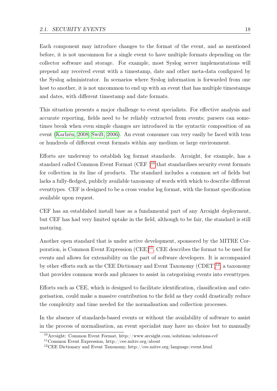Each component may introduce changes to the format of the event, and as mentioned before, it is not uncommon for a single event to have multiple formats depending on the collector software and storage. For example, most Syslog server implementations will prepend any received event with a timestamp, date and other meta-data configured by the Syslog administrator. In scenarios where Syslog information is forwarded from one host to another, it is not uncommon to end up with an event that has multiple timestamps and dates, with different timestamp and date formats.

This situation presents a major challenge to event specialists. For effective analysis and accurate reporting, fields need to be reliably extracted from events; parsers can sometimes break when even simple changes are introduced in the syntactic composition of an event [\(Karlzén, 2008;](#page-123-2) [Swift, 2006\)](#page-126-3). An event consumer can very easily be faced with tens or hundreds of different event formats within any medium or large environment.

Efforts are underway to establish log format standards. Arcsight, for example, has a standard called Common Event Format  $(CEF)^{10}$  $(CEF)^{10}$  $(CEF)^{10}$  that standardises security event formats for collection in its line of products. The standard includes a common set of fields but lacks a fully-fledged, publicly available taxonomy of words with which to describe different eventtypes. CEF is designed to be a cross vendor log format, with the format specification available upon request.

CEF has an established install base as a fundamental part of any Arcsight deployment, but CEF has had very limited uptake in the field, although to be fair, the standard is still maturing.

Another open standard that is under active development, sponsored by the MITRE Corporation, is Common Event Expression  $(CEE)^{11}$  $(CEE)^{11}$  $(CEE)^{11}$ . CEE describes the format to be used for events and allows for extensibility on the part of software developers. It is accompanied by other efforts such as the CEE Dictionary and Event Taxonomy  $(CDET)^{12}$  $(CDET)^{12}$  $(CDET)^{12}$ , a taxonomy that provides common words and phrases to assist in categorising events into eventtypes.

Efforts such as CEE, which is designed to facilitate identification, classification and categorisation, could make a massive contribution to the field as they could drastically reduce the complexity and time needed for the normalisation and collection processes.

In the absence of standards-based events or without the availability of software to assist in the process of normalisation, an event specialist may have no choice but to manually

<span id="page-27-0"></span><sup>10</sup>Arcsight: Common Event Format, http://www.arcsight.com/solutions/solutions-cef

<span id="page-27-1"></span><sup>11</sup>Common Event Expression, http://cee.mitre.org/about

<span id="page-27-2"></span><sup>&</sup>lt;sup>12</sup>CEE Dictionary and Event Taxonomy, http://cee.mitre.org/language/event.html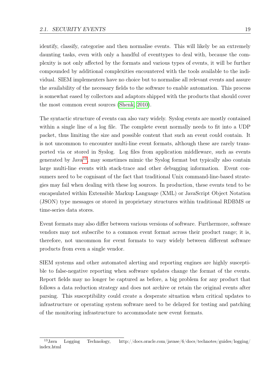identify, classify, categorise and then normalise events. This will likely be an extremely daunting tasks, even with only a handful of eventtypes to deal with, because the complexity is not only affected by the formats and various types of events, it will be further compounded by additional complexities encountered with the tools available to the individual. SIEM implementers have no choice but to normalise all relevant events and assure the availability of the necessary fields to the software to enable automation. This process is somewhat eased by collectors and adaptors shipped with the products that should cover the most common event sources [\(Shenk, 2010\)](#page-125-3).

The syntactic structure of events can also vary widely. Syslog events are mostly contained within a single line of a log file. The complete event normally needs to fit into a UDP packet, thus limiting the size and possible content that such an event could contain. It is not uncommon to encounter multi-line event formats, although these are rarely transported via or stored in Syslog. Log files from application middleware, such as events generated by Java<sup>[13](#page-28-0)</sup>, may sometimes mimic the Syslog format but typically also contain large multi-line events with stack-trace and other debugging information. Event consumers need to be cognisant of the fact that traditional Unix command-line-based strategies may fail when dealing with these log sources. In production, these events tend to be encapsulated within Extensible Markup Language (XML) or JavaScript Object Notation (JSON) type messages or stored in proprietary structures within traditional RDBMS or time-series data stores.

Event formats may also differ between various versions of software. Furthermore, software vendors may not subscribe to a common event format across their product range; it is, therefore, not uncommon for event formats to vary widely between different software products from even a single vendor.

SIEM systems and other automated alerting and reporting engines are highly susceptible to false-negative reporting when software updates change the format of the events. Report fields may no longer be captured as before, a big problem for any product that follows a data reduction strategy and does not archive or retain the original events after parsing. This susceptibility could create a desperate situation when critical updates to infrastructure or operating system software need to be delayed for testing and patching of the monitoring infrastructure to accommodate new event formats.

<span id="page-28-0"></span><sup>13</sup>Java Logging Technology, http://docs.oracle.com/javase/6/docs/technotes/guides/logging/ index.html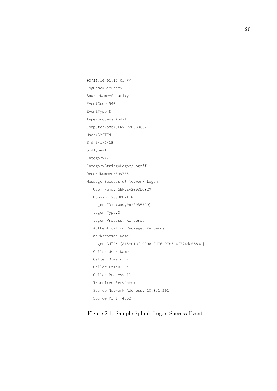```
03/11/10 01:12:01 PM
LogName=Security
SourceName=Security
EventCode=540
EventType=8
Type=Success Audit
ComputerName=SERVER2003DC02
User=SYSTEM
Sid=S-1-5-18
SidType=1
Category=2
CategoryString=Logon/Logoff
RecordNumber=699765
Message=Successful Network Logon:
   User Name: SERVER2003DC02$
   Domain: 2003DOMAIN
   Logon ID: (0x0,0x2F0B5729)
   Logon Type:3
   Logon Process: Kerberos
   Authentication Package: Kerberos
   Workstation Name: 
   Logon GUID: {815e01af-999a-9d76-97c5-4f724dc0583d}
   Caller User Name: -
   Caller Domain: -
   Caller Logon ID: -
   Caller Process ID: -
   Transited Services: -
   Source Network Address: 10.0.1.202
   Source Port: 4660
```
<span id="page-29-0"></span>Figure 2.1: Sample Splunk Logon Success Event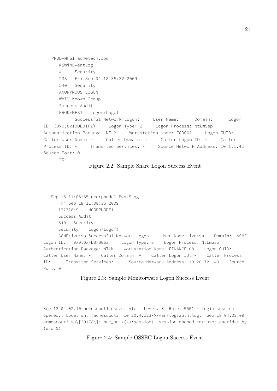```
PROD-MFS1.acmetech.com
     MSWinEventLog
     4 Security
     233 Fri Sep 04 18:35:32 2009
     540 Security
     ANONYMOUS LOGON
     Well Known Group
     Success Audit
     PROD-MFS1 Logon/Logoff
           Successful Network Logon: User Name: Domain: Logon
ID: (0x0,0x10DB01F2) Logon Type: 3 Logon Process: NtLmSsp 
Authentication Package: NTLM Workstation Name: FCDC01 Logon GUID: - 
Caller User Name: - Caller Domain: - Caller Logon ID: - Caller 
Process ID: - Transited Services: - Source Network Address: 10.1.1.42 
Source Port: 0 
     204
```
<span id="page-30-0"></span>

```
Sep 18 11:08:35 ncorpnode1 EvntSLog:
     Fri Sep 18 11:08:35 2009
     12231849 NCORPNODE1
     Success Audit
     540 Security
     Security Logon/Logoff 
     ACME\iversa Successful Network Logon: User Name: iversa Domain: ACME 
Logon ID: (0 \times 0, 0 \times FDSFB053) Logon Type: 3 Logon Process: NtLmSsp
Authentication Package: NTLM Workstation Name: FINANCE108 Logon GUID: - 
Caller User Name: - Caller Domain: - Caller Logon ID: - Caller Process 
ID: - Transited Services: - Source Network Address: 10.20.72.149 Source 
Port: 0
```
#### <span id="page-30-1"></span>Figure 2.3: Sample Monitorware Logon Success Event

Sep 18 04:02:10 acmescout1 ossec: Alert Level: 3; Rule: 5501 - Login session opened.; Location: (acmescout3) 10.20.4.123->/var/log/auth.log; Sep 18 04:02:09 acmescout3 su\[20178\]: pam\_unix(su:session): session opened for user cactidat by  $(iid=0)$ 

<span id="page-30-2"></span>Figure 2.4: Sample OSSEC Logon Success Event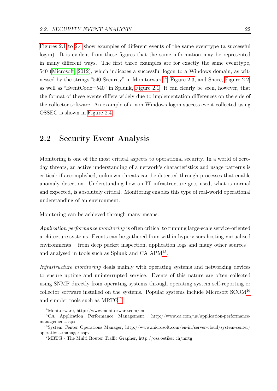[Figures 2.1](#page-29-0) to [2.4](#page-30-2) show examples of different events of the same eventtype (a successful logon). It is evident from these figures that the same information may be represented in many different ways. The first three examples are for exactly the same eventtype, 540 [\(Microsoft, 2012\)](#page-124-5), which indicates a successful logon to a Windows domain, as wit-nessed by the strings "540 Security" in Monitorware<sup>[14](#page-31-1)</sup>, [Figure 2.3,](#page-30-1) and Snare, [Figure 2.2,](#page-30-0) as well as "EventCode=540" in Splunk, [Figure 2.1.](#page-29-0) It can clearly be seen, however, that the format of these events differs widely due to implementation differences on the side of the collector software. An example of a non-Windows logon success event collected using OSSEC is shown in [Figure 2.4.](#page-30-2)

## <span id="page-31-0"></span>2.2 Security Event Analysis

Monitoring is one of the most critical aspects to operational security. In a world of zeroday threats, an active understanding of a network's characteristics and usage patterns is critical; if accomplished, unknown threats can be detected through processes that enable anomaly detection. Understanding how an IT infrastructure gets used, what is normal and expected, is absolutely critical. Monitoring enables this type of real-world operational understanding of an environment.

Monitoring can be achieved through many means:

Application performance monitoring is often critical to running large-scale service-oriented architecture systems. Events can be gathered from within hypervisors hosting virtualised environments – from deep packet inspection, application logs and many other sources – and analysed in tools such as Splunk and CA APM<sup>[15](#page-31-2)</sup>.

Infrastructure monitoring deals mainly with operating systems and networking devices to ensure uptime and uninterrupted service. Events of this nature are often collected using SNMP directly from operating systems through operating system self-reporting or collector software installed on the systems. Popular systems include Microsoft  $SCOM^{16}$  $SCOM^{16}$  $SCOM^{16}$ and simpler tools such as  $MRTG^{17}$  $MRTG^{17}$  $MRTG^{17}$ .

<span id="page-31-2"></span><span id="page-31-1"></span><sup>14</sup>Monitorware, http://www.monitorware.com/en

<sup>15</sup>CA Application Performance Management, http://www.ca.com/us/application-performancemanagement.aspx

<span id="page-31-3"></span><sup>16</sup>System Center Operations Manager, http://www.microsoft.com/en-in/server-cloud/system-center/ operations-manager.aspx

<span id="page-31-4"></span><sup>17</sup>MRTG - The Multi Router Traffic Grapher, http://oss.oetiker.ch/mrtg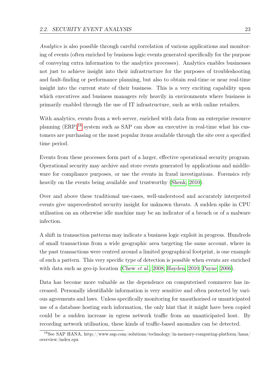Analytics is also possible through careful correlation of various applications and monitoring of events (often enriched by business logic events generated specifically for the purpose of conveying extra information to the analytics processes). Analytics enables businesses not just to achieve insight into their infrastructure for the purposes of troubleshooting and fault-finding or performance planning, but also to obtain real-time or near real-time insight into the current state of their business. This is a very exciting capability upon which executives and business managers rely heavily in environments where business is primarily enabled through the use of IT infrastructure, such as with online retailers.

With analytics, events from a web server, enriched with data from an enterprise resource planning (ERP)[18](#page-32-0) system such as SAP can show an executive in real-time what his customers are purchasing or the most popular items available through the site over a specified time period.

Events from these processes form part of a larger, effective operational security program. Operational security may archive and store events generated by applications and middleware for compliance purposes, or use the events in fraud investigations. Forensics rely heavily on the events being available *and* trustworthy [\(Shenk, 2010\)](#page-125-3).

Over and above these traditional use-cases, well-understood and accurately interpreted events give unprecedented security insight for unknown threats. A sudden spike in CPU utilisation on an otherwise idle machine may be an indicator of a breach or of a malware infection.

A shift in transaction patterns may indicate a business logic exploit in progress. Hundreds of small transactions from a wide geographic area targeting the same account, where in the past transactions were centred around a limited geographical footprint, is one example of such a pattern. This very specific type of detection is possible when events are enriched with data such as geo-ip location [\(Chew](#page-121-1) *et al.*, [2008;](#page-121-1) [Hayden, 2010;](#page-122-2) [Payne, 2006\)](#page-124-6).

Data has become more valuable as the dependence on computerised commerce has increased. Personally identifiable information is very sensitive and often protected by various agreements and laws. Unless specifically monitoring for unauthorised or unanticipated use of a database hosting such information, the only hint that it might have been copied could be a sudden increase in egress network traffic from an unanticipated host. By recording network utilisation, these kinds of traffic-based anomalies can be detected.

<span id="page-32-0"></span><sup>18</sup>See SAP HANA, http://www.sap.com/solutions/technology/in-memory-computing-platform/hana/ overview/index.epx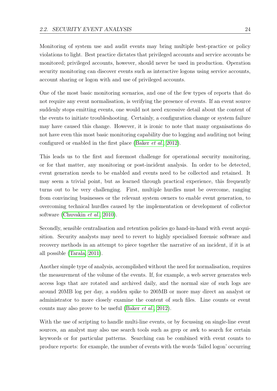Monitoring of system use and audit events may bring multiple best-practice or policy violations to light. Best practice dictates that privileged accounts and service accounts be monitored; privileged accounts, however, should never be used in production. Operation security monitoring can discover events such as interactive logons using service accounts, account sharing or logon with and use of privileged accounts.

One of the most basic monitoring scenarios, and one of the few types of reports that do not require any event normalisation, is verifying the presence of events. If an event source suddenly stops emitting events, one would not need excessive detail about the content of the events to initiate troubleshooting. Certainly, a configuration change or system failure may have caused this change. However, it is ironic to note that many organisations do not have even this most basic monitoring capability due to logging and auditing not being configured or enabled in the first place [\(Baker](#page-119-1) et al., [2012\)](#page-119-1).

This leads us to the first and foremost challenge for operational security monitoring, or for that matter, any monitoring or post-incident analysis. In order to be detected, event generation needs to be enabled and events need to be collected and retained. It may seem a trivial point, but as learned through practical experience, this frequently turns out to be very challenging. First, multiple hurdles must be overcome, ranging from convincing businesses or the relevant system owners to enable event generation, to overcoming technical hurdles caused by the implementation or development of collector software [\(Chuvakin](#page-121-2) et al., [2010\)](#page-121-2).

Secondly, sensible centralisation and retention policies go hand-in-hand with event acquisition. Security analysts may need to revert to highly specialised forensic software and recovery methods in an attempt to piece together the narrative of an incident, if it is at all possible [\(Tarala, 2011\)](#page-126-0).

Another simple type of analysis, accomplished without the need for normalisation, requires the measurement of the volume of the events. If, for example, a web server generates web access logs that are rotated and archived daily, and the normal size of such logs are around 20MB log per day, a sudden spike to 200MB or more may direct an analyst or administrator to more closely examine the content of such files. Line counts or event counts may also prove to be useful [\(Baker](#page-119-1) et al., [2012\)](#page-119-1).

With the use of scripting to handle multi-line events, or by focussing on single-line event sources, an analyst may also use search tools such as grep or awk to search for certain keywords or for particular patterns. Searching can be combined with event counts to produce reports: for example, the number of events with the words 'failed logon' occurring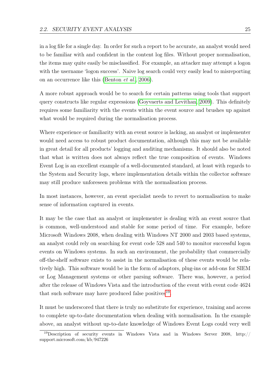in a log file for a single day. In order for such a report to be accurate, an analyst would need to be familiar with and confident in the content log files. Without proper normalisation, the items may quite easily be misclassified. For example, an attacker may attempt a logon with the username 'logon success'. Naive log search could very easily lead to misreporting on an occurrence like this [\(Benton](#page-120-4) *et al.*, [2006\)](#page-120-4).

A more robust approach would be to search for certain patterns using tools that support query constructs like regular expressions [\(Goyvaerts and Levithan, 2009\)](#page-122-3). This definitely requires some familiarity with the events within the event source and brushes up against what would be required during the normalisation process.

Where experience or familiarity with an event source is lacking, an analyst or implementer would need access to robust product documentation, although this may not be available in great detail for all products' logging and auditing mechanisms. It should also be noted that what is written does not always reflect the true composition of events. Windows Event Log is an excellent example of a well-documented standard, at least with regards to the System and Security logs, where implementation details within the collector software may still produce unforeseen problems with the normalisation process.

In most instances, however, an event specialist needs to revert to normalisation to make sense of information captured in events.

It may be the case that an analyst or implementer is dealing with an event source that is common, well-understood and stable for some period of time. For example, before Microsoft Windows 2008, when dealing with Windows NT 2000 and 2003 based systems, an analyst could rely on searching for event code 528 and 540 to monitor successful logon events on Windows systems. In such an environment, the probability that commercially off-the-shelf software exists to assist in the normalisation of these events would be relatively high. This software would be in the form of adaptors, plug-ins or add-ons for SIEM or Log Management systems or other parsing software. There was, however, a period after the release of Windows Vista and the introduction of the event with event code 4624 that such software may have produced false positives<sup>[19](#page-34-0)</sup>.

It must be underscored that there is truly no substitute for experience, training and access to complete up-to-date documentation when dealing with normalisation. In the example above, an analyst without up-to-date knowledge of Windows Event Logs could very well

<span id="page-34-0"></span><sup>19</sup>Description of security events in Windows Vista and in Windows Server 2008, http:// support.microsoft.com/kb/947226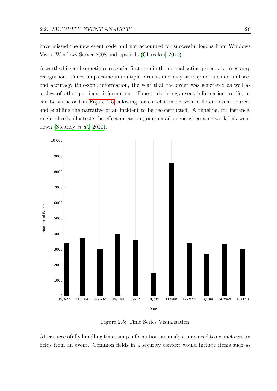have missed the new event code and not accounted for successful logons from Windows Vista, Windows Server 2008 and upwards [\(Chuvakin, 2010\)](#page-121-3).

A worthwhile and sometimes essential first step in the normalisation process is timestamp recognition. Timestamps come in multiple formats and may or may not include millisecond accuracy, time-zone information, the year that the event was generated as well as a slew of other pertinent information. Time truly brings event information to life, as can be witnessed in [Figure 2.5,](#page-35-0) allowing for correlation between different event sources and enabling the narrative of an incident to be reconstructed. A timeline, for instance, might clearly illustrate the effect on an outgoing email queue when a network link went down [\(Stearley](#page-126-4) et al., [2010\)](#page-126-4).



<span id="page-35-0"></span>Figure 2.5: Time Series Visualisation

After successfully handling timestamp information, an analyst may need to extract certain fields from an event. Common fields in a security context would include items such as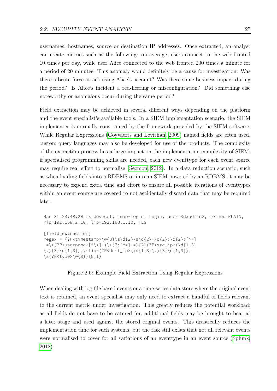usernames, hostnames, source or destination IP addresses. Once extracted, an analyst can create metrics such as the following: on average, users connect to the web fronted 10 times per day, while user Alice connected to the web fronted 200 times a minute for a period of 20 minutes. This anomaly would definitely be a cause for investigation: Was there a brute force attack using Alice's account? Was there some business impact during the period? Is Alice's incident a red-herring or misconfiguration? Did something else noteworthy or anomalous occur during the same period?

Field extraction may be achieved in several different ways depending on the platform and the event specialist's available tools. In a SIEM implementation scenario, the SIEM implementer is normally constrained by the framework provided by the SIEM software. While Regular Expressions [\(Goyvaerts and Levithan, 2009\)](#page-122-0) named fields are often used, custom query languages may also be developed for use of the products. The complexity of the extraction process has a large impact on the implementation complexity of SIEM: if specialised programming skills are needed, each new eventtype for each event source may require real effort to normalise [\(Secmon, 2012\)](#page-125-0). In a data reduction scenario, such as when loading fields into a RDBMS or into an SIEM powered by an RDBMS, it may be necessary to expend extra time and effort to ensure all possible iterations of eventtypes within an event source are covered to not accidentally discard data that may be required later.

```
Mar 31 23:48:20 mx dovecot: imap-login: Login: user=<dxadmin>, method=PLAIN,
rip=192.168.2.10, lip=192.168.1.10, TLS
[field_extraction]
regex = (?P<\ntimes\tanp>w{3}\s\d{2}\s\d{2}:d{2}:d{2}] (d{2}:d{2})+=\<(?P<username>[^\>]+)\>(?:[^=]+=){2}(?P<src_ip>(\d{1,3}
\.){3}\d{1,3}),\slip=(?P<dest_ip>(\d{1,3}\.){3}\d{1,3}),
\s(?P<type>\w{3}){0,1}
```
### <span id="page-36-0"></span>Figure 2.6: Example Field Extraction Using Regular Expressions

When dealing with log-file based events or a time-series data store where the original event text is retained, an event specialist may only need to extract a handful of fields relevant to the current metric under investigation. This greatly reduces the potential workload: as all fields do not have to be catered for, additional fields may be brought to bear at a later stage and used against the stored original events. This drastically reduces the implementation time for such systems, but the risk still exists that not all relevant events were normalised to cover for all variations of an eventtype in an event source [\(Splunk,](#page-126-0) [2012\)](#page-126-0).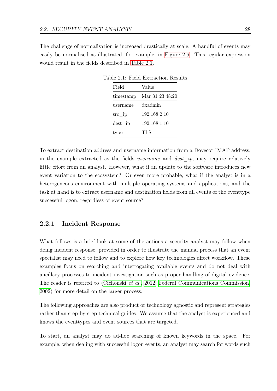The challenge of normalisation is increased drastically at scale. A handful of events may easily be normalised as illustrated, for example, in [Figure 2.6.](#page-36-0) This regular expression would result in the fields described in [Table 2.1.](#page-37-0)

<span id="page-37-0"></span>

| Field              | Value           |  |
|--------------------|-----------------|--|
| timestamp          | Mar 31 23:48:20 |  |
| username           | dxadmin         |  |
| $\mathrm{src\_ip}$ | 192.168.2.10    |  |
| dest ip            | 192.168.1.10    |  |
| Dе                 | TLS             |  |

Table 2.1: Field Extraction Results

To extract destination address and username information from a Dovecot IMAP address, in the example extracted as the fields *username* and *dest ip*, may require relatively little effort from an analyst. However, what if an update to the software introduces new event variation to the ecosystem? Or even more probable, what if the analyst is in a heterogeneous environment with multiple operating systems and applications, and the task at hand is to extract username and destination fields from all events of the eventtype successful logon, regardless of event source?

### 2.2.1 Incident Response

What follows is a brief look at some of the actions a security analyst may follow when doing incident response, provided in order to illustrate the manual process that an event specialist may need to follow and to explore how key technologies affect workflow. These examples focus on searching and interrogating available events and do not deal with ancillary processes to incident investigation such as proper handling of digital evidence. The reader is referred to [\(Cichonski](#page-121-0) *et al.*, [2012;](#page-121-0) [Federal Communications Commission,](#page-121-1) [2002\)](#page-121-1) for more detail on the larger process.

The following approaches are also product or technology agnostic and represent strategies rather than step-by-step technical guides. We assume that the analyst is experienced and knows the eventtypes and event sources that are targeted.

To start, an analyst may do ad-hoc searching of known keywords in the space. For example, when dealing with successful logon events, an analyst may search for words such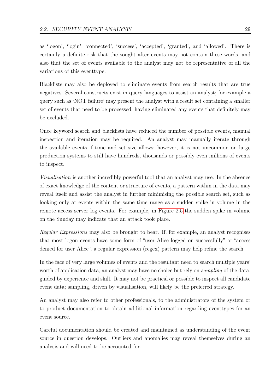as 'logon', 'login', 'connected', 'success', 'accepted', 'granted', and 'allowed'. There is certainly a definite risk that the sought after events may not contain these words, and also that the set of events available to the analyst may not be representative of all the variations of this eventtype.

Blacklists may also be deployed to eliminate events from search results that are true negatives. Several constructs exist in query languages to assist an analyst; for example a query such as 'NOT failure' may present the analyst with a result set containing a smaller set of events that need to be processed, having eliminated any events that definitely may be excluded.

Once keyword search and blacklists have reduced the number of possible events, manual inspection and iteration may be required. An analyst may manually iterate through the available events if time and set size allows; however, it is not uncommon on large production systems to still have hundreds, thousands or possibly even millions of events to inspect.

Visualisation is another incredibly powerful tool that an analyst may use. In the absence of exact knowledge of the content or structure of events, a pattern within in the data may reveal itself and assist the analyst in further minimising the possible search set, such as looking only at events within the same time range as a sudden spike in volume in the remote access server log events. For example, in [Figure 2.5](#page-35-0) the sudden spike in volume on the Sunday may indicate that an attack took place.

Regular Expressions may also be brought to bear. If, for example, an analyst recognises that most logon events have some form of "user Alice logged on successfully" or "access denied for user Alice", a regular expression (regex) pattern may help refine the search.

In the face of very large volumes of events and the resultant need to search multiple years' worth of application data, an analyst may have no choice but rely on *sampling* of the data, guided by experience and skill. It may not be practical or possible to inspect all candidate event data; sampling, driven by visualisation, will likely be the preferred strategy.

An analyst may also refer to other professionals, to the administrators of the system or to product documentation to obtain additional information regarding eventtypes for an event source.

Careful documentation should be created and maintained as understanding of the event source in question develops. Outliers and anomalies may reveal themselves during an analysis and will need to be accounted for.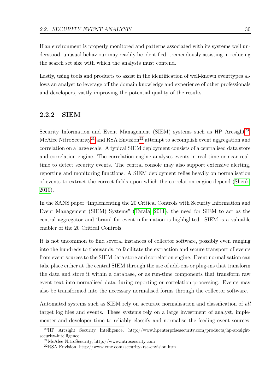If an environment is properly monitored and patterns associated with its systems well understood, unusual behaviour may readily be identified, tremendously assisting in reducing the search set size with which the analysts must contend.

Lastly, using tools and products to assist in the identification of well-known eventtypes allows an analyst to leverage off the domain knowledge and experience of other professionals and developers, vastly improving the potential quality of the results.

### 2.2.2 SIEM

Security Information and Event Management (SIEM) systems such as  $HP$  Arcsight<sup>[20](#page-39-0)</sup>, McAfee NitroSecurity<sup>[21](#page-39-1)</sup> and RSA Envision<sup>[22](#page-39-2)</sup> attempt to accomplish event aggregation and correlation on a large scale. A typical SIEM deployment consists of a centralised data store and correlation engine. The correlation engine analyses events in real-time or near realtime to detect security events. The central console may also support extensive alerting, reporting and monitoring functions. A SIEM deployment relies heavily on normalisation of events to extract the correct fields upon which the correlation engine depend [\(Shenk,](#page-125-1) [2010\)](#page-125-1).

In the SANS paper "Implementing the 20 Critical Controls with Security Information and Event Management (SIEM) Systems" [\(Tarala, 2011\)](#page-126-1), the need for SIEM to act as the central aggregator and 'brain' for event information is highlighted. SIEM is a valuable enabler of the 20 Critical Controls.

It is not uncommon to find several instances of collector software, possibly even ranging into the hundreds to thousands, to facilitate the extraction and secure transport of events from event sources to the SIEM data store and correlation engine. Event normalisation can take place either at the central SIEM through the use of add-ons or plug-ins that transform the data and store it within a database, or as run-time components that transform raw event text into normalised data during reporting or correlation processing. Events may also be transformed into the necessary normalised forms through the collector software.

Automated systems such as SIEM rely on accurate normalisation and classification of all target log files and events. These systems rely on a large investment of analyst, implementer and developer time to reliably classify and normalise the feeding event sources.

<span id="page-39-0"></span><sup>&</sup>lt;sup>20</sup>HP Arcsight Security Intelligence, http://www.hpenterprisesecurity.com/products/hp-arcsightsecurity-intelligence

<span id="page-39-1"></span><sup>21</sup>McAfee NitroSecurity, http://www.nitrosecurity.com

<span id="page-39-2"></span><sup>22</sup>RSA Envision, http://www.emc.com/security/rsa-envision.htm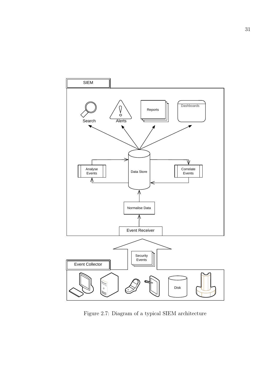

Figure 2.7: Diagram of a typical SIEM architecture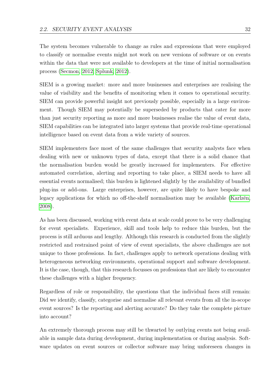The system becomes vulnerable to change as rules and expressions that were employed to classify or normalise events might not work on new versions of software or on events within the data that were not available to developers at the time of initial normalisation process [\(Secmon, 2012;](#page-125-0) [Splunk, 2012\)](#page-126-0).

SIEM is a growing market: more and more businesses and enterprises are realising the value of visibility and the benefits of monitoring when it comes to operational security. SIEM can provide powerful insight not previously possible, especially in a large environment. Though SIEM may potentially be superseded by products that cater for more than just security reporting as more and more businesses realise the value of event data, SIEM capabilities can be integrated into larger systems that provide real-time operational intelligence based on event data from a wide variety of sources.

SIEM implementers face most of the same challenges that security analysts face when dealing with new or unknown types of data, except that there is a solid chance that the normalisation burden would be greatly increased for implementers. For effective automated correlation, alerting and reporting to take place, a SIEM needs to have all essential events normalised; this burden is lightened slightly by the availability of bundled plug-ins or add-ons. Large enterprises, however, are quite likely to have bespoke and legacy applications for which no off-the-shelf normalisation may be available [\(Karlzén,](#page-123-0) [2008\)](#page-123-0).

As has been discussed, working with event data at scale could prove to be very challenging for event specialists. Experience, skill and tools help to reduce this burden, but the process is still arduous and lengthy. Although this research is conducted from the slightly restricted and restrained point of view of event specialists, the above challenges are not unique to those professions. In fact, challenges apply to network operations dealing with heterogeneous networking environments, operational support and software development. It is the case, though, that this research focusses on professions that are likely to encounter these challenges with a higher frequency.

Regardless of role or responsibility, the questions that the individual faces still remain: Did we identify, classify, categorise and normalise all relevant events from all the in-scope event sources? Is the reporting and alerting accurate? Do they take the complete picture into account?

An extremely thorough process may still be thwarted by outlying events not being available in sample data during development, during implementation or during analysis. Software updates on event sources or collector software may bring unforeseen changes in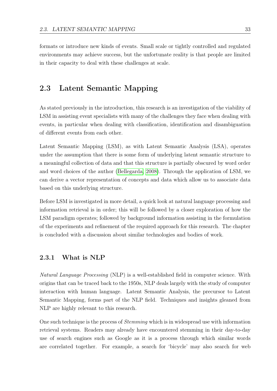formats or introduce new kinds of events. Small scale or tightly controlled and regulated environments may achieve success, but the unfortunate reality is that people are limited in their capacity to deal with these challenges at scale.

# <span id="page-42-0"></span>2.3 Latent Semantic Mapping

As stated previously in the introduction, this research is an investigation of the viability of LSM in assisting event specialists with many of the challenges they face when dealing with events, in particular when dealing with classification, identification and disambiguation of different events from each other.

Latent Semantic Mapping (LSM), as with Latent Semantic Analysis (LSA), operates under the assumption that there is some form of underlying latent semantic structure to a meaningful collection of data and that this structure is partially obscured by word order and word choices of the author [\(Bellegarda, 2008\)](#page-120-0). Through the application of LSM, we can derive a vector representation of concepts and data which allow us to associate data based on this underlying structure.

Before LSM is investigated in more detail, a quick look at natural language processing and information retrieval is in order; this will be followed by a closer exploration of how the LSM paradigm operates; followed by background information assisting in the formulation of the experiments and refinement of the required approach for this research. The chapter is concluded with a discussion about similar technologies and bodies of work.

### 2.3.1 What is NLP

Natural Language Processing (NLP) is a well-established field in computer science. With origins that can be traced back to the 1950s, NLP deals largely with the study of computer interaction with human language. Latent Semantic Analysis, the precursor to Latent Semantic Mapping, forms part of the NLP field. Techniques and insights gleaned from NLP are highly relevant to this research.

One such technique is the process of Stemming which is in widespread use with information retrieval systems. Readers may already have encountered stemming in their day-to-day use of search engines such as Google as it is a process through which similar words are correlated together. For example, a search for 'bicycle' may also search for web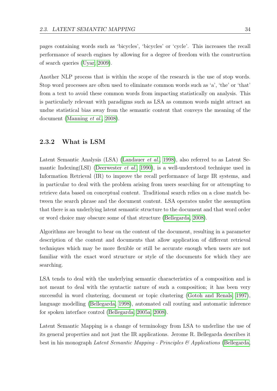pages containing words such as 'bicycles', 'bicycles' or 'cycle'. This increases the recall performance of search engines by allowing for a degree of freedom with the construction of search queries [\(Uyar, 2009\)](#page-126-2).

Another NLP process that is within the scope of the research is the use of stop words. Stop word processes are often used to eliminate common words such as 'a', 'the' or 'that' from a text to avoid these common words from impacting statistically on analysis. This is particularly relevant with paradigms such as LSA as common words might attract an undue statistical bias away from the semantic content that conveys the meaning of the document [\(Manning](#page-124-0) et al., [2008\)](#page-124-0).

### <span id="page-43-0"></span>2.3.2 What is LSM

Latent Semantic Analysis (LSA) [\(Landauer](#page-123-1) et al., [1998\)](#page-123-1), also referred to as Latent Se-mantic Indexing(LSI) [\(Deerwester](#page-121-2) *et al.*, [1990\)](#page-121-2), is a well-understood technique used in Information Retrieval (IR) to improve the recall performance of large IR systems, and in particular to deal with the problem arising from users searching for or attempting to retrieve data based on conceptual content. Traditional search relies on a close match between the search phrase and the document content. LSA operates under the assumption that there is an underlying latent semantic structure to the document and that word order or word choice may obscure some of that structure [\(Bellegarda, 2008\)](#page-120-0).

Algorithms are brought to bear on the content of the document, resulting in a parameter description of the content and documents that allow application of different retrieval techniques which may be more flexible or still be accurate enough when users are not familiar with the exact word structure or style of the documents for which they are searching.

LSA tends to deal with the underlying semantic characteristics of a composition and is not meant to deal with the syntactic nature of such a composition; it has been very successful in word clustering, document or topic clustering [\(Gotoh and Renals, 1997\)](#page-122-1), language modelling [\(Bellegarda, 1998\)](#page-119-0), automated call routing and automatic inference for spoken interface control [\(Bellegarda, 2005a,](#page-119-1) [2008\)](#page-120-0).

Latent Semantic Mapping is a change of terminology from LSA to underline the use of its general properties and not just the IR applications. Jerome R. Bellegarda describes it best in his monograph Latent Semantic Mapping - Principles  $\mathcal{B}$  Applications [\(Bellegarda,](#page-120-0)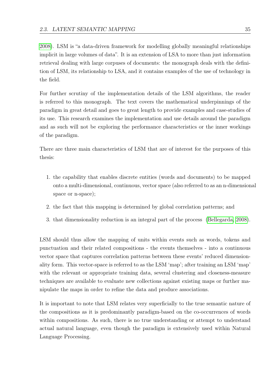[2008\)](#page-120-0). LSM is "a data-driven framework for modelling globally meaningful relationships implicit in large volumes of data". It is an extension of LSA to more than just information retrieval dealing with large corpuses of documents: the monograph deals with the definition of LSM, its relationship to LSA, and it contains examples of the use of technology in the field.

For further scrutiny of the implementation details of the LSM algorithms, the reader is referred to this monograph. The text covers the mathematical underpinnings of the paradigm in great detail and goes to great length to provide examples and case-studies of its use. This research examines the implementation and use details around the paradigm and as such will not be exploring the performance characteristics or the inner workings of the paradigm.

There are three main characteristics of LSM that are of interest for the purposes of this thesis:

- 1. the capability that enables discrete entities (words and documents) to be mapped onto a multi-dimensional, continuous, vector space (also referred to as an n-dimensional space or n-space);
- 2. the fact that this mapping is determined by global correlation patterns; and
- 3. that dimensionality reduction is an integral part of the process [\(Bellegarda, 2008\)](#page-120-0).

LSM should thus allow the mapping of units within events such as words, tokens and punctuation and their related compositions - the events themselves - into a continuous vector space that captures correlation patterns between these events' reduced dimensionality form. This vector-space is referred to as the LSM 'map'; after training an LSM 'map' with the relevant or appropriate training data, several clustering and closeness-measure techniques are available to evaluate new collections against existing maps or further manipulate the maps in order to refine the data and produce associations.

It is important to note that LSM relates very superficially to the true semantic nature of the compositions as it is predominantly paradigm-based on the co-occurrences of words within compositions. As such, there is no true understanding or attempt to understand actual natural language, even though the paradigm is extensively used within Natural Language Processing.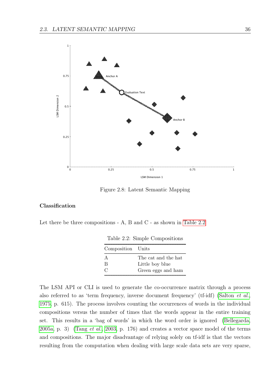

<span id="page-45-1"></span>Figure 2.8: Latent Semantic Mapping

#### Classification

Let there be three compositions - A, B and C - as shown in [Table 2.2](#page-45-0)

| Composition Units |                     |
|-------------------|---------------------|
|                   | The cat and the hat |
|                   | Little boy blue     |
|                   | Green eggs and ham  |

<span id="page-45-0"></span>Table 2.2: Simple Compositions

The LSM API or CLI is used to generate the co-occurrence matrix through a process also referred to as 'term frequency, inverse document frequency' (tf-idf) [\(Salton](#page-125-2) et al., [1975,](#page-125-2) p. 615). The process involves counting the occurrences of words in the individual compositions versus the number of times that the words appear in the entire training set. This results in a 'bag of words' in which the word order is ignored [\(Bellegarda,](#page-119-1) [2005a,](#page-119-1) p. 3) [\(Tang](#page-126-3) *et al.*, [2003,](#page-126-3) p. 176) and creates a vector space model of the terms and compositions. The major disadvantage of relying solely on tf-idf is that the vectors resulting from the computation when dealing with large scale data sets are very sparse,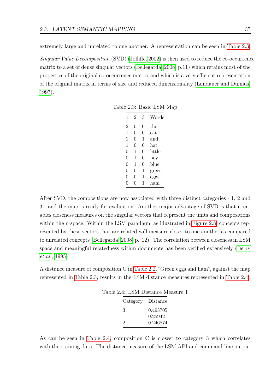extremely large and unrelated to one another. A representation can be seen in [Table 2.3.](#page-46-0)

Singular Value Decomposition (SVD) [\(Jolliffe, 2002\)](#page-123-2) is then used to reduce the co-occurrence matrix to a set of dense singular vectors [\(Bellegarda, 2008,](#page-120-0) p.11) which retains most of the properties of the original co-occurrence matrix and which is a very efficient representation of the original matrix in terms of size and reduced dimensionality [\(Landauer and Dumais,](#page-123-3) [1997\)](#page-123-3).

<span id="page-46-0"></span>

| 1 | 2 | 3 | Words  |
|---|---|---|--------|
| 2 | 0 | 0 | the    |
| 1 | 0 | 0 | cat    |
| 1 | 0 | 1 | and    |
| 1 | 0 | 0 | hat    |
| 0 | 1 | 0 | little |
| 0 | 1 | 0 | boy    |
| 0 | 1 | 0 | blue   |
| 0 | 0 | 1 | green  |
| 0 | 0 | 1 | eggs   |
|   | 0 | 1 | ham    |

Table 2.3: Basic LSM Map

After SVD, the compositions are now associated with three distinct categories - 1, 2 and 3 - and the map is ready for evaluation. Another major advantage of SVD is that it enables closeness measures on the singular vectors that represent the units and compositions within the n-space. Within the LSM paradigm, as illustrated in [Figure 2.8,](#page-45-1) concepts represented by these vectors that are related will measure closer to one another as compared to unrelated concepts [\(Bellegarda, 2008,](#page-120-0) p. 12). The correlation between closeness in LSM space and meaningful relatedness within documents has been verified extensively [\(Berry](#page-120-1) [et al.](#page-120-1), [1995\)](#page-120-1)

A distance measure of composition C in [Table 2.2,](#page-45-0) "Green eggs and ham", against the map represented in [Table 2.3,](#page-46-0) results in the LSM distance measures represented in [Table 2.4.](#page-46-1)

<span id="page-46-1"></span>

| Category | Distance |
|----------|----------|
| З        | 0.493705 |
| ı        | 0.259421 |
| 2        | 0.246874 |

Table 2.4: LSM Distance Measure 1

As can be seen in [Table 2.4,](#page-46-1) composition C is closest to category 3 which correlates with the training data. The distance measure of the LSM API and command-line output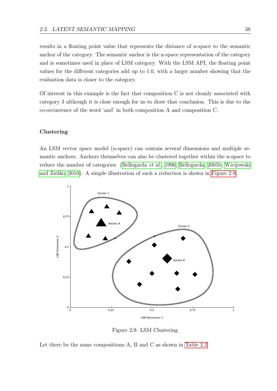results in a floating point value that represents the distance of n-space to the semantic anchor of the category. The semantic anchor is the n-space representation of the category and is sometimes used in place of LSM category. With the LSM API, the floating point values for the different categories add up to 1.0, with a larger number showing that the evaluation data is closer to the category.

Of interest in this example is the fact that composition C is not cleanly associated with category 3 although it is close enough for us to draw that conclusion. This is due to the co-occurrence of the word 'and' in both composition A and composition C.

#### Clustering

An LSM vector space model (n-space) can contain several dimensions and multiple semantic anchors. Anchors themselves can also be clustered together within the n-space to reduce the number of categories [\(Bellegarda](#page-120-2) et al., [1996;](#page-120-2) [Bellegarda, 2005b;](#page-120-3) [Wicijowski](#page-127-0) [and Ziółko, 2010\)](#page-127-0). A simple illustration of such a reduction is shown in [Figure 2.9](#page-47-0)



<span id="page-47-0"></span>Figure 2.9: LSM Clustering

Let there be the same compositions A, B and C as shown in [Table 2.2](#page-45-0)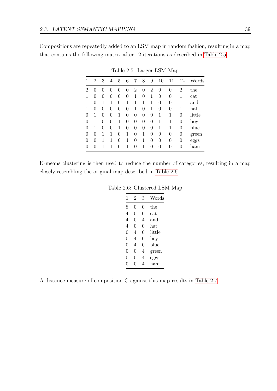Compositions are repeatedly added to an LSM map in random fashion, resulting in a map that contains the following matrix after 12 iterations as described in [Table 2.5](#page-48-0)

|          | 2 | 3            | 4        | 5 | 6 | 7 | 8 | 9 | 10 | 11       | 12               | Words  |
|----------|---|--------------|----------|---|---|---|---|---|----|----------|------------------|--------|
| 2        | 0 | $\mathbf{0}$ | $\theta$ | 0 | 0 | 2 | 0 | 2 | 0  | 0        | $\overline{2}$   | the    |
| 1        | 0 | 0            | 0        | 0 | 0 | 1 | 0 | 1 | 0  | 0        | 1                | cat    |
|          | 0 | 1            | 1        | 0 | 1 | 1 | 1 | 1 | 0  | 0        | 1                | and    |
|          | 0 | 0            | 0        | 0 | 0 | 1 | 0 | 1 | 0  | 0        | 1                | hat    |
| 0        |   | 0            | 0        | 1 | 0 | 0 | 0 | 0 | 1  | 1        | 0                | little |
| $\theta$ |   | 0            | 0        | 1 | 0 | 0 | 0 | 0 | 1  | 1        | 0                | boy    |
| 0        |   | 0            | 0        | 1 | 0 | 0 | 0 | 0 | 1  | 1        | 0                | blue   |
| $\theta$ | 0 |              | 1        | 0 | 1 | 0 | 1 | 0 | 0  | $\theta$ | $\boldsymbol{0}$ | green  |
| $\theta$ | 0 |              | 1        | 0 | 1 | 0 | 1 | 0 | 0  | 0        | 0                | eggs   |
| 0        | 0 |              | 1        | 0 | 1 | 0 | 1 | 0 | 0  | 0        | 0                | ham    |

<span id="page-48-0"></span>Table 2.5: Larger LSM Map

K-means clustering is then used to reduce the number of categories, resulting in a map closely resembling the original map described in [Table 2.6](#page-48-1)

Table 2.6: Clustered LSM Map

<span id="page-48-1"></span>

| 1        | 2        | 3 | Words     |
|----------|----------|---|-----------|
| 8        | 0        | 0 | the       |
| 4        | $\Omega$ | 0 | $\rm cat$ |
| 4        | 0        | 4 | and       |
| 4        | 0        | 0 | hat       |
| 0        | 4        | 0 | little    |
| 0        | 4        | 0 | boy       |
| 0        | 4        | 0 | blue      |
| $\Omega$ | 0        | 4 | green     |
| 0        | O        | 4 | eggs      |
|          |          |   | ham       |

A distance measure of composition C against this map results in [Table 2.7](#page-49-0)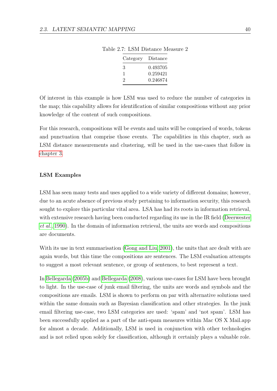<span id="page-49-0"></span>

| Category | Distance |
|----------|----------|
| З        | 0.493705 |
| T.       | 0.259421 |
| 2        | 0.246874 |

Table 2.7: LSM Distance Measure 2

Of interest in this example is how LSM was used to reduce the number of categories in the map; this capability allows for identification of similar compositions without any prior knowledge of the content of such compositions.

For this research, compositions will be events and units will be comprised of words, tokens and punctuation that comprise those events. The capabilities in this chapter, such as LSM distance measurements and clustering, will be used in the use-cases that follow in [chapter 3.](#page-53-0)

#### LSM Examples

LSM has seen many tests and uses applied to a wide variety of different domains; however, due to an acute absence of previous study pertaining to information security, this research sought to explore this particular vital area. LSA has had its roots in information retrieval, with extensive research having been conducted regarding its use in the IR field [\(Deerwester](#page-121-2) [et al.](#page-121-2), [1990\)](#page-121-2). In the domain of information retrieval, the units are words and compositions are documents.

With its use in text summarisation [\(Gong and Liu, 2001\)](#page-122-2), the units that are dealt with are again words, but this time the compositions are sentences. The LSM evaluation attempts to suggest a most relevant sentence, or group of sentences, to best represent a text.

In [Bellegarda](#page-120-3) [\(2005b\)](#page-120-3) and [Bellegarda](#page-120-0) [\(2008\)](#page-120-0), various use-cases for LSM have been brought to light. In the use-case of junk email filtering, the units are words and symbols and the compositions are emails. LSM is shown to perform on par with alternative solutions used within the same domain such as Bayesian classification and other strategies. In the junk email filtering use-case, two LSM categories are used: 'spam' and 'not spam'. LSM has been successfully applied as a part of the anti-spam measures within Mac OS X Mail.app for almost a decade. Additionally, LSM is used in conjunction with other technologies and is not relied upon solely for classification, although it certainly plays a valuable role.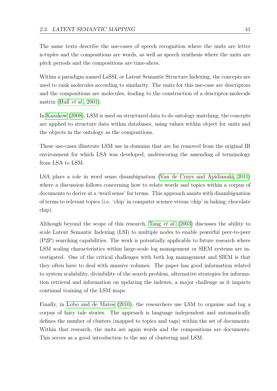The same texts describe the use-cases of speech recognition where the units are letter n-tuples and the compositions are words, as well as speech synthesis where the units are pitch periods and the compositions are time-slices.

Within a paradigm named LaSSI, or Latent Semantic Structure Indexing, the concepts are used to rank molecules according to similarity. The units for this use-case are descriptors and the compositions are molecules, leading to the construction of a descriptor-molecule matrix (Hull  $et \ al.,\ 2001$ ).

In [Kazakow](#page-123-4) [\(2008\)](#page-123-4), LSM is used on structured data to do ontology matching; the concepts are applied to structure data within databases, using values within object for units and the objects in the ontology as the compositions.

These use-cases illustrate LSM use in domains that are far removed from the original IR environment for which LSA was developed, underscoring the amending of terminology from LSA to LSM.

LSA plays a role in word sense disambiguation [\(Van de Cruys and Apidianaki, 2011\)](#page-126-4) where a discussion follows concerning how to relate words and topics within a corpus of documents to derive at a 'word sense' for terms. This approach assists with disambiguation of terms to relevant topics (i.e. 'chip' in computer science versus 'chip' in baking/chocolate chip).

Although beyond the scope of this research, [Tang](#page-126-3) et al. [\(2003\)](#page-126-3) discusses the ability to scale Latent Semantic Indexing (LSI) to multiple nodes to enable powerful peer-to-peer (P2P) searching capabilities. The work is potentially applicable to future research where LSM scaling characteristics within large-scale log management or SIEM systems are investigated. One of the critical challenges with both log management and SIEM is that they often have to deal with massive volumes. The paper has good information related to system scalability, divisibility of the search problem, alternative strategies for information retrieval and information on updating the indexes, a major challenge as it impacts continual training of the LSM maps.

Finally, in [Lobo and de Matos](#page-124-1) [\(2010\)](#page-124-1), the researchers use LSM to organise and tag a corpus of fairy tale stories. The approach is language independent and automatically defines the number of clusters (mapped to topics and tags) within the set of documents. Within that research, the units are again words and the compositions are documents. This serves as a good introduction to the use of clustering and LSM.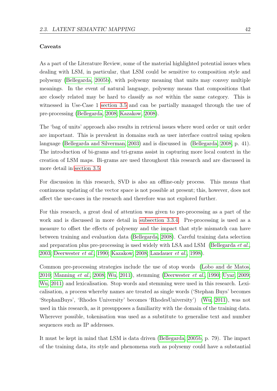#### Caveats

As a part of the Literature Review, some of the material highlighted potential issues when dealing with LSM, in particular, that LSM could be sensitive to composition style and polysemy [\(Bellegarda, 2005b\)](#page-120-3), with polysemy meaning that units may convey multiple meanings. In the event of natural language, polysemy means that compositions that are closely related may be hard to classify as not within the same category. This is witnessed in Use-Case 1 [section 3.5](#page-67-0) and can be partially managed through the use of pre-processing [\(Bellegarda, 2008;](#page-120-0) [Kazakow, 2008\)](#page-123-4).

The 'bag of units' approach also results in retrieval issues where word order or unit order are important. This is prevalent in domains such as user interface control using spoken language [\(Bellegarda and Silverman, 2003\)](#page-120-4) and is discussed in [\(Bellegarda, 2008,](#page-120-0) p. 41). The introduction of bi-grams and tri-grams assist in capturing more local context in the creation of LSM maps. Bi-grams are used throughout this research and are discussed in more detail in [section 3.5.](#page-67-0)

For discussion in this research, SVD is also an offline-only process. This means that continuous updating of the vector space is not possible at present; this, however, does not affect the use-cases in the research and therefore was not explored further.

For this research, a great deal of attention was given to pre-processing as a part of the work and is discussed in more detail in [subsection 3.3.4.](#page-61-0) Pre-processing is used as a measure to offset the effects of polysemy and the impact that style mismatch can have between training and evaluation data [\(Bellegarda, 2008\)](#page-120-0). Careful training data selection and preparation plus pre-processing is used widely with LSA and LSM [\(Bellegarda](#page-120-5)  $et al.,$ [2003;](#page-120-5) [Deerwester](#page-121-2) et al., [1990;](#page-121-2) [Kazakow, 2008;](#page-123-4) [Landauer](#page-123-1) et al., [1998\)](#page-123-1).

Common pre-processing strategies include the use of stop words [\(Lobo and de Matos,](#page-124-1) [2010;](#page-124-1) [Manning](#page-124-0) et al., [2008;](#page-124-0) [Wu, 2011\)](#page-127-1), stemming [\(Deerwester](#page-121-2) et al., [1990;](#page-121-2) [Uyar, 2009;](#page-126-2) [Wu, 2011\)](#page-127-1) and lexicalisation. Stop words and stemming were used in this research. Lexicalisation, a process whereby names are treated as single words ('Stephan Buys' becomes 'StephanBuys', 'Rhodes University' becomes 'RhodesUniversity') [\(Wu, 2011\)](#page-127-1), was not used in this research, as it presupposes a familiarity with the domain of the training data. Wherever possible, tokenisation was used as a substitute to generalise text and number sequences such as IP addresses.

It must be kept in mind that LSM is data driven [\(Bellegarda, 2005b,](#page-120-3) p. 79). The impact of the training data, its style and phenomena such as polysemy could have a substantial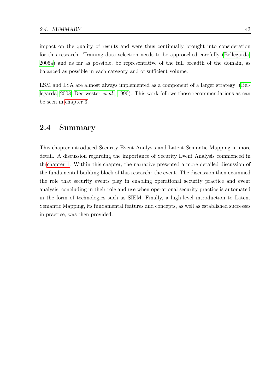impact on the quality of results and were thus continually brought into consideration for this research. Training data selection needs to be approached carefully [\(Bellegarda,](#page-119-1) [2005a\)](#page-119-1) and as far as possible, be representative of the full breadth of the domain, as balanced as possible in each category and of sufficient volume.

LSM and LSA are almost always implemented as a component of a larger strategy [\(Bel](#page-120-0)[legarda, 2008;](#page-120-0) [Deerwester](#page-121-2) et al., [1990\)](#page-121-2). This work follows those recommendations as can be seen in [chapter 3.](#page-53-0)

### 2.4 Summary

This chapter introduced Security Event Analysis and Latent Semantic Mapping in more detail. A discussion regarding the importance of Security Event Analysis commenced in th[echapter 1.](#page-10-0) Within this chapter, the narrative presented a more detailed discussion of the fundamental building block of this research: the event. The discussion then examined the role that security events play in enabling operational security practice and event analysis, concluding in their role and use when operational security practice is automated in the form of technologies such as SIEM. Finally, a high-level introduction to Latent Semantic Mapping, its fundamental features and concepts, as well as established successes in practice, was then provided.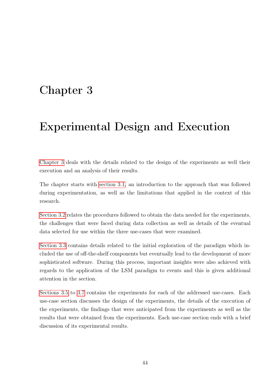# <span id="page-53-0"></span>Chapter 3

# Experimental Design and Execution

[Chapter 3](#page-53-0) deals with the details related to the design of the experiments as well their execution and an analysis of their results.

The chapter starts with [section 3.1,](#page-54-0) an introduction to the approach that was followed during experimentation, as well as the limitations that applied in the context of this research.

[Section 3.2](#page-54-1) relates the procedures followed to obtain the data needed for the experiments, the challenges that were faced during data collection as well as details of the eventual data selected for use within the three use-cases that were examined.

[Section 3.3](#page-57-0) contains details related to the initial exploration of the paradigm which included the use of off-the-shelf components but eventually lead to the development of more sophisticated software. During this process, important insights were also achieved with regards to the application of the LSM paradigm to events and this is given additional attention in the section.

[Sections 3.5](#page-67-0) to [3.7](#page-102-0) contains the experiments for each of the addressed use-cases. Each use-case section discusses the design of the experiments, the details of the execution of the experiments, the findings that were anticipated from the experiments as well as the results that were obtained from the experiments. Each use-case section ends with a brief discussion of its experimental results.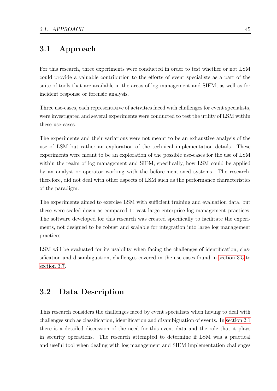# <span id="page-54-0"></span>3.1 Approach

For this research, three experiments were conducted in order to test whether or not LSM could provide a valuable contribution to the efforts of event specialists as a part of the suite of tools that are available in the areas of log management and SIEM, as well as for incident response or forensic analysis.

Three use-cases, each representative of activities faced with challenges for event specialists, were investigated and several experiments were conducted to test the utility of LSM within these use-cases.

The experiments and their variations were not meant to be an exhaustive analysis of the use of LSM but rather an exploration of the technical implementation details. These experiments were meant to be an exploration of the possible use-cases for the use of LSM within the realm of log management and SIEM; specifically, how LSM could be applied by an analyst or operator working with the before-mentioned systems. The research, therefore, did not deal with other aspects of LSM such as the performance characteristics of the paradigm.

The experiments aimed to exercise LSM with sufficient training and evaluation data, but these were scaled down as compared to vast large enterprise log management practices. The software developed for this research was created specifically to facilitate the experiments, not designed to be robust and scalable for integration into large log management practices.

LSM will be evaluated for its usability when facing the challenges of identification, classification and disambiguation, challenges covered in the use-cases found in [section 3.5](#page-67-0) to [section 3.7.](#page-102-0)

# <span id="page-54-1"></span>3.2 Data Description

This research considers the challenges faced by event specialists when having to deal with challenges such as classification, identification and disambiguation of events. In [section 2.1](#page-21-0) there is a detailed discussion of the need for this event data and the role that it plays in security operations. The research attempted to determine if LSM was a practical and useful tool when dealing with log management and SIEM implementation challenges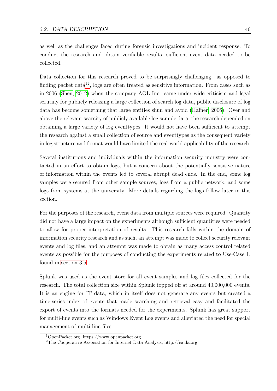as well as the challenges faced during forensic investigations and incident response. To conduct the research and obtain verifiable results, sufficient event data needed to be collected.

Data collection for this research proved to be surprisingly challenging: as opposed to finding packet data<sup>[1](#page-55-0)[2](#page-55-1)</sup>, logs are often treated as sensitive information. From cases such as in 2006 [\(Shen, 2012\)](#page-125-3) when the company AOL Inc. came under wide criticism and legal scrutiny for publicly releasing a large collection of search log data, public disclosure of log data has become something that large entities shun and avoid [\(Hafner, 2006\)](#page-122-4). Over and above the relevant scarcity of publicly available log sample data, the research depended on obtaining a large variety of log eventtypes. It would not have been sufficient to attempt the research against a small collection of source and eventtypes as the consequent variety in log structure and format would have limited the real-world applicability of the research.

Several institutions and individuals within the information security industry were contacted in an effort to obtain logs, but a concern about the potentially sensitive nature of information within the events led to several abrupt dead ends. In the end, some log samples were secured from other sample sources, logs from a public network, and some logs from systems at the university. More details regarding the logs follow later in this section.

For the purposes of the research, event data from multiple sources were required. Quantity did not have a large impact on the experiments although sufficient quantities were needed to allow for proper interpretation of results. This research falls within the domain of information security research and as such, an attempt was made to collect security relevant events and log files, and an attempt was made to obtain as many access control related events as possible for the purposes of conducting the experiments related to Use-Case 1, found in [section 3.5.](#page-67-0)

Splunk was used as the event store for all event samples and log files collected for the research. The total collection size within Splunk topped off at around 40,000,000 events. It is an engine for IT data, which in itself does not generate any events but created a time-series index of events that made searching and retrieval easy and facilitated the export of events into the formats needed for the experiments. Splunk has great support for multi-line events such as Windows Event Log events and alleviated the need for special management of multi-line files.

<span id="page-55-0"></span><sup>1</sup>OpenPacket.org, https://www.openpacket.org

<span id="page-55-1"></span><sup>2</sup>The Cooperative Association for Internet Data Analysis, http://caida.org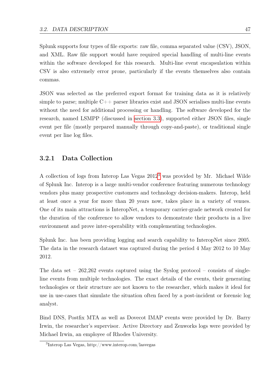Splunk supports four types of file exports: raw file, comma separated value (CSV), JSON, and XML. Raw file support would have required special handling of multi-line events within the software developed for this research. Multi-line event encapsulation within CSV is also extremely error prone, particularly if the events themselves also contain commas.

JSON was selected as the preferred export format for training data as it is relatively simple to parse; multiple  $C++$  parser libraries exist and JSON serialises multi-line events without the need for additional processing or handling. The software developed for the research, named LSMPP (discussed in [section 3.3\)](#page-57-0), supported either JSON files, single event per file (mostly prepared manually through copy-and-paste), or traditional single event per line log files.

### 3.2.1 Data Collection

A collection of logs from Interop Las Vegas 2012[3](#page-56-0) was provided by Mr. Michael Wilde of Splunk Inc. Interop is a large multi-vendor conference featuring numerous technology vendors plus many prospective customers and technology decision-makers. Interop, held at least once a year for more than 20 years now, takes place in a variety of venues. One of its main attractions is InteropNet, a temporary carrier-grade network created for the duration of the conference to allow vendors to demonstrate their products in a live environment and prove inter-operability with complementing technologies.

Splunk Inc. has been providing logging and search capability to InteropNet since 2005. The data in the research dataset was captured during the period 4 May 2012 to 10 May 2012.

The data set  $-262,262$  events captured using the Syslog protocol – consists of singleline events from multiple technologies. The exact details of the events, their generating technologies or their structure are not known to the researcher, which makes it ideal for use in use-cases that simulate the situation often faced by a post-incident or forensic log analyst.

Bind DNS, Postfix MTA as well as Dovecot IMAP events were provided by Dr. Barry Irwin, the researcher's supervisor. Active Directory and Zenworks logs were provided by Michael Irwin, an employee of Rhodes University.

<span id="page-56-0"></span><sup>3</sup> Interop Las Vegas, http://www.interop.com/lasvegas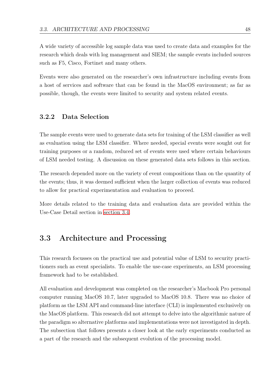A wide variety of accessible log sample data was used to create data and examples for the research which deals with log management and SIEM; the sample events included sources such as F5, Cisco, Fortinet and many others.

Events were also generated on the researcher's own infrastructure including events from a host of services and software that can be found in the MacOS environment; as far as possible, though, the events were limited to security and system related events.

### 3.2.2 Data Selection

The sample events were used to generate data sets for training of the LSM classifier as well as evaluation using the LSM classifier. Where needed, special events were sought out for training purposes or a random, reduced set of events were used where certain behaviours of LSM needed testing. A discussion on these generated data sets follows in this section.

The research depended more on the variety of event compositions than on the quantity of the events; thus, it was deemed sufficient when the larger collection of events was reduced to allow for practical experimentation and evaluation to proceed.

More details related to the training data and evaluation data are provided within the Use-Case Detail section in [section 3.4.](#page-66-0)

# <span id="page-57-0"></span>3.3 Architecture and Processing

This research focusses on the practical use and potential value of LSM to security practitioners such as event specialists. To enable the use-case experiments, an LSM processing framework had to be established.

All evaluation and development was completed on the researcher's Macbook Pro personal computer running MacOS 10.7, later upgraded to MacOS 10.8. There was no choice of platform as the LSM API and command-line interface (CLI) is implemented exclusively on the MacOS platform. This research did not attempt to delve into the algorithmic nature of the paradigm so alternative platforms and implementations were not investigated in depth. The subsection that follows presents a closer look at the early experiments conducted as a part of the research and the subsequent evolution of the processing model.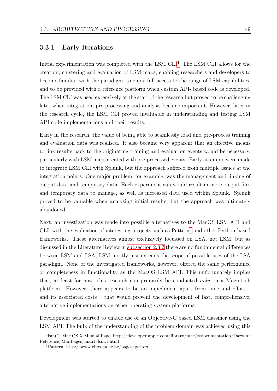### 3.3.1 Early Iterations

Initial experimentation was completed with the LSM CLI<sup>[4](#page-58-0)</sup>. The LSM CLI allows for the creation, clustering and evaluation of LSM maps, enabling researchers and developers to become familiar with the paradigm, to enjoy full access to the range of LSM capabilities, and to be provided with a reference platform when custom API- based code is developed. The LSM CLI was used extensively at the start of the research but proved to be challenging later when integration, pre-processing and analysis became important. However, later in the research cycle, the LSM CLI proved invaluable in understanding and testing LSM API code implementations and their results.

Early in the research, the value of being able to seamlessly load and pre-process training and evaluation data was realised. It also became very apparent that an effective means to link results back to the originating training and evaluation events would be necessary, particularly with LSM maps created with pre-processed events. Early attempts were made to integrate LSM CLI with Splunk, but the approach suffered from multiple issues at the integration points. One major problem, for example, was the management and linking of output data and temporary data. Each experiment run would result in more output files and temporary data to manage, as well as increased data used within Splunk. Splunk proved to be valuable when analysing initial results, but the approach was ultimately abandoned.

Next, an investigation was made into possible alternatives to the MacOS LSM API and CLI, with the evaluation of interesting projects such as Pattern<sup>[5](#page-58-1)</sup> and other Python-based frameworks. These alternatives almost exclusively focussed on LSA, not LSM, but as discussed in the Literature Review in [subsection 2.3.2](#page-43-0) there are no fundamental differences between LSM and LSA; LSM mostly just extends the scope of possible uses of the LSA paradigm. None of the investigated frameworks, however, offered the same performance or completeness in functionality as the MacOS LSM API. This unfortunately implies that, at least for now, this research can primarily be conducted only on a Macintosh platform. However, there appears to be no impediment apart from time and effort – and its associated costs – that would prevent the development of fast, comprehensive, alternative implementations on other operating system platforms.

Development was started to enable use of an Objective-C based LSM classifier using the LSM API. The bulk of the understanding of the problem domain was achieved using this

<span id="page-58-0"></span> $^{4}$ lsm(1) Mac OS X Manual Page, http://developer.apple.com/library/mac/#documentation/Darwin/ Reference/ManPages/man1/lsm.1.html

<span id="page-58-1"></span><sup>5</sup>Pattern, http://www.clips.ua.ac.be/pages/pattern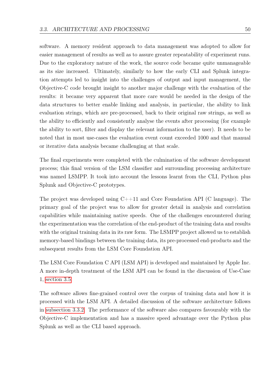software. A memory resident approach to data management was adopted to allow for easier management of results as well as to assure greater repeatability of experiment runs. Due to the exploratory nature of the work, the source code became quite unmanageable as its size increased. Ultimately, similarly to how the early CLI and Splunk integration attempts led to insight into the challenges of output and input management, the Objective-C code brought insight to another major challenge with the evaluation of the results: it became very apparent that more care would be needed in the design of the data structures to better enable linking and analysis, in particular, the ability to link evaluation strings, which are pre-processed, back to their original raw strings, as well as the ability to efficiently and consistently analyse the events after processing (for example the ability to sort, filter and display the relevant information to the user). It needs to be noted that in most use-cases the evaluation event count exceeded 1000 and that manual or iterative data analysis became challenging at that scale.

The final experiments were completed with the culmination of the software development process; this final version of the LSM classifier and surrounding processing architecture was named LSMPP. It took into account the lessons learnt from the CLI, Python plus Splunk and Objective-C prototypes.

The project was developed using  $C++11$  and Core Foundation API (C language). The primary goal of the project was to allow for greater detail in analysis and correlation capabilities while maintaining native speeds. One of the challenges encountered during the experimentation was the correlation of the end-product of the training data and results with the original training data in its raw form. The LSMPP project allowed us to establish memory-based bindings between the training data, its pre-processed end-products and the subsequent results from the LSM Core Foundation API.

The LSM Core Foundation C API (LSM API) is developed and maintained by Apple Inc. A more in-depth treatment of the LSM API can be found in the discussion of Use-Case 1, [section 3.5.](#page-67-0)

The software allows fine-grained control over the corpus of training data and how it is processed with the LSM API. A detailed discussion of the software architecture follows in [subsection 3.3.2.](#page-60-0) The performance of the software also compares favourably with the Objective-C implementation and has a massive speed advantage over the Python plus Splunk as well as the CLI based approach.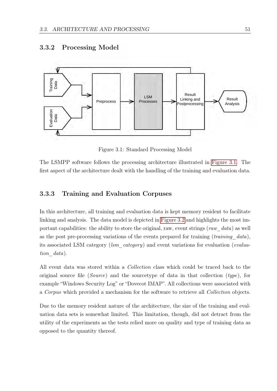

### <span id="page-60-0"></span>3.3.2 Processing Model

<span id="page-60-1"></span>Figure 3.1: Standard Processing Model

The LSMPP software follows the processing architecture illustrated in [Figure 3.1.](#page-60-1) The first aspect of the architecture dealt with the handling of the training and evaluation data.

### 3.3.3 Training and Evaluation Corpuses

In this architecture, all training and evaluation data is kept memory resident to facilitate linking and analysis. The data model is depicted in [Figure 3.2](#page-61-1) and highlights the most important capabilities: the ability to store the original, raw, event strings (raw  $data$ ) as well as the post pre-processing variations of the events prepared for training  $(training\ data)$ , its associated LSM category (*lsm\_category*) and event variations for evaluation (*evalua*tion data).

All event data was stored within a *Collection* class which could be traced back to the original source file (*Source*) and the sourcetype of data in that collection (type), for example "Windows Security Log" or "Dovecot IMAP". All collections were associated with a Corpus which provided a mechanism for the software to retrieve all Collection objects.

Due to the memory resident nature of the architecture, the size of the training and evaluation data sets is somewhat limited. This limitation, though, did not detract from the utility of the experiments as the tests relied more on quality and type of training data as opposed to the quantity thereof.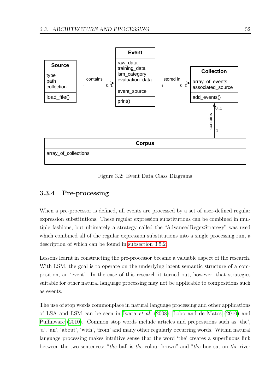

<span id="page-61-1"></span>Figure 3.2: Event Data Class Diagrams

### <span id="page-61-0"></span>3.3.4 Pre-processing

When a pre-processor is defined, all events are processed by a set of user-defined regular expression substitutions. These regular expression substitutions can be combined in multiple fashions, but ultimately a strategy called the "AdvancedRegexStrategy" was used which combined all of the regular expression substitutions into a single processing run, a description of which can be found in [subsection 3.5.2.](#page-71-0)

Lessons learnt in constructing the pre-processor became a valuable aspect of the research. With LSM, the goal is to operate on the underlying latent semantic structure of a composition, an 'event'. In the case of this research it turned out, however, that strategies suitable for other natural language processing may not be applicable to compositions such as events.

The use of stop words commonplace in natural language processing and other applications of LSA and LSM can be seen in [Iwata](#page-122-5) et al. [\(2008\)](#page-122-5), [Lobo and de Matos](#page-124-1) [\(2010\)](#page-124-1) and [Puffinware](#page-125-4) [\(2010\)](#page-125-4). Common stop words include articles and prepositions such as 'the', 'a', 'an', 'about', 'with', 'from' and many other regularly occurring words. Within natural language processing makes intuitive sense that the word 'the' creates a superfluous link between the two sentences: "the ball is the colour brown" and "the boy sat on the river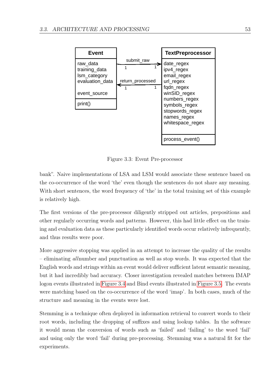

<span id="page-62-0"></span>Figure 3.3: Event Pre-processor

bank". Naive implementations of LSA and LSM would associate these sentence based on the co-occurrence of the word 'the' even though the sentences do not share any meaning. With short sentences, the word frequency of 'the' in the total training set of this example is relatively high.

The first versions of the pre-processor diligently stripped out articles, prepositions and other regularly occurring words and patterns. However, this had little effect on the training and evaluation data as these particularly identified words occur relatively infrequently, and thus results were poor.

More aggressive stopping was applied in an attempt to increase the quality of the results – eliminating allnumber and punctuation as well as stop words. It was expected that the English words and strings within an event would deliver sufficient latent semantic meaning, but it had incredibly bad accuracy. Closer investigation revealed matches between IMAP logon events illustrated in [Figure 3.4](#page-63-0) and Bind events illustrated in [Figure 3.5.](#page-63-1) The events were matching based on the co-occurrence of the word 'imap'. In both cases, much of the structure and meaning in the events were lost.

Stemming is a technique often deployed in information retrieval to convert words to their root words, including the dropping of suffixes and using lookup tables. In the software it would mean the conversion of words such as 'failed' and 'failing' to the word 'fail' and using only the word 'fail' during pre-processing. Stemming was a natural fit for the experiments.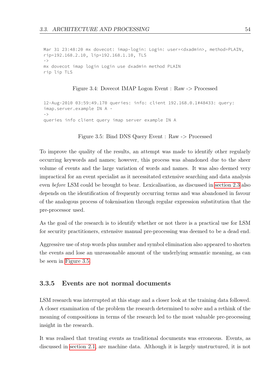Mar 31 23:48:20 mx dovecot: imap-login: Login: user=<dxadmin>, method=PLAIN, rip=192.168.2.10, lip=192.168.1.10, TLS  $-$  > mx dovecot imap login Login use dxadmin method PLAIN rip lip TLS

#### <span id="page-63-0"></span>Figure 3.4: Dovecot IMAP Logon Event : Raw -> Processed

```
12-Aug-2010 03:59:49.170 queries: info: client 192.168.0.1#48433: query: 
imap.server.example IN A -
- >queries info client query imap server example IN A
```
<span id="page-63-1"></span>Figure 3.5: Bind DNS Query Event : Raw -> Processed

To improve the quality of the results, an attempt was made to identify other regularly occurring keywords and names; however, this process was abandoned due to the sheer volume of events and the large variation of words and names. It was also deemed very impractical for an event specialist as it necessitated extensive searching and data analysis even before LSM could be brought to bear. Lexicalisation, as discussed in [section 2.3](#page-42-0) also depends on the identification of frequently occurring terms and was abandoned in favour of the analogous process of tokenisation through regular expression substitution that the pre-processor used.

As the goal of the research is to identify whether or not there is a practical use for LSM for security practitioners, extensive manual pre-processing was deemed to be a dead end.

Aggressive use of stop words plus number and symbol elimination also appeared to shorten the events and lose an unreasonable amount of the underlying semantic meaning, as can be seen in [Figure 3.5.](#page-63-1)

### 3.3.5 Events are not normal documents

LSM research was interrupted at this stage and a closer look at the training data followed. A closer examination of the problem the research determined to solve and a rethink of the meaning of compositions in terms of the research led to the most valuable pre-processing insight in the research.

It was realised that treating events as traditional documents was erroneous. Events, as discussed in [section 2.1,](#page-21-0) are machine data. Although it is largely unstructured, it is not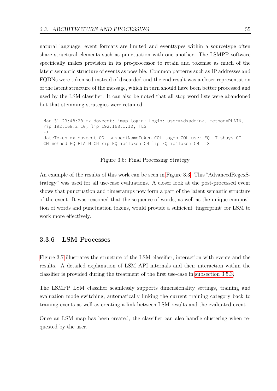natural language; event formats are limited and eventtypes within a sourcetype often share structural elements such as punctuation with one another. The LSMPP software specifically makes provision in its pre-processor to retain and tokenise as much of the latent semantic structure of events as possible. Common patterns such as IP addresses and FQDNs were tokenised instead of discarded and the end result was a closer representation of the latent structure of the message, which in turn should have been better processed and used by the LSM classifier. It can also be noted that all stop word lists were abandoned but that stemming strategies were retained.

```
Mar 31 23:48:20 mx dovecot: imap-login: Login: user=<dxadmin>, method=PLAIN, 
rip=192.168.2.10, lip=192.168.1.10, TLS
- >
dateToken mx dovecot COL suspectNameToken COL logon COL user EQ LT sbuys GT 
CM method EQ PLAIN CM rip EQ ip4Token CM lip EQ ip4Token CM TLS
```
Figure 3.6: Final Processing Strategy

An example of the results of this work can be seen in [Figure 3.3.](#page-62-0) This "AdvancedRegexStrategy" was used for all use-case evaluations. A closer look at the post-processed event shows that punctuation and timestamps now form a part of the latent semantic structure of the event. It was reasoned that the sequence of words, as well as the unique composition of words and punctuation tokens, would provide a sufficient 'fingerprint' for LSM to work more effectively.

### 3.3.6 LSM Processes

[Figure 3.7](#page-65-0) illustrates the structure of the LSM classifier, interaction with events and the results. A detailed explanation of LSM API internals and their interaction within the classifier is provided during the treatment of the first use-case in [subsection 3.5.3.](#page-73-0)

The LSMPP LSM classifier seamlessly supports dimensionality settings, training and evaluation mode switching, automatically linking the current training category back to training events as well as creating a link between LSM results and the evaluated event.

Once an LSM map has been created, the classifier can also handle clustering when requested by the user.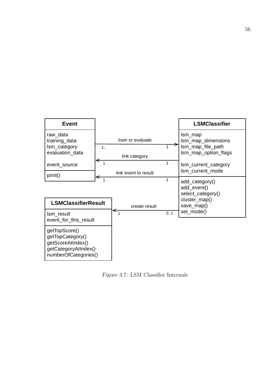

<span id="page-65-0"></span>Figure 3.7: LSM Classifier Internals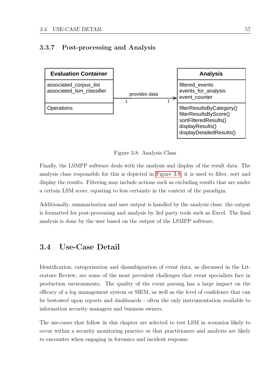### 3.3.7 Post-processing and Analysis



<span id="page-66-1"></span>Figure 3.8: Analysis Class

Finally, the LSMPP software deals with the analysis and display of the result data. The analysis class responsible for this is depicted in [Figure 3.8;](#page-66-1) it is used to filter, sort and display the results. Filtering may include actions such as excluding results that are under a certain LSM score, equating to less certainty in the context of the paradigm.

Additionally, summarisation and user output is handled by the analysis class: the output is formatted for post-processing and analysis by 3rd party tools such as Excel. The final analysis is done by the user based on the output of the LSMPP software.

# <span id="page-66-0"></span>3.4 Use-Case Detail

Identification, categorisation and disambiguation of event data, as discussed in the Literature Review, are some of the most prevalent challenges that event specialists face in production environments. The quality of the event parsing has a large impact on the efficacy of a log management system or SIEM, as well as the level of confidence that can be bestowed upon reports and dashboards - often the only instrumentation available to information security managers and business owners.

The use-cases that follow in this chapter are selected to test LSM in scenarios likely to occur within a security monitoring practice or that practitioners and analysts are likely to encounter when engaging in forensics and incident response.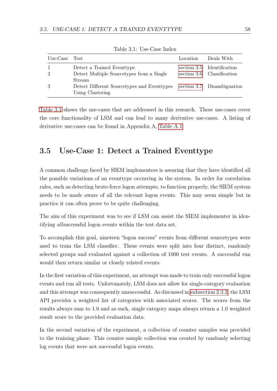| Use-Case       | Test                                                                     | Location | Deals With                                               |
|----------------|--------------------------------------------------------------------------|----------|----------------------------------------------------------|
| $\overline{2}$ | Detect a Trained Eventype<br>Detect Multiple Sourcetypes from a Single   |          | section 3.5 Identification<br>section 3.6 Classification |
| 3              | Stream<br>Detect Different Sourcetypes and Eventypes<br>Using Clustering |          | section 3.7 Disambiguation                               |

<span id="page-67-1"></span>Table 3.1: Use-Case Index

[Table 3.1](#page-67-1) shows the use-cases that are addressed in this research. These use-cases cover the core functionality of LSM and can lead to many derivative use-cases. A listing of derivative use-cases can be found in Appendix A, [Table A.1.](#page-129-0)

# <span id="page-67-0"></span>3.5 Use-Case 1: Detect a Trained Eventtype

A common challenge faced by SIEM implementers is assuring that they have identified all the possible variations of an eventtype occurring in the system. In order for correlation rules, such as detecting brute-force logon attempts, to function properly, the SIEM system needs to be made aware of all the relevant logon events. This may seem simple but in practice it can often prove to be quite challenging.

The aim of this experiment was to see if LSM can assist the SIEM implementer in identifying allsuccessful logon events within the test data set.

To accomplish this goal, nineteen "logon success" events from different sourcetypes were used to train the LSM classifier. These events were split into four distinct, randomly selected groups and evaluated against a collection of 1000 test events. A successful run would then return similar or closely related events.

In the first variation of this experiment, an attempt was made to train only successful logon events and run all tests. Unfortunately, LSM does not allow for single-category evaluation and this attempt was consequently unsuccessful. As discussed in [subsection 2.3.2,](#page-43-0) the LSM API provides a weighted list of categories with associated scores. The scores from the results always sum to 1.0 and as such, single category maps always return a 1.0 weighted result score to the provided evaluation data.

In the second variation of the experiment, a collection of counter samples was provided to the training phase. This counter sample collection was created by randomly selecting log events that were not successful logon events.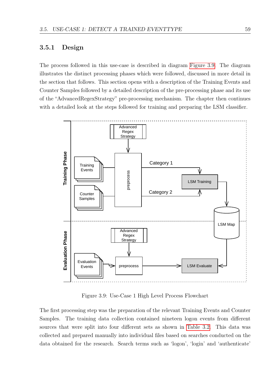### 3.5.1 Design

The process followed in this use-case is described in diagram [Figure 3.9.](#page-68-0) The diagram illustrates the distinct processing phases which were followed, discussed in more detail in the section that follows. This section opens with a description of the Training Events and Counter Samples followed by a detailed description of the pre-processing phase and its use of the "AdvancedRegexStrategy" pre-processing mechanism. The chapter then continues with a detailed look at the steps followed for training and preparing the LSM classifier.



<span id="page-68-0"></span>Figure 3.9: Use-Case 1 High Level Process Flowchart

The first processing step was the preparation of the relevant Training Events and Counter Samples. The training data collection contained nineteen logon events from different sources that were split into four different sets as shown in [Table 3.2.](#page-70-0) This data was collected and prepared manually into individual files based on searches conducted on the data obtained for the research. Search terms such as 'logon', 'login' and 'authenticate'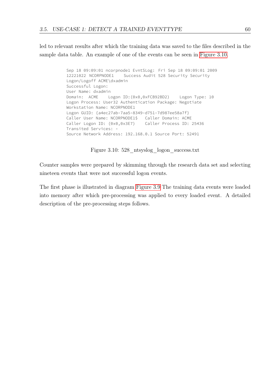led to relevant results after which the training data was saved to the files described in the sample data table. An example of one of the events can be seen in [Figure 3.10.](#page-69-0)

```
Sep 18 09:09:01 ncorpnode1 EvntSLog: Fri Sep 18 09:09:01 2009
12221022 NCORPNODE1 Success Audit 528 Security Security 
Logon/Logoff ACME\dxadmin 
Successful Logon: 
User Name: dxadmin 
Domain: ACME Logon ID:(0x0,0xFCB92BD2) Logon Type: 10 
Logon Process: User32 Authentication Package: Negotiate 
Workstation Name: NCORPNODE1 
Logon GUID: {a4ec27ab-7aa5-8349-d751-7d987ee58a7f} 
Caller User Name: NCORPNODE1$ Caller Domain: ACME
Caller Logon ID: (0x0,0x3E7) Caller Process ID: 25436 
Transited Services: - 
Source Network Address: 192.168.0.1 Source Port: 52491
```
<span id="page-69-0"></span>Figure 3.10: 528\_ntsyslog\_logon\_success.txt

Counter samples were prepared by skimming through the research data set and selecting nineteen events that were not successful logon events.

The first phase is illustrated in diagram [Figure 3.9](#page-68-0) The training data events were loaded into memory after which pre-processing was applied to every loaded event. A detailed description of the pre-processing steps follows.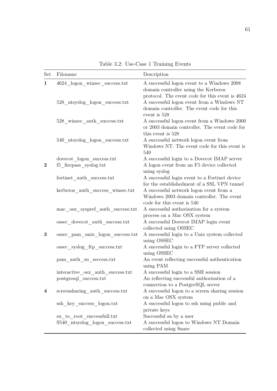| Set              | Filename                                                               | Description                                                                                                                                                 |
|------------------|------------------------------------------------------------------------|-------------------------------------------------------------------------------------------------------------------------------------------------------------|
| $\mathbf{1}$     | 4624 logon winsec success.txt                                          | A successful logon event to a Windows $2008\,$<br>domain controller using the Kerberos                                                                      |
|                  | 528 ntsyslog logon success.txt                                         | protocol. The event code for this event is 4624<br>A successful logon event from a Windows NT<br>domain controller. The event code for this<br>event is 528 |
|                  | 528_winsec_auth_success.txt                                            | A successful logon event from a Windows 2000<br>or 2003 domain controller. The event code for<br>this event is 528                                          |
|                  | 540 ntsyslog logon success.txt                                         | A successful network logon event from<br>Windows NT. The event code for this event is<br>540                                                                |
| $\boldsymbol{2}$ | dovecot logon success.txt<br>f5 firepass syslog.txt                    | A successful login to a Dovecot IMAP server<br>A logon event from an F5 device collected<br>using syslog                                                    |
|                  | fortinet auth success.txt                                              | A successful login event to a Fortinet device<br>for the established ment of a SSL VPN tunnel                                                               |
|                  | kerberos auth success winsec.txt                                       | A successful network logon event from a<br>Windows 2003 domain controller. The event<br>code for this event is 540                                          |
|                  | mac_osx_syspref_auth_success.txt                                       | A successful authorisation for a system<br>process on a Mac OSX system                                                                                      |
|                  | ossec dovecot auth success.txt                                         | A successful Dovecot IMAP login event<br>collected using OSSEC                                                                                              |
| $\bf{3}$         | ossec pam unix logon success.txt                                       | A successful login to a Unix system collected<br>using OSSEC                                                                                                |
|                  | ossec_syslog_ftp_success.txt                                           | A successful login to a FTP server collected<br>using OSSEC                                                                                                 |
|                  | pam_auth_su_seccess.txt                                                | An event reflecting successful authentication<br>using PAM                                                                                                  |
|                  | $\rm interactive\_osx\_auth\_success.txt$<br>$postgresql\_success.txt$ | A successful login to a SSH session<br>An reflecting successful authorisation of a<br>connection to a PostgreSQL server                                     |
| $\overline{4}$   | screensharing auth success.txt                                         | A successful logon to a screen sharing session<br>on a Mac OSX system                                                                                       |
|                  | ssh key success logon.txt                                              | A successful logon to ssh using public and<br>private keys                                                                                                  |
|                  | su to root successfull.txt                                             | Successful su by a user                                                                                                                                     |
|                  | $S540$ _ntsyslog_logon_success.txt                                     | A successful logon to Windows NT Domain<br>collected using Snare                                                                                            |

<span id="page-70-0"></span>Table 3.2: Use-Case 1 Training Events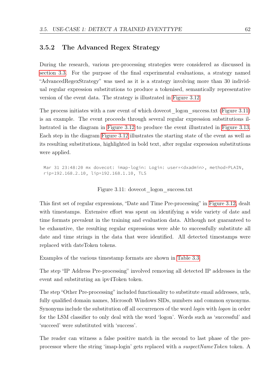### <span id="page-71-0"></span>3.5.2 The Advanced Regex Strategy

During the research, various pre-processing strategies were considered as discussed in [section 3.3.](#page-57-0) For the purpose of the final experimental evaluations, a strategy named "AdvancedRegexStrategy" was used as it is a strategy involving more than 30 individual regular expression substitutions to produce a tokenised, semantically representative version of the event data. The strategy is illustrated in [Figure 3.12.](#page-72-0)

The process initiates with a raw event of which dovecot logon success.txt [\(Figure 3.11\)](#page-71-1) is an example. The event proceeds through several regular expression substitutions illustrated in the diagram in [Figure 3.12](#page-72-0) to produce the event illustrated in [Figure 3.13.](#page-72-1) Each step in the diagram [Figure 3.12](#page-72-0) illustrates the starting state of the event as well as its resulting substitutions, highlighted in bold text, after regular expression substitutions were applied.

Mar 31 23:48:20 mx dovecot: imap-login: Login: user=<dxadmin>, method=PLAIN, rip=192.168.2.10, lip=192.168.1.10, TLS

#### <span id="page-71-1"></span>Figure 3.11: dovecot logon success.txt

This first set of regular expressions, "Date and Time Pre-processing" in [Figure 3.12,](#page-72-0) dealt with timestamps. Extensive effort was spent on identifying a wide variety of date and time formats prevalent in the training and evaluation data. Although not guaranteed to be exhaustive, the resulting regular expressions were able to successfully substitute all date and time strings in the data that were identified. All detected timestamps were replaced with dateToken tokens.

Examples of the various timestamp formats are shown in [Table 3.3.](#page-73-1)

The step "IP Address Pre-processing" involved removing all detected IP addresses in the event and substituting an ipv4Token token.

The step "Other Pre-processing" included functionality to substitute email addresses, urls, fully qualified domain names, Microsoft Windows SIDs, numbers and common synonyms. Synonyms include the substitution off all occurrences of the word *login* with *logon* in order for the LSM classifier to only deal with the word 'logon'. Words such as 'successful' and 'succeed' were substituted with 'success'.

The reader can witness a false positive match in the second to last phase of the preprocessor where the string 'imap-login' gets replaced with a *suspectNameToken* token. A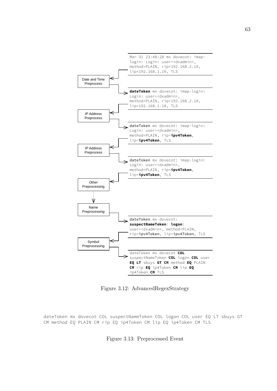

Figure 3.12: AdvancedRegexStrategy

dateToken mx dovecot COL suspectNameToken COL logon COL user EQ LT sbuys GT CM method EQ PLAIN CM rip EQ ip4Token CM lip EQ ip4Token CM TLS

Figure 3.13: Preprocessed Event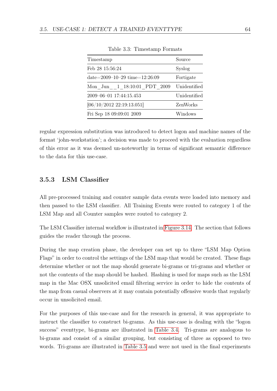| Timestamp                           | Source       |
|-------------------------------------|--------------|
| Feb 28 15:56:24                     | Syslog       |
| date= $2009-10-29$ time= $12:26:09$ | Fortigate    |
| Mon Jun 1 18:10:01 PDT 2009         | Unidentified |
| 2009-06-01 17:44:15.453             | Unidentified |
| [06/10/2012 22:19:13.051]           | ZenWorks     |
| Fri Sep 18 09:09:01 2009            | Windows      |

Table 3.3: Timestamp Formats

regular expression substitution was introduced to detect logon and machine names of the format 'john-workstation'; a decision was made to proceed with the evaluation regardless of this error as it was deemed un-noteworthy in terms of significant semantic difference to the data for this use-case.

## 3.5.3 LSM Classifier

All pre-processed training and counter sample data events were loaded into memory and then passed to the LSM classifier. All Training Events were routed to category 1 of the LSM Map and all Counter samples were routed to category 2.

The LSM Classifier internal workflow is illustrated in [Figure 3.14.](#page-74-0) The section that follows guides the reader through the process.

During the map creation phase, the developer can set up to three "LSM Map Option Flags" in order to control the settings of the LSM map that would be created. These flags determine whether or not the map should generate bi-grams or tri-grams and whether or not the contents of the map should be hashed. Hashing is used for maps such as the LSM map in the Mac OSX unsolicited email filtering service in order to hide the contents of the map from casual observers at it may contain potentially offensive words that regularly occur in unsolicited email.

For the purposes of this use-case and for the research in general, it was appropriate to instruct the classifier to construct bi-grams. As this use-case is dealing with the "logon success" eventtype, bi-grams are illustrated in [Table 3.4.](#page-75-0) Tri-grams are analogous to bi-grams and consist of a similar grouping, but consisting of three as opposed to two words. Tri-grams are illustrated in [Table 3.5](#page-75-1) and were not used in the final experiments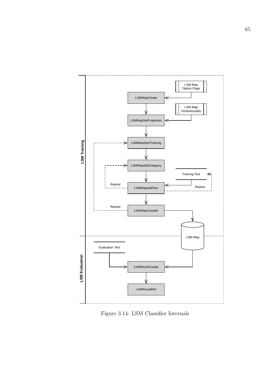

<span id="page-74-0"></span>Figure 3.14: LSM Classifier Internals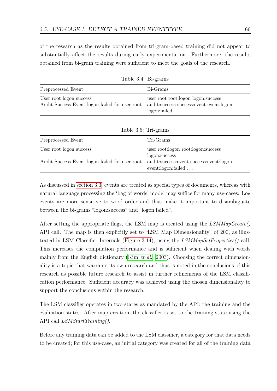of the research as the results obtained from tri-gram-based training did not appear to substantially affect the results during early experimentation. Furthermore, the results obtained from bi-gram training were sufficient to meet the goals of the research.

| Preprocessed Event                                                        | Bi-Grams                                                                                          |  |  |
|---------------------------------------------------------------------------|---------------------------------------------------------------------------------------------------|--|--|
| User root logon success<br>Audit Success Event logon failed for user root | user:root root:logon logon:success<br>audit: success success: event event: logon<br>logon: failed |  |  |
|                                                                           |                                                                                                   |  |  |
|                                                                           | Table 3.5: Tri-grams                                                                              |  |  |
| Preprocessed Event                                                        | Tri-Grams                                                                                         |  |  |
| User root logon success                                                   | user:root:logon root:logon:success                                                                |  |  |
|                                                                           | logon:success                                                                                     |  |  |
| Audit Success Event logon failed for user root                            | audit:success:event success:event:logon                                                           |  |  |

<span id="page-75-0"></span>Table 3.4: Bi-grams

As discussed in [section 3.3,](#page-57-0) events are treated as special types of documents, whereas with natural language processing the 'bag of words' model may suffice for many use-cases. Log events are more sensitive to word order and thus make it important to disambiguate between the bi-grams "logon:success" and "logon:failed".

<span id="page-75-1"></span>event:logon:failed . . .

After setting the appropriate flags, the LSM map is created using the  $LSMMapCreate()$ API call. The map is then explicitly set to "LSM Map Dimensionality" of 200, as illus-trated in LSM Classifier Internals [\(Figure 3.14\)](#page-74-0), using the  $LSMMapSetProperties()$  call. This increases the compilation performance and is sufficient when dealing with words mainly from the English dictionary (Kim *[et al.](#page-123-0)*, [2003\)](#page-123-0). Choosing the correct dimensionality is a topic that warrants its own research and thus is noted in the conclusions of this research as possible future research to assist in further refinements of the LSM classification performance. Sufficient accuracy was achieved using the chosen dimensionality to support the conclusions within the research.

The LSM classifier operates in two states as mandated by the API: the training and the evaluation states. After map creation, the classifier is set to the training state using the API call *LSMStartTraining()*.

Before any training data can be added to the LSM classifier, a category for that data needs to be created; for this use-case, an initial category was created for all of the training data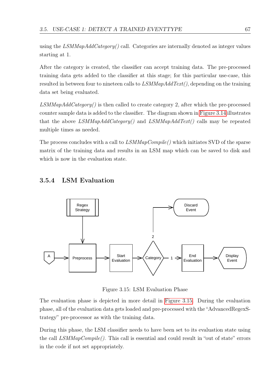using the  $LSMMapAddCategory()$  call. Categories are internally denoted as integer values starting at 1.

After the category is created, the classifier can accept training data. The pre-processed training data gets added to the classifier at this stage; for this particular use-case, this resulted in between four to nineteen calls to  $LSMMapAddText()$ , depending on the training data set being evaluated.

 $LSMMapAddCategory()$  is then called to create category 2, after which the pre-processed counter sample data is added to the classifier. The diagram shown in [Figure 3.14](#page-74-0) illustrates that the above LSMMapAddCategory() and LSMMapAddText() calls may be repeated multiple times as needed.

The process concludes with a call to  $LSMMapCompile()$  which initiates SVD of the sparse matrix of the training data and results in an LSM map which can be saved to disk and which is now in the evaluation state.

# 3.5.4 LSM Evaluation



<span id="page-76-0"></span>Figure 3.15: LSM Evaluation Phase

The evaluation phase is depicted in more detail in [Figure 3.15.](#page-76-0) During the evaluation phase, all of the evaluation data gets loaded and pre-processed with the "AdvancedRegexStrategy" pre-processor as with the training data.

During this phase, the LSM classifier needs to have been set to its evaluation state using the call  $LSMMapCompile$ . This call is essential and could result in "out of state" errors in the code if not set appropriately.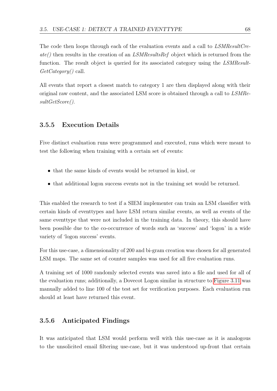The code then loops through each of the evaluation events and a call to *LSMResultCre* $ate()$  then results in the creation of an LSMResultsRef object which is returned from the function. The result object is queried for its associated category using the LSMResult-GetCategory() call.

All events that report a closest match to category 1 are then displayed along with their original raw content, and the associated LSM score is obtained through a call to LSMResultGetScore().

## 3.5.5 Execution Details

Five distinct evaluation runs were programmed and executed, runs which were meant to test the following when training with a certain set of events:

- that the same kinds of events would be returned in kind, or
- that additional logon success events not in the training set would be returned.

This enabled the research to test if a SIEM implementer can train an LSM classifier with certain kinds of eventtypes and have LSM return similar events, as well as events of the same eventtype that were not included in the training data. In theory, this should have been possible due to the co-occurrence of words such as 'success' and 'logon' in a wide variety of 'logon success' events.

For this use-case, a dimensionality of 200 and bi-gram creation was chosen for all generated LSM maps. The same set of counter samples was used for all five evaluation runs.

A training set of 1000 randomly selected events was saved into a file and used for all of the evaluation runs; additionally, a Dovecot Logon similar in structure to [Figure 3.11](#page-71-0) was manually added to line 100 of the test set for verification purposes. Each evaluation run should at least have returned this event.

## 3.5.6 Anticipated Findings

It was anticipated that LSM would perform well with this use-case as it is analogous to the unsolicited email filtering use-case, but it was understood up-front that certain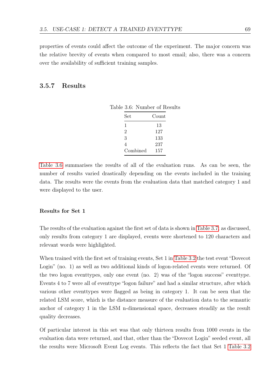properties of events could affect the outcome of the experiment. The major concern was the relative brevity of events when compared to most email; also, there was a concern over the availability of sufficient training samples.

## 3.5.7 Results

<span id="page-78-0"></span>

| Set            | Count |
|----------------|-------|
| 1              | 13    |
| $\overline{2}$ | 127   |
| 3              | 133   |
| 4              | 237   |
| Combined       | 157   |

Table 3.6: Number of Results

[Table 3.6](#page-78-0) summarises the results of all of the evaluation runs. As can be seen, the number of results varied drastically depending on the events included in the training data. The results were the events from the evaluation data that matched category 1 and were displayed to the user.

#### Results for Set 1

The results of the evaluation against the first set of data is shown in [Table 3.7;](#page-79-0) as discussed, only results from category 1 are displayed, events were shortened to 120 characters and relevant words were highlighted.

When trained with the first set of training events, Set 1 in [Table 3.2](#page-70-0) the test event "Dovecot Login" (no. 1) as well as two additional kinds of logon-related events were returned. Of the two logon eventtypes, only one event (no. 2) was of the "logon success" eventtype. Events 4 to 7 were all of eventtype "logon failure" and had a similar structure, after which various other eventtypes were flagged as being in category 1. It can be seen that the related LSM score, which is the distance measure of the evaluation data to the semantic anchor of category 1 in the LSM n-dimensional space, decreases steadily as the result quality decreases.

Of particular interest in this set was that only thirteen results from 1000 events in the evaluation data were returned, and that, other than the "Dovecot Login" seeded event, all the results were Microsoft Event Log events. This reflects the fact that Set 1 [Table 3.2](#page-70-0)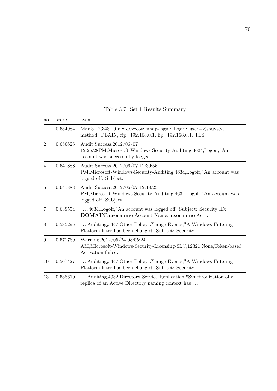| no.            | score    | event                                                                                                                                                     |
|----------------|----------|-----------------------------------------------------------------------------------------------------------------------------------------------------------|
| 1              | 0.654984 | Mar 31 23:48:20 mx dovecot: imap-login: Login: user= <sbuys>,<br/>method=PLAIN, rip=192.168.0.1, lip=192.168.0.1, TLS</sbuys>                             |
| $\overline{2}$ | 0.650625 | Audit Success, 2012/06/07<br>12:25:28PM, Microsoft-Windows-Security-Auditing, 4624, Logon, "An<br>account was successfully logged                         |
| $\overline{4}$ | 0.641888 | Audit Success, 2012/06/07 12:30:55<br>PM, Microsoft-Windows-Security-Auditing, 4634, Logoff, "An account was<br>logged off. Subject                       |
| 6              | 0.641888 | Audit Success, 2012/06/07 12:18:25<br>PM, Microsoft-Windows-Security-Auditing, 4634, Logoff, "An account was<br>logged off. Subject                       |
| $\overline{7}$ | 0.639554 | ,4634, Logoff, "An account was logged off. Subject: Security ID:<br>$\mathbf{DOMAIN}\backslash \mathbf{u}$ sername Account Name: $\mathbf{u}$ sername Ac. |
| 8              | 0.585295 | Auditing, 5447, Other Policy Change Events, "A Windows Filtering<br>Platform filter has been changed. Subject: Security                                   |
| 9              | 0.571769 | Warning, 2012/05/24 08:05:24<br>AM, Microsoft-Windows-Security-Licensing-SLC, 12321, None, Token-based<br>Activation failed.                              |
| 10             | 0.567427 | Auditing, 5447, Other Policy Change Events, "A Windows Filtering<br>Platform filter has been changed. Subject: Security                                   |
| 13             | 0.538610 | Auditing, 4932, Directory Service Replication, "Synchronization of a<br>replica of an Active Directory naming context has                                 |

<span id="page-79-0"></span>Table 3.7: Set 1 Results Summary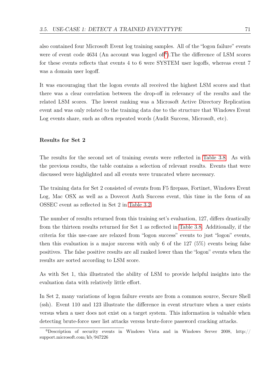also contained four Microsoft Event log training samples. All of the "logon failure" events were of event code  $4634$  $4634$  $4634$  (An account was logged of f<sup>6</sup>). The the difference of LSM scores for these events reflects that events 4 to 6 were SYSTEM user logoffs, whereas event 7 was a domain user logoff.

It was encouraging that the logon events all received the highest LSM scores and that there was a clear correlation between the drop-off in relevancy of the results and the related LSM scores. The lowest ranking was a Microsoft Active Directory Replication event and was only related to the training data due to the structure that Windows Event Log events share, such as often repeated words (Audit Success, Microsoft, etc).

#### Results for Set 2

The results for the second set of training events were reflected in [Table 3.8.](#page-81-0) As with the previous results, the table contains a selection of relevant results. Events that were discussed were highlighted and all events were truncated where necessary.

The training data for Set 2 consisted of events from F5 firepass, Fortinet, Windows Event Log, Mac OSX as well as a Dovecot Auth Success event, this time in the form of an OSSEC event as reflected in Set 2 in [Table 3.2.](#page-70-0)

The number of results returned from this training set's evaluation, 127, differs drastically from the thirteen results returned for Set 1 as reflected in [Table 3.8.](#page-81-0) Additionally, if the criteria for this use-case are relaxed from "logon success" events to just "logon" events, then this evaluation is a major success with only 6 of the 127 (5%) events being false positives. The false positive results are all ranked lower than the "logon" events when the results are sorted according to LSM score.

As with Set 1, this illustrated the ability of LSM to provide helpful insights into the evaluation data with relatively little effort.

In Set 2, many variations of logon failure events are from a common source, Secure Shell (ssh). Event 110 and 123 illustrate the difference in event structure when a user exists versus when a user does not exist on a target system. This information is valuable when detecting brute-force user list attacks versus brute-force password cracking attacks.

<span id="page-80-0"></span> $6$ Description of security events in Windows Vista and in Windows Server 2008, http:// support.microsoft.com/kb/947226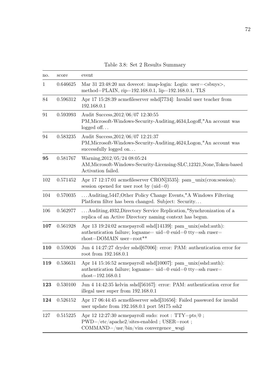| no.         | score    | event                                                                                                                                                                                                                            |
|-------------|----------|----------------------------------------------------------------------------------------------------------------------------------------------------------------------------------------------------------------------------------|
| $\mathbf 1$ | 0.646625 | Mar 31 23:48:20 mx dovecot: imap-login: Login: user= <sbuys>,<br/>method=PLAIN, rip=<math>192.168.0.1</math>, lip=<math>192.168.0.1</math>, TLS</sbuys>                                                                          |
| 84          | 0.596312 | Apr 17 15:28:39 acmefiles erver sshd $[7734]$ : Invalid user teacher from<br>192.168.0.1                                                                                                                                         |
| 91          | 0.593993 | Audit Success, 2012/06/07 12:30:55<br>PM, Microsoft-Windows-Security-Auditing, 4634, Logoff, "An account was<br>$logged$ off                                                                                                     |
| 94          | 0.583235 | Audit Success, 2012/06/07 12:21:37<br>PM, Microsoft-Windows-Security-Auditing, 4624, Logon, "An account was<br>successfully logged on                                                                                            |
| 95          | 0.581767 | Warning, 2012/05/24 08:05:24<br>AM, Microsoft-Windows-Security-Licensing-SLC, 12321, None, Token-based<br>Activation failed.                                                                                                     |
| 102         | 0.571452 | Apr 17 12:17:01 acmefileserver CRON[3535]: pam unix(cron:session):<br>session opened for user root by $(\text{uid}=0)$                                                                                                           |
| 104         | 0.570035 | Auditing, 5447, Other Policy Change Events, "A Windows Filtering<br>Platform filter has been changed. Subject: Security                                                                                                          |
| 106         | 0.562977 | Auditing, 4932, Directory Service Replication, "Synchronization of a<br>replica of an Active Directory naming context has begun.                                                                                                 |
| 107         | 0.561928 | Apr 13 19:24:02 acmepayroll sshd[14139]: pam unix(sshd:auth):<br>authentication failure; logname= uid=0 euid=0 tty=ssh ruser=<br>$rhost=DOMAIN$ user=root**                                                                      |
| 110         | 0.559026 | Jun 4 14:27:27 dryder sshd[67006]: error: PAM: authentication error for<br>root from 192.168.0.1                                                                                                                                 |
| 119         | 0.536631 | Apr 14 15:16:52 acmepayroll sshd[10007]: pam unix(sshd:auth):<br>authentication failure; $logname =uid = 0$ euid=0 tty=ssh ruser=<br>$rhost=192.168.0.1$                                                                         |
| 123         | 0.530100 | Jun 4 14:42:35 kelvin sshd $[56167]$ : error: PAM: authentication error for<br>illegal user super from 192.168.0.1                                                                                                               |
| 124         | 0.526152 | Apr 17 06:44:45 acmefiles erver sshd $[31656]$ : Failed password for invalid<br>user update from $192.168.0.1$ port $58175$ ssh2                                                                                                 |
| 127         | 0.515225 | Apr 12 12:27:30 acmepayroll sudo: root: $TTY=pts/0$ ;<br>$\mathrm{PWD}{=}/\mathrm{etc}/\mathrm{apache2}/\mathrm{sites}\text{-}\mathrm{enabled}$ ; $\mathrm{USER}{=}\mathrm{root}$ ;<br>$COMMAND = /usr/bin/vim$ convergence wsgi |

<span id="page-81-0"></span>Table 3.8: Set 2 Results Summary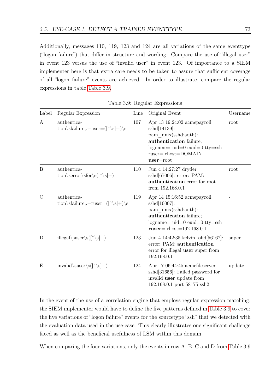Additionally, messages 110, 119, 123 and 124 are all variations of the same eventtype ("logon failure") that differ in structure and wording. Compare the use of "illegal user" in event 123 versus the use of "invalid user" in event 123. Of importance to a SIEM implementer here is that extra care needs to be taken to assure that sufficient coverage of all "logon failure" events are achieved. In order to illustrate, compare the regular expressions in table [Table 3.9.](#page-82-0)

| Label          | Regular Expression                                                                      | Line | Original Event                                                                                                                                                                                        | Username |
|----------------|-----------------------------------------------------------------------------------------|------|-------------------------------------------------------------------------------------------------------------------------------------------------------------------------------------------------------|----------|
| A              | authentica-<br>tion\sfailure;.+user= $(\lceil \cdot \backslash s \rceil + \backslash s$ | 107  | Apr 13 19:24:02 acmepayroll<br>$\text{sshd}[14139]:$<br>pam_unix(sshd:auth):<br>authentication failure;<br>$logname =uid = 0$ euid=0 tty=ssh<br>$ruser = \text{rhost} = \text{DOMAIN}$<br>$user=root$ | root     |
| B              | authentica-<br>$\ntion\serveror\sf s(f'\sf s +)$                                        | 110  | Jun 4 14:27:27 dryder<br>$\text{sshd}[67006]$ : error: PAM:<br>authentication error for root<br>from 192.168.0.1                                                                                      | root     |
| $\overline{C}$ | authentica-<br>tion\sfailure;.+ruser= $([\hat{\ } \setminus s]+)\setminus s$            | 119  | Apr 14 15:16:52 acmepayroll<br>$\text{sshd}[10007]:$<br>pam_unix(sshd:auth):<br>authentication failure;<br>$logname = uid = 0$ euid=0 tty=ssh<br>$ruser = \text{rbost} = 192.168.0.1$                 |          |
| D              | $\text{illegal}\suser\s(\lceil\sceil +)$                                                | 123  | Jun 4 14:42:35 kelvin sshd [56167]:<br>error: PAM: authentication<br>error for illegal user super from<br>192.168.0.1                                                                                 | super    |
| E              | invalid\suser\s([^\s]+)                                                                 | 124  | Apr 17 06:44:45 acmefileserver<br>$\text{sshd}[31656]$ : Failed password for<br>invalid user update from<br>$192.168.0.1$ port $58175$ $\rm{ssh}2$                                                    | update   |

<span id="page-82-0"></span>Table 3.9: Regular Expressions

In the event of the use of a correlation engine that employs regular expression matching, the SIEM implementer would have to define the five patterns defined in [Table 3.9](#page-82-0) to cover the five variations of "logon failure" events for the sourcetype "ssh" that we detected with the evaluation data used in the use-case. This clearly illustrates one significant challenge faced as well as the beneficial usefulness of LSM within this domain.

When comparing the four variations, only the events in row A, B, C and D from [Table 3.9](#page-82-0)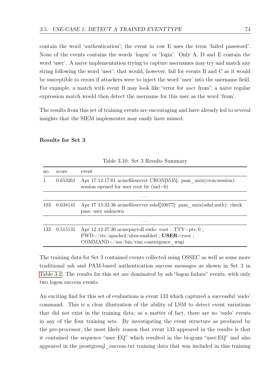contain the word 'authentication'; the event in row E uses the term 'failed password'. None of the events contains the words 'logon' or 'login'. Only A, D and E contain the word 'user'. A naive implementation trying to capture usernames may try and match any string following the word 'user'; that would, however, fail for events B and C as it would be susceptible to errors if attackers were to inject the word 'user' into the username field. For example, a match with event B may look like "error for *user* from"; a naive regular expression match would then detect the username for this user as the word 'from'.

The results from this set of training events are encouraging and have already led to several insights that the SIEM implementer may easily have missed.

#### Results for Set 3

| no. | score                                                                                                                              | event                                                                                                                                                    |  |  |  |
|-----|------------------------------------------------------------------------------------------------------------------------------------|----------------------------------------------------------------------------------------------------------------------------------------------------------|--|--|--|
|     | Apr 17 12:17:01 acmefileserver CRON[3535]: pam unix(cron:session):<br>0.653261<br>session opened for user root by $(\text{uid}=0)$ |                                                                                                                                                          |  |  |  |
|     |                                                                                                                                    | $\cdots$                                                                                                                                                 |  |  |  |
| 103 | 0.638141                                                                                                                           | Apr 17 15:32:36 acmefiles erver sshd $[10077]$ : pam unix(sshd:auth): check<br>pass; user unknown                                                        |  |  |  |
|     |                                                                                                                                    | $\cdots$                                                                                                                                                 |  |  |  |
| 133 | 0.515131                                                                                                                           | Apr 12 12:27:30 acmepayroll sudo: root : TTY=pts/0 ;<br>$PWD = /etc/apache2/sites-enabled$ ; $USER = root;$<br>$COMMAND = /usr/bin/vim$ convergence wsgi |  |  |  |

Table 3.10: Set 3 Results Summary

The training data for Set 3 contained events collected using OSSEC as well as some more traditional ssh and PAM-based authentication success messages as shown in Set 3 in [Table 3.2.](#page-70-0) The results for this set are dominated by ssh "logon failure" events, with only two logon success events.

An exciting find for this set of evaluations is event 133 which captured a successful 'sudo' command. This is a clear illustration of the ability of LSM to detect event variations that did not exist in the training data; as a matter of fact, there are no 'sudo' events in any of the four training sets. By investigating the event structure as produced by the pre-processor, the most likely reason that event 133 appeared in the results is that it contained the sequence "user EQ" which resulted in the bi-gram "user:EQ" and also appeared in the prostgresql\_success.txt training data that was included in this training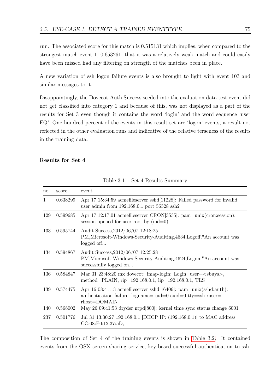run. The associated score for this match is 0.515131 which implies, when compared to the strongest match event 1, 0.653261, that it was a relatively weak match and could easily have been missed had any filtering on strength of the matches been in place.

A new variation of ssh logon failure events is also brought to light with event 103 and similar messages to it.

Disappointingly, the Dovecot Auth Success seeded into the evaluation data test event did not get classified into category 1 and because of this, was not displayed as a part of the results for Set 3 even though it contains the word 'login' and the word sequence 'user EQ'. One hundred percent of the events in this result set are 'logon' events, a result not reflected in the other evaluation runs and indicative of the relative terseness of the results in the training data.

#### Results for Set 4

| no. | score    | event                                                                                                                                                         |
|-----|----------|---------------------------------------------------------------------------------------------------------------------------------------------------------------|
| 1   | 0.638299 | Apr 17 15:34:59 acmefiles erver sshd $[11228]$ : Failed password for invalid<br>user admin from $192.168.0.1$ port $56528$ ssh2                               |
| 129 | 0.599685 | Apr 17 12:17:01 acmefileserver CRON[3535]: pam unix(cron:session):<br>session opened for user root by $(\text{uid}=0)$                                        |
| 133 | 0.595744 | Audit Success, 2012/06/07 12:18:25<br>PM, Microsoft-Windows-Security-Auditing, 4634, Logoff, "An account was<br>logged off                                    |
| 134 | 0.594867 | Audit Success, 2012/06/07 12:25:28<br>PM, Microsoft-Windows-Security-Auditing, 4624, Logon, "An account was<br>successfully logged on                         |
| 136 | 0.584847 | Mar 31 23:48:20 mx dovecot: imap-login: Login: user= $\langle$ sbuys>,<br>method=PLAIN, rip= $192.168.0.1$ , lip= $192.168.0.1$ , TLS                         |
| 139 | 0.574475 | Apr 16 08:41:13 acmefiles erver sshd $[16406]$ : pam unix(sshd:auth):<br>authentication failure; $logname =uid = 0$ euid=0 tty=ssh ruser=<br>$rhost = DOMAIN$ |
| 140 | 0.568002 | May 26 09:41:53 dryder ntpd[800]: kernel time sync status change 6001                                                                                         |
| 237 | 0.501776 | Jul 31 13:30:27 192.168.0.1 [DHCP IP: (192.168.0.1)] to MAC address<br>CC:08:EO:12:37:5D,                                                                     |
|     |          |                                                                                                                                                               |

<span id="page-84-0"></span>Table 3.11: Set 4 Results Summary

The composition of Set 4 of the training events is shown in [Table 3.2.](#page-70-0) It contained events from the OSX screen sharing service, key-based successful authentication to ssh,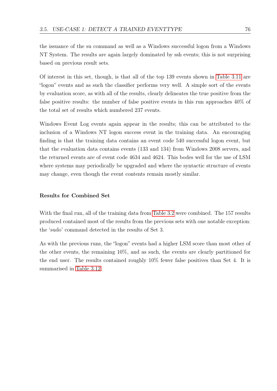the issuance of the su command as well as a Windows successful logon from a Windows NT System. The results are again largely dominated by ssh events; this is not surprising based on previous result sets.

Of interest in this set, though, is that all of the top 139 events shown in [Table 3.11](#page-84-0) are "logon" events and as such the classifier performs very well. A simple sort of the events by evaluation score, as with all of the results, clearly delineates the true positive from the false positive results: the number of false positive events in this run approaches 40% of the total set of results which numbered 237 events.

Windows Event Log events again appear in the results; this can be attributed to the inclusion of a Windows NT logon success event in the training data. An encouraging finding is that the training data contains an event code 540 successful logon event, but that the evaluation data contains events (133 and 134) from Windows 2008 servers, and the returned events are of event code 4634 and 4624. This bodes well for the use of LSM where systems may periodically be upgraded and where the syntactic structure of events may change, even though the event contents remain mostly similar.

## Results for Combined Set

With the final run, all of the training data from [Table 3.2](#page-70-0) were combined. The 157 results produced contained most of the results from the previous sets with one notable exception: the 'sudo' command detected in the results of Set 3.

As with the previous runs, the "logon" events had a higher LSM score than most other of the other events, the remaining 10%, and as such, the events are clearly partitioned for the end user. The results contained roughly 10% fewer false positives than Set 4. It is summarised in [Table 3.12.](#page-86-0)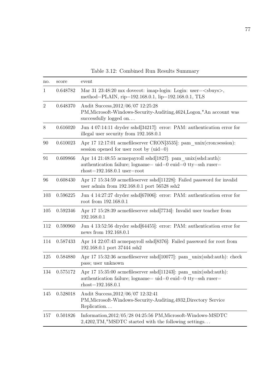| no.            | score    | event                                                                                                                                                             |
|----------------|----------|-------------------------------------------------------------------------------------------------------------------------------------------------------------------|
| 1              | 0.648782 | Mar 31 23:48:20 mx dovecot: imap-login: Login: user= <sbuys>,<br/>method=PLAIN, rip=192.168.0.1, lip=192.168.0.1, TLS</sbuys>                                     |
| $\overline{2}$ | 0.648370 | Audit Success, 2012/06/07 12:25:28<br>PM, Microsoft-Windows-Security-Auditing, 4624, Logon, "An account was<br>successfully logged on                             |
| 8              | 0.616020 | Jun 4 07:14:11 dryder sshd[34217]: error: PAM: authentication error for<br>illegal user security from 192.168.0.1                                                 |
| 90             | 0.610023 | Apr 17 12:17:01 acmefileserver CRON[3535]: pam unix(cron:session):<br>session opened for user root by $(\text{uid}=0)$                                            |
| 91             | 0.609866 | Apr 14 21:48:55 acmepayroll sshd[1827]: pam unix(sshd:auth):<br>authentication failure; $logname =uid = 0$ euid=0 tty=ssh ruser=<br>$rhost=192.168.0.1$ user=root |
| 96             | 0.608430 | Apr 17 15:34:59 acmefileserver sshd[11228]: Failed password for invalid<br>user admin from 192.168.0.1 port 56528 $\mathrm{ssh}2$                                 |
| 103            | 0.596225 | Jun 4 14:27:27 dryder sshd[67006]: error: PAM: authentication error for<br>root from 192.168.0.1                                                                  |
| 105            | 0.592346 | Apr 17 15:28:39 acmefileserver sshd[7734]: Invalid user teacher from<br>192.168.0.1                                                                               |
| 112            | 0.590960 | Jun 4 13:52:56 dryder sshd $[64455]$ : error: PAM: authentication error for<br>news from 192.168.0.1                                                              |
| 114            | 0.587433 | Apr 14 22:07:43 acmepayroll sshd[8376]: Failed password for root from<br>192.168.0.1 port 37444 ssh2                                                              |
| $125\,$        | 0.584880 | Apr 17 15:32:36 acmefiles erver sshd $[10077]$ : pam unix(sshd:auth): check<br>pass; user unknown                                                                 |
| 134            | 0.575172 | Apr 17 15:35:00 acmefiles erver sshd $[11243]$ : pam unix(sshd:auth):<br>authentication failure; logname= uid=0 euid=0 tty=ssh ruser=<br>$rhost=192.168.0.1$      |
| 145            | 0.528018 | Audit Success, $2012/06/07$ 12:32:41<br>PM, Microsoft-Windows-Security-Auditing, 4932, Directory Service<br>Replication                                           |
| 157            | 0.501826 | Information, $2012/05/28$ 04:25:56 PM, Microsoft-Windows-MSDTC<br>2,4202, TM, "MSDTC started with the following settings                                          |

<span id="page-86-0"></span>Table 3.12: Combined Run Results Summary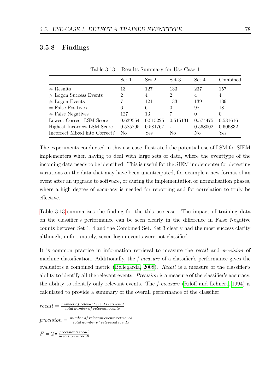## 3.5.8 Findings

|                               | Set 1          | Set 2    | Set 3    | Set 4    | Combined |
|-------------------------------|----------------|----------|----------|----------|----------|
| # Results                     | 13             | 127      | 133      | 237      | 157      |
| $#$ Logon Success Events      | $\overline{2}$ | 4        | 2        | 4        | 4        |
| $#$ Logon Events              |                | 121      | 133      | 139      | 139      |
| $#$ False Positives           | 6              | 6        | 0        | 98       | 18       |
| $#$ False Negatives           | 127            | 13       |          |          | 0        |
| Lowest Correct LSM Score      | 0.639554       | 0.515225 | 0.515131 | 0.574475 | 0.531616 |
| Highest Incorrect LSM Score   | 0.585295       | 0.581767 |          | 0.568002 | 0.606832 |
| Incorrect Mixed into Correct? | Nο             | Yes      | Nο       | Nο       | Yes      |

<span id="page-87-0"></span>Table 3.13: Results Summary for Use-Case 1

The experiments conducted in this use-case illustrated the potential use of LSM for SIEM implementers when having to deal with large sets of data, where the eventtype of the incoming data needs to be identified. This is useful for the SIEM implementer for detecting variations on the data that may have been unanticipated, for example a new format of an event after an upgrade to software, or during the implementation or normalisation phases, where a high degree of accuracy is needed for reporting and for correlation to truly be effective.

[Table 3.13](#page-87-0) summarises the finding for the this use-case. The impact of training data on the classifier's performance can be seen clearly in the difference in False Negative counts between Set 1, 4 and the Combined Set. Set 3 clearly had the most success clarity although, unfortunately, seven logon events were not classified.

It is common practice in information retrieval to measure the recall and precision of machine classification. Additionally, the *f-measure* of a classifier's performance gives the evaluators a combined metric [\(Bellegarda, 2008\)](#page-120-0). Recall is a measure of the classifier's ability to identify all the relevant events. *Precision* is a measure of the classifier's accuracy, the ability to identify only relevant events. The f-measure [\(Riloff and Lehnert, 1994\)](#page-125-0) is calculated to provide a summary of the overall performance of the classifier.

 $recall = \frac{number\ of\ relevant\ events\ retrieved}{total\ number\ of\ relevant\ events}$ total number of relevant events

 $precision = \frac{number\ of\ relevant\ events\ retrieved\ events}{total\ number\ of\ retrieved\ events}$ total number of retrieved events

 $F = 2 \times \frac{precision \times recall}{precision + recall}$  $precision + recall$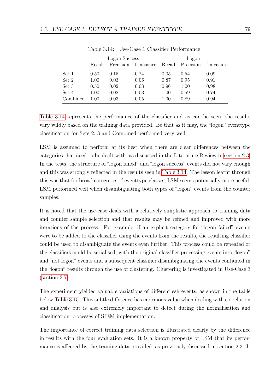|          | Logon Success |           |           |        |           |           |
|----------|---------------|-----------|-----------|--------|-----------|-----------|
|          | Recall        | Precision | f-measure | Recall | Precision | f-measure |
| Set 1    | 0.50          | 0.15      | 0.24      | 0.05   | 0.54      | 0.09      |
| Set 2    | 1.00          | 0.03      | 0.06      | 0.87   | 0.95      | 0.91      |
| Set 3    | 0.50          | 0.02      | 0.03      | 0.96   | 1.00      | 0.98      |
| Set 4    | 1.00          | 0.02      | 0.03      | 1.00   | 0.59      | 0.74      |
| Combined | 1.00          | 0.03      | 0.05      | 1.00   | 0.89      | 0.94      |

<span id="page-88-0"></span>Table 3.14: Use-Case 1 Classifier Performance

[Table 3.14](#page-88-0) represents the performance of the classifier and as can be seen, the results vary wildly based on the training data provided. Be that as it may, the "logon" eventtype classification for Sets 2, 3 and Combined performed very well.

LSM is assumed to perform at its best when there are clear differences between the categories that need to be dealt with, as discussed in the Literature Review in [section 2.3.](#page-42-0) In the tests, the structure of "logon failed" and "logon success" events did not vary enough and this was strongly reflected in the results seen in [Table 3.14.](#page-88-0) The lesson learnt through this was that for broad categories of eventtype classes, LSM seems potentially more useful. LSM performed well when disambiguating both types of "logon" events from the counter samples.

It is noted that the use-case deals with a relatively simplistic approach to training data and counter sample selection and that results may be refined and improved with more iterations of the process. For example, if an explicit category for "logon failed" events were to be added to the classifier using the events from the results, the resulting classifier could be used to disambiguate the events even further. This process could be repeated or the classifiers could be serialised, with the original classifier processing events into "logon" and "not logon" events and a subsequent classifier disambiguating the events contained in the "logon" results through the use of clustering. Clustering is investigated in Use-Case 3 [\(section 3.7\)](#page-102-0).

The experiment yielded valuable variations of different ssh events, as shown in the table below [Table 3.15.](#page-89-0) This subtle difference has enormous value when dealing with correlation and analysis but is also extremely important to detect during the normalisation and classification processes of SIEM implementation.

The importance of correct training data selection is illustrated clearly by the difference in results with the four evaluation sets. It is a known property of LSM that its performance is affected by the training data provided, as previously discussed in [section 2.3.](#page-42-0) It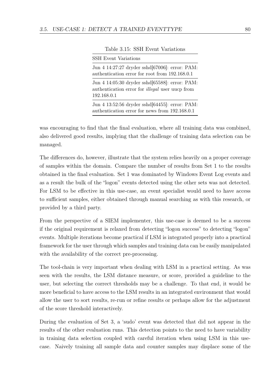| <b>SSH Event Variations</b>                                                                                             |  |
|-------------------------------------------------------------------------------------------------------------------------|--|
| Jun 4 14:27:27 dryder sshd[67006]: error: PAM:<br>authentication error for root from 192.168.0.1                        |  |
| Jun 4 14:05:30 dryder sshd[65588]: error: PAM:<br>authentication error for <i>illegal</i> user uucp from<br>192.168.0.1 |  |
| Jun 4 13:52:56 dryder sshd[64455]: error: PAM:<br>authentication error for news from 192.168.0.1                        |  |

<span id="page-89-0"></span>Table 3.15: SSH Event Variations

was encouraging to find that the final evaluation, where all training data was combined, also delivered good results, implying that the challenge of training data selection can be managed.

The differences do, however, illustrate that the system relies heavily on a proper coverage of samples within the domain. Compare the number of results from Set 1 to the results obtained in the final evaluation. Set 1 was dominated by Windows Event Log events and as a result the bulk of the "logon" events detected using the other sets was not detected. For LSM to be effective in this use-case, an event specialist would need to have access to sufficient samples, either obtained through manual searching as with this research, or provided by a third party.

From the perspective of a SIEM implementer, this use-case is deemed to be a success if the original requirement is relaxed from detecting "logon success" to detecting "logon" events. Multiple iterations become practical if LSM is integrated properly into a practical framework for the user through which samples and training data can be easily manipulated with the availability of the correct pre-processing.

The tool-chain is very important when dealing with LSM in a practical setting. As was seen with the results, the LSM distance measure, or score, provided a guideline to the user, but selecting the correct thresholds may be a challenge. To that end, it would be more beneficial to have access to the LSM results in an integrated environment that would allow the user to sort results, re-run or refine results or perhaps allow for the adjustment of the score threshold interactively.

During the evaluation of Set 3, a 'sudo' event was detected that did not appear in the results of the other evaluation runs. This detection points to the need to have variability in training data selection coupled with careful iteration when using LSM in this usecase. Naively training all sample data and counter samples may displace some of the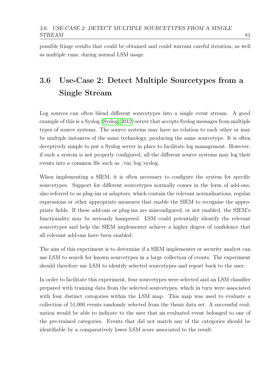possible fringe results that could be obtained and could warrant careful iteration, as well as multiple runs, during normal LSM usage.

# 3.6 Use-Case 2: Detect Multiple Sourcetypes from a Single Stream

Log sources can often blend different sourcetypes into a single event stream. A good example of this is a Syslog [\(Syslog, 2012\)](#page-126-0) server that accepts Syslog messages from multiple types of source systems. The source systems may have no relation to each other or may be multiple instances of the same technology, producing the same sourcetype. It is often deceptively simple to put a Syslog server in place to facilitate log management. However, if such a system is not properly configured, all the different source systems may log their events into a common file such as /var/log/syslog.

When implementing a SIEM, it is often necessary to configure the system for specific sourcetypes. Support for different sourcetypes normally comes in the form of add-ons, also referred to as plug-ins or adaptors, which contain the relevant normalisations, regular expressions or other appropriate measures that enable the SIEM to recognise the appropriate fields. If these add-ons or plug-ins are misconfigured, or not enabled, the SIEM's functionality may be seriously hampered. LSM could potentially identify the relevant sourcetypes and help the SIEM implementer achieve a higher degree of confidence that all relevant add-ons have been enabled.

The aim of this experiment is to determine if a SIEM implementer or security analyst can use LSM to search for known sourcetypes in a large collection of events. The experiment should therefore use LSM to identify selected sourcetypes and report back to the user.

In order to facilitate this experiment, four sourcetypes were selected and an LSM classifier prepared with training data from the selected sourcetypes, which in turn were associated with four distinct categories within the LSM map. This map was used to evaluate a collection of 51,000 events randomly selected from the thesis data set. A successful evaluation would be able to indicate to the user that an evaluated event belonged to one of the pre-trained categories. Events that did not match any of the categories should be identifiable by a comparatively lower LSM score associated to the result.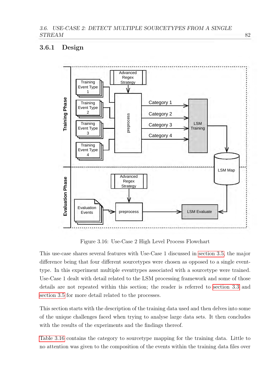# 3.6.1 Design



<span id="page-91-0"></span>Figure 3.16: Use-Case 2 High Level Process Flowchart

This use-case shares several features with Use-Case 1 discussed in [section 3.5,](#page-67-0) the major difference being that four different sourcetypes were chosen as opposed to a single eventtype. In this experiment multiple eventtypes associated with a sourcetype were trained. Use-Case 1 dealt with detail related to the LSM processing framework and some of those details are not repeated within this section; the reader is referred to [section 3.3](#page-57-0) and [section 3.5](#page-67-0) for more detail related to the processes.

This section starts with the description of the training data used and then delves into some of the unique challenges faced when trying to analyse large data sets. It then concludes with the results of the experiments and the findings thereof.

[Table 3.16](#page-92-0) contains the category to sourcetype mapping for the training data. Little to no attention was given to the composition of the events within the training data files over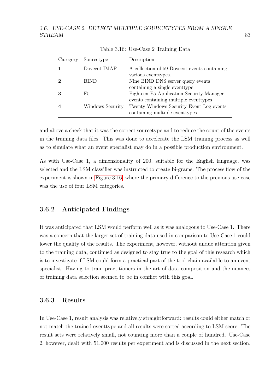| Category       | Sourcetype       | Description                                                                                                       |
|----------------|------------------|-------------------------------------------------------------------------------------------------------------------|
| 1              | Dovecot IMAP     | A collection of 59 Dovecot events containing<br>various eventtypes.                                               |
| $\overline{2}$ | <b>BIND</b>      | Nine BIND DNS server query events                                                                                 |
| 3              | F5               | containing a single eventtype<br>Eighteen F5 Application Security Manager                                         |
| 4              | Windows Security | events containing multiple eventypes<br>Twenty Windows Security Event Log events<br>containing multiple eventypes |

<span id="page-92-0"></span>Table 3.16: Use-Case 2 Training Data

and above a check that it was the correct sourcetype and to reduce the count of the events in the training data files. This was done to accelerate the LSM training process as well as to simulate what an event specialist may do in a possible production environment.

As with Use-Case 1, a dimensionality of 200, suitable for the English language, was selected and the LSM classifier was instructed to create bi-grams. The process flow of the experiment is shown in [Figure 3.16,](#page-91-0) where the primary difference to the previous use-case was the use of four LSM categories.

## 3.6.2 Anticipated Findings

It was anticipated that LSM would perform well as it was analogous to Use-Case 1. There was a concern that the larger set of training data used in comparison to Use-Case 1 could lower the quality of the results. The experiment, however, without undue attention given to the training data, continued as designed to stay true to the goal of this research which is to investigate if LSM could form a practical part of the tool-chain available to an event specialist. Having to train practitioners in the art of data composition and the nuances of training data selection seemed to be in conflict with this goal.

# 3.6.3 Results

In Use-Case 1, result analysis was relatively straightforward: results could either match or not match the trained eventtype and all results were sorted according to LSM score. The result sets were relatively small, not counting more than a couple of hundred. Use-Case 2, however, dealt with 51,000 results per experiment and is discussed in the next section.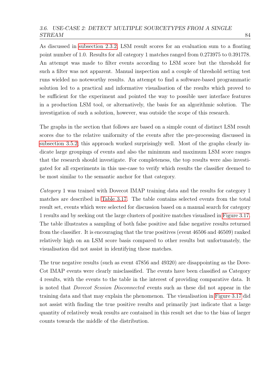#### 3.6. USE-CASE 2: DETECT MULTIPLE SOURCETYPES FROM A SINGLE STREAM 84

As discussed in [subsection 2.3.2,](#page-43-0) LSM result scores for an evaluation sum to a floating point number of 1.0. Results for all category 1 matches ranged from 0.273975 to 0.391778. An attempt was made to filter events according to LSM score but the threshold for such a filter was not apparent. Manual inspection and a couple of threshold setting test runs wielded no noteworthy results. An attempt to find a software-based programmatic solution led to a practical and informative visualisation of the results which proved to be sufficient for the experiment and pointed the way to possible user interface features in a production LSM tool, or alternatively, the basis for an algorithmic solution. The investigation of such a solution, however, was outside the scope of this research.

The graphs in the section that follows are based on a simple count of distinct LSM result scores due to the relative uniformity of the events after the pre-processing discussed in [subsection 3.5.2;](#page-71-1) this approach worked surprisingly well. Most of the graphs clearly indicate large groupings of events and also the minimum and maximum LSM score ranges that the research should investigate. For completeness, the top results were also investigated for all experiments in this use-case to verify which results the classifier deemed to be most similar to the semantic anchor for that category.

Category 1 was trained with Dovecot IMAP training data and the results for category 1 matches are described in [Table 3.17.](#page-95-0) The table contains selected events from the total result set, events which were selected for discussion based on a manual search for category 1 results and by seeking out the large clusters of positive matches visualised in [Figure 3.17.](#page-94-0) The table illustrates a sampling of both false positive and false negative results returned from the classifier. It is encouraging that the true positives (event 46506 and 46509) ranked relatively high on an LSM score basis compared to other results but unfortunately, the visualisation did not assist in identifying these matches.

The true negative results (such as event 47856 and 49320) are disappointing as the Dove-Cot IMAP events were clearly misclassified. The events have been classified as Category 4 results, with the events to the table in the interest of providing comparative data. It is noted that Dovecot Session Disconnected events such as these did not appear in the training data and that may explain the phenomenon. The visualisation in [Figure 3.17](#page-94-0) did not assist with finding the true positive results and primarily just indicate that a large quantity of relatively weak results are contained in this result set due to the bias of larger counts towards the middle of the distribution.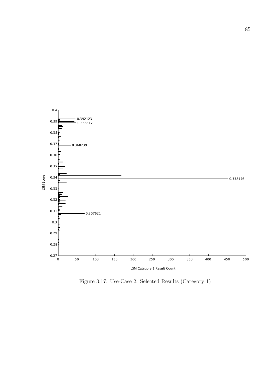

<span id="page-94-0"></span>Figure 3.17: Use-Case 2: Selected Results (Category 1)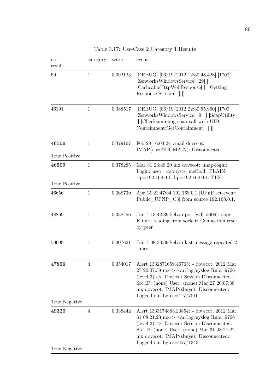| no.<br>result          | category       | score    | event                                                                                                                                                                                                                                                                          |  |
|------------------------|----------------|----------|--------------------------------------------------------------------------------------------------------------------------------------------------------------------------------------------------------------------------------------------------------------------------------|--|
| 59                     | 1              | 0.392123 | [DEBUG] [06/19/2012 12:30:48.428] [1700]<br>[ZenworksWindowsService] [29] []<br>[CacheableHttpWebResponse] [] [Getting]<br>Response Stream                                                                                                                                     |  |
| 46191                  | 1              | 0.388517 | [DEBUG] [06/19/2012 22:30:55.960] [1700]<br>[ZenworksWindowsService] [9] [] [SoapUtility]<br>[Checksumming soap call with UID:<br>Containment:GetContainment                                                                                                                   |  |
| 46506<br>True Positive | 1              | 0.379167 | Feb 28 16:03:24 vmail dovecot:<br>IMAP(user@DOMAIN): Disconnected                                                                                                                                                                                                              |  |
| 46509                  | $\mathbf 1$    | 0.378285 | Mar 31 23:48:20 mx dovecot: imap-login:<br>Login: user= <sbuys>, method=PLAIN,<br/><math>rip=192.168.0.1</math>, <math>lip=192.168.0.1</math>, TLS</sbuys>                                                                                                                     |  |
| True Positive<br>46656 | $\mathbf 1$    | 0.368739 | Apr 15 21:47:34 192.168.0.1 [UPnP set event:<br>Public UPNP C3 from source 192.168.0.1,                                                                                                                                                                                        |  |
| 48869                  | 1              | 0.338456 | Jun 4 13:42:39 kelvin portfwd[13909]: copy:<br>Failure reading from socket: Connection reset<br>by peer                                                                                                                                                                        |  |
| 50699                  | $\mathbf 1$    | 0.307621 | Jun 4 08:33:39 kelvin last message repeated 2<br>times                                                                                                                                                                                                                         |  |
| 47856                  | 4              | 0.354017 | Alert 1332871659.46765: - dovecot, 2012 Mar<br>27 20:07:39 mx->/var/log/syslog Rule: 9706<br>(level 3) $\rightarrow$ 'Dovecot Session Disconnected.'<br>Src IP: (none) User: (none) Mar 27 20:07:38<br>mx dovecot: IMAP(sbuys): Disconnected:<br>Logged out bytes $=$ 477/7516 |  |
| True Negative          |                |          |                                                                                                                                                                                                                                                                                |  |
| 49320<br>True Negative | $\overline{4}$ | 0.338442 | Alert 1333174883.20854: - dovecot, 2012 Mar<br>31 08:21:23 mx->/var/log/syslog Rule: 9706<br>(level 3) $\rightarrow$ 'Dovecot Session Disconnected.'<br>Src IP: (none) User: (none) Mar 31 08:21:22<br>mx dovecot: IMAP(sbuys): Disconnected:<br>Logged out bytes $=$ 257/1343 |  |

<span id="page-95-0"></span>Table 3.17: Use-Case 2 Category 1 Results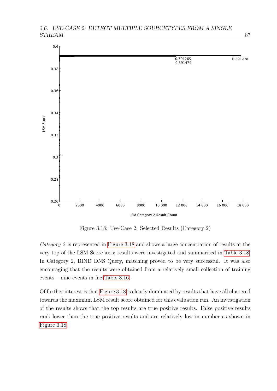

<span id="page-96-0"></span>Figure 3.18: Use-Case 2: Selected Results (Category 2)

Category 2 is represented in [Figure 3.18](#page-96-0) and shows a large concentration of results at the very top of the LSM Score axis; results were investigated and summarised in [Table 3.18.](#page-97-0) In Category 2, BIND DNS Query, matching proved to be very successful. It was also encouraging that the results were obtained from a relatively small collection of training events – nine events in fac[tTable 3.16.](#page-92-0)

Of further interest is that [Figure 3.18](#page-96-0) is clearly dominated by results that have all clustered towards the maximum LSM result score obtained for this evaluation run. An investigation of the results shows that the top results are true positive results. False positive results rank lower than the true positive results and are relatively low in number as shown in [Figure 3.18.](#page-96-0)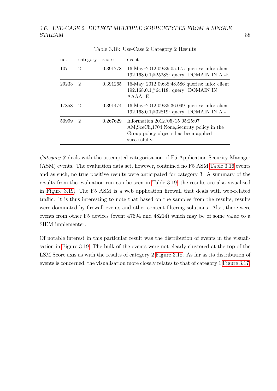| no.   | category                    | score    | event                                                                                                                                          |
|-------|-----------------------------|----------|------------------------------------------------------------------------------------------------------------------------------------------------|
| 107   | $\mathcal{D}_{\mathcal{L}}$ | 0.391778 | 16-May-2012 09:39:05.175 queries: info: client<br>192.168.0.1#25288: query: DOMAIN IN A -E                                                     |
| 29233 | $\overline{2}$              | 0.391265 | 16-May-2012 09:38:48.586 queries: info: client<br>192.168.0.1#64418: query: DOMAIN IN<br>$A A A A - E$                                         |
| 17858 | $\mathcal{D}$               | 0.391474 | 16-May-2012 09:35:36.099 queries: info: client<br>192.168.0.1#32819: query: DOMAIN IN A -                                                      |
| 50999 | $\mathcal{D}_{\mathcal{L}}$ | 0.267629 | Information, $2012/05/15$ 05:25:07<br>AM, SceCli, 1704, None, Security policy in the<br>Group policy objects has been applied<br>successfully. |

<span id="page-97-0"></span>Table 3.18: Use-Case 2 Category 2 Results

Category 3 deals with the attempted categorisation of F5 Application Security Manager (ASM) events. The evaluation data set, however, contained no F5 ASM [Table 3.16](#page-92-0) events and as such, no true positive results were anticipated for category 3. A summary of the results from the evaluation run can be seen in [Table 3.19;](#page-99-0) the results are also visualised in [Figure 3.19.](#page-98-0) The F5 ASM is a web application firewall that deals with web-related traffic. It is thus interesting to note that based on the samples from the results, results were dominated by firewall events and other content filtering solutions. Also, there were events from other F5 devices (event 47694 and 48214) which may be of some value to a SIEM implementer.

Of notable interest in this particular result was the distribution of events in the visualisation in [Figure 3.19.](#page-98-0) The bulk of the events were not clearly clustered at the top of the LSM Score axis as with the results of category 2 [Figure 3.18.](#page-96-0) As far as its distribution of events is concerned, the visualisation more closely relates to that of category 1 [Figure 3.17.](#page-94-0)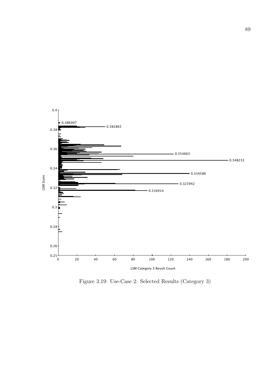

<span id="page-98-0"></span>Figure 3.19: Use-Case 2: Selected Results (Category 3)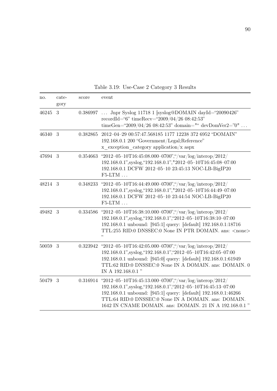| no.     | $cate-$<br>gory | score    | event                                                                                                                                                                                                                                                                                                            |  |
|---------|-----------------|----------|------------------------------------------------------------------------------------------------------------------------------------------------------------------------------------------------------------------------------------------------------------------------------------------------------------------|--|
| 46245 3 |                 | 0.386997 | Jnpr Syslog 11718 1 [syslog@DOMAIN dayId="20090426"<br>recordId="6" timeRecv="2009/04/26 08:42:53"<br>timeGen="2009/04/26 08:42:53" domain="" devDomVer2="0"                                                                                                                                                     |  |
| 46340 3 |                 | 0.382865 | 2012-04-29 00:57:47.568185 1177 12238 372 6952 "DOMAIN"<br>192.168.0.1 200 "Government/Legal;Reference"<br>$x$ exception category application/ $x$ aspx                                                                                                                                                          |  |
| 47694 3 |                 | 0.354663 | "2012-05-10T16:45:08.000-0700","/var/log/interop/2012/<br>192.168.0.1", syslog, "192.168.0.1", "2012-05-10T16:45:08-07:00<br>192.168.0.1 DCFW 2012-05-10 23:45:13 NOC-LB-BigIP20<br>$F5-LTM$                                                                                                                     |  |
| 48214 3 |                 | 0.348233 | "2012-05-10T16:44:49.000-0700","/var/log/interop/2012/<br>192.168.0.1", syslog, "192.168.0.1", "2012-05-10T16:44:49-07:00<br>192.168.0.1 DCFW 2012-05-10 23:44:54 NOC-LB-BigIP20<br>$F5-LTM$                                                                                                                     |  |
| 49482 3 |                 | 0.334586 | "2012-05-10T16:38:10.000-0700","/var/log/interop/2012/<br>192.168.0.1", syslog, "192.168.0.1", "2012-05-10T16:38:10-07:00<br>192.168.0.1 unbound: [945:1] query: [default] 192.168.0.1:18716<br>TTL:255 RID:0 DNSSEC:0 None IN PTR DOMAIN. ans: <none><br/>"</none>                                              |  |
| 50059   | 3               | 0.323942 | "2012-05-10T16:42:05.000-0700","/var/log/interop/2012/<br>192.168.0.1", syslog, "192.168.0.1", "2012-05-10T16:42:05-07:00<br>192.168.0.1 unbound: [945:0] query: [default] 192.168.0.1:61949<br>TTL:62 RID:0 DNSSEC:0 None IN A DOMAIN. ans: DOMAIN. 0<br>IN A 192.168.0.1"                                      |  |
| 50479   | 3               | 0.316914 | "2012-05-10T16:45:13.000-0700","/var/log/interop/2012/<br>192.168.0.1", syslog, "192.168.0.1", "2012-05-10T16:45:13-07:00<br>192.168.0.1 unbound: [945:1] query: [default] 192.168.0.1:46266<br>TTL:64 RID:0 DNSSEC:0 None IN A DOMAIN. ans: DOMAIN.<br>1642 IN CNAME DOMAIN. ans: DOMAIN. 21 IN A 192.168.0.1 " |  |

<span id="page-99-0"></span>Table 3.19: Use-Case 2 Category 3 Results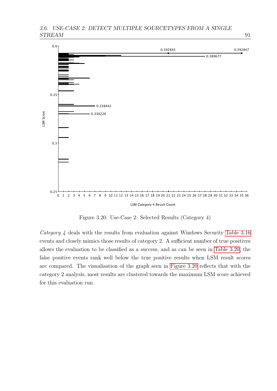

<span id="page-100-0"></span>Figure 3.20: Use-Case 2: Selected Results (Category 4)

Category 4 deals with the results from evaluation against Windows Security [Table 3.16](#page-92-0) events and closely mimics those results of category 2. A sufficient number of true positives allows the evaluation to be classified as a success, and as can be seen in [Table 3.20,](#page-101-0) the false positive events rank well below the true positive results when LSM result scores are compared. The visualisation of the graph seen in [Figure 3.20](#page-100-0) reflects that with the category 2 analysis, most results are clustered towards the maximum LSM score achieved for this evaluation run.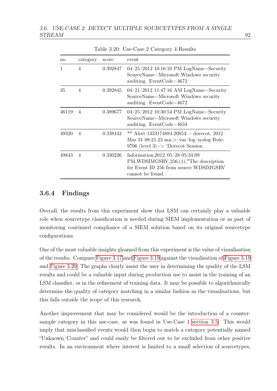| no.   | category | score    | event                                                                                                                                         |  |
|-------|----------|----------|-----------------------------------------------------------------------------------------------------------------------------------------------|--|
| 1     | 4        | 0.392847 | $04/25/2012$ 10:16:10 PM LogName=Security<br>SourceName=Microsoft Windows security<br>auditing. Event $\text{Code}=4672$                      |  |
| 35    | 4        | 0.392845 | $04/21/2012$ 11:47:16 AM LogName=Security<br>SourceName=Microsoft Windows security<br>auditing. Event $\text{Code}=4672$                      |  |
| 46119 | 4        | 0.389677 | $04/25/2012$ 10:30:54 PM LogName=Security<br>SourceName=Microsoft Windows security<br>auditing. Event $\text{Code}=4634$                      |  |
| 49320 | 4        | 0.338442 | Alert 1333174883.20854: - dovecot, 2012<br>Mar 31 08:21:23 mx->/var/log/syslog Rule:<br>$9706$ (level 3) -> 'Dovecot Session                  |  |
| 49843 | 4        | 0.330226 | Information, $2012/05/28$ 05:34:09<br>PM, WDSIMGSRV, 256, (1), "The description<br>for Event ID 256 from source WDSIMGSRV<br>cannot be found. |  |

<span id="page-101-0"></span>Table 3.20: Use-Case 2 Category 4 Results

## 3.6.4 Findings

Overall, the results from this experiment show that LSM can certainly play a valuable role when sourcetype classification is needed during SIEM implementation or as part of monitoring continued compliance of a SIEM solution based on its original sourcetype configurations.

One of the most valuable insights gleamed from this experiment is the value of visualisation of the results. Compare [Figure 3.17](#page-94-0) and [Figure 3.19](#page-98-0) against the visualisation of [Figure 3.19](#page-98-0) and [Figure 3.20.](#page-100-0) The graphs clearly assist the user in determining the quality of the LSM results and could be a valuable input during production use to assist in the training of an LSM classifier, or in the refinement of training data. It may be possible to algorithmically determine the quality of category matching in a similar fashion as the visualisations, but this falls outside the scope of this research.

Another improvement that may be considered would be the introduction of a countersample category in this use-case, as was found in Use-Case 1 [section 3.5.](#page-67-0) This would imply that misclassified events would then begin to match a category potentially named "Unknown/Counter" and could easily be filtered out to be excluded from other positive results. In an environment where interest is limited to a small selection of sourcetypes,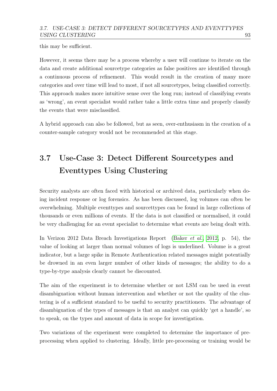this may be sufficient.

However, it seems there may be a process whereby a user will continue to iterate on the data and create additional sourcetype categories as false positives are identified through a continuous process of refinement. This would result in the creation of many more categories and over time will lead to most, if not all sourcetypes, being classified correctly. This approach makes more intuitive sense over the long run; instead of classifying events as 'wrong', an event specialist would rather take a little extra time and properly classify the events that were misclassified.

A hybrid approach can also be followed, but as seen, over-enthusiasm in the creation of a counter-sample category would not be recommended at this stage.

# <span id="page-102-0"></span>3.7 Use-Case 3: Detect Different Sourcetypes and Eventtypes Using Clustering

Security analysts are often faced with historical or archived data, particularly when doing incident response or log forensics. As has been discussed, log volumes can often be overwhelming. Multiple eventtypes and sourcettypes can be found in large collections of thousands or even millions of events. If the data is not classified or normalised, it could be very challenging for an event specialist to determine what events are being dealt with.

In Verizon 2012 Data Breach Investigations Report [\(Baker](#page-119-0) et al., [2012,](#page-119-0) p. 54), the value of looking at larger than normal volumes of logs is underlined. Volume is a great indicator, but a large spike in Remote Authentication related messages might potentially be drowned in an even larger number of other kinds of messages; the ability to do a type-by-type analysis clearly cannot be discounted.

The aim of the experiment is to determine whether or not LSM can be used in event disambiguation without human intervention and whether or not the quality of the clustering is of a sufficient standard to be useful to security practitioners. The advantage of disambiguation of the types of messages is that an analyst can quickly 'get a handle', so to speak, on the types and amount of data in scope for investigation.

Two variations of the experiment were completed to determine the importance of preprocessing when applied to clustering. Ideally, little pre-processing or training would be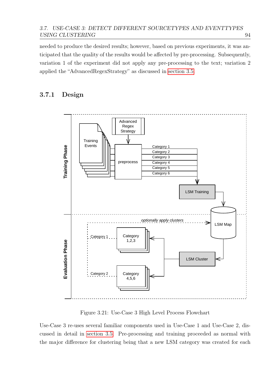needed to produce the desired results; however, based on previous experiments, it was anticipated that the quality of the results would be affected by pre-processing. Subsequently, variation 1 of the experiment did not apply any pre-processing to the text; variation 2 applied the "AdvancedRegexStrategy" as discussed in [section 3.5.](#page-67-0)

# 3.7.1 Design



<span id="page-103-0"></span>Figure 3.21: Use-Case 3 High Level Process Flowchart

Use-Case 3 re-uses several familiar components used in Use-Case 1 and Use-Case 2, discussed in detail in [section 3.5.](#page-67-0) Pre-processing and training proceeded as normal with the major difference for clustering being that a new LSM category was created for each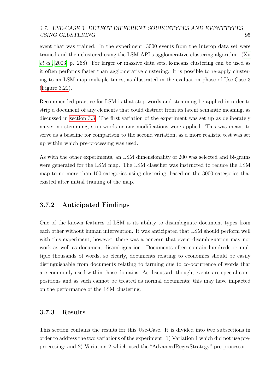#### 3.7. USE-CASE 3: DETECT DIFFERENT SOURCETYPES AND EVENTTYPES USING CLUSTERING 95

event that was trained. In the experiment, 3000 events from the Interop data set were trained and then clustered using the LSM API's agglomerative clustering algorithm [\(Xu](#page-127-0) [et al.](#page-127-0), [2003,](#page-127-0) p. 268). For larger or massive data sets, k-means clustering can be used as it often performs faster than agglomerative clustering. It is possible to re-apply clustering to an LSM map multiple times, as illustrated in the evaluation phase of Use-Case 3 [\(Figure 3.21\)](#page-103-0).

Recommended practice for LSM is that stop-words and stemming be applied in order to strip a document of any elements that could distract from its latent semantic meaning, as discussed in [section 3.3.](#page-57-0) The first variation of the experiment was set up as deliberately naive: no stemming, stop-words or any modifications were applied. This was meant to serve as a baseline for comparison to the second variation, as a more realistic test was set up within which pre-processing was used.

As with the other experiments, an LSM dimensionality of 200 was selected and bi-grams were generated for the LSM map. The LSM classifier was instructed to reduce the LSM map to no more than 100 categories using clustering, based on the 3000 categories that existed after initial training of the map.

# 3.7.2 Anticipated Findings

One of the known features of LSM is its ability to disambiguate document types from each other without human intervention. It was anticipated that LSM should perform well with this experiment; however, there was a concern that event disambiguation may not work as well as document disambiguation. Documents often contain hundreds or multiple thousands of words, so clearly, documents relating to economics should be easily distinguishable from documents relating to farming due to co-occurrence of words that are commonly used within those domains. As discussed, though, events are special compositions and as such cannot be treated as normal documents; this may have impacted on the performance of the LSM clustering.

# 3.7.3 Results

This section contains the results for this Use-Case. It is divided into two subsections in order to address the two variations of the experiment: 1) Variation 1 which did not use preprocessing; and 2) Variation 2 which used the "AdvancedRegexStrategy" pre-processor.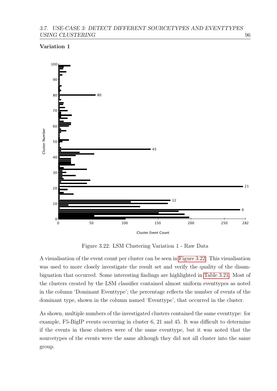#### 3.7. USE-CASE 3: DETECT DIFFERENT SOURCETYPES AND EVENTTYPES USING CLUSTERING 96

#### Variation 1



<span id="page-105-0"></span>Figure 3.22: LSM Clustering Variation 1 - Raw Data

A visualisation of the event count per cluster can be seen in [Figure 3.22.](#page-105-0) This visualisation was used to more closely investigate the result set and verify the quality of the disambiguation that occurred. Some interesting findings are highlighted in [Table 3.21.](#page-106-0) Most of the clusters created by the LSM classifier contained almost uniform eventtypes as noted in the column 'Dominant Eventtype'; the percentage reflects the number of events of the dominant type, shown in the column named 'Eventtype', that occurred in the cluster.

As shown, multiple numbers of the investigated clusters contained the same eventtype: for example, F5-BigIP events occurring in cluster 6, 21 and 45. It was difficult to determine if the events in these clusters were of the same eventtype, but it was noted that the sourcetypes of the events were the same although they did not all cluster into the same group.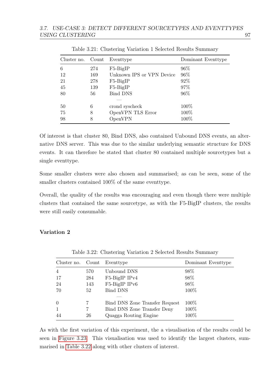| Cluster no. Count |     | Eventtype                 | Dominant Eventtype |
|-------------------|-----|---------------------------|--------------------|
| 6                 | 274 | $F5-BigIP$                | 96%                |
| 12                | 169 | Unknown IPS or VPN Device | 96%                |
| 21                | 278 | $F5-BigIP$                | 92%                |
| 45                | 139 | $F5-BigIP$                | 97%                |
| 80                | 56  | <b>Bind DNS</b>           | 96%                |
|                   |     |                           |                    |
| 50                | 6   | crond syscheck            | 100%               |
| 75                | 8   | OpenVPN TLS Error         | 100\%              |
| 98                | 8   | OpenVPN                   | 100%               |

<span id="page-106-0"></span>Table 3.21: Clustering Variation 1 Selected Results Summary

Of interest is that cluster 80, Bind DNS, also contained Unbound DNS events, an alternative DNS server. This was due to the similar underlying semantic structure for DNS events. It can therefore be stated that cluster 80 contained multiple sourcetypes but a single eventtype.

Some smaller clusters were also chosen and summarised; as can be seen, some of the smaller clusters contained 100% of the same eventtype.

Overall, the quality of the results was encouraging and even though there were multiple clusters that contained the same sourcetype, as with the F5-BigIP clusters, the results were still easily consumable.

#### Variation 2

| Cluster no. Count |     | Eventtype                      | Dominant Eventtype |
|-------------------|-----|--------------------------------|--------------------|
| $\overline{4}$    | 570 | Unbound DNS                    | 98\%               |
| -17               | 284 | F5-BigIP IPv4                  | 98%                |
| 24                | 143 | F5-BigIP IPv6                  | 98%                |
| 70                | 52  | <b>Bind DNS</b>                | 100%               |
| $\Omega$          |     | Bind DNS Zone Transfer Request | 100\%              |
| $\mathbf{1}$      |     | Bind DNS Zone Transfer Deny    | 100%               |
| 44                | 26  | Quagga Routing Engine          | 100%               |

<span id="page-106-1"></span>Table 3.22: Clustering Variation 2 Selected Results Summary

As with the first variation of this experiment, the a visualisation of the results could be seen in [Figure 3.23.](#page-107-0) This visualisation was used to identify the largest clusters, summarised in [Table 3.22](#page-106-1) along with other clusters of interest.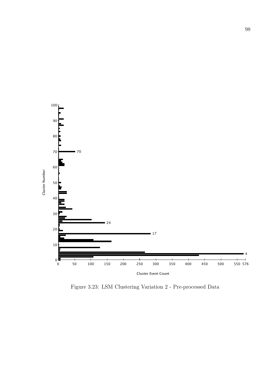

<span id="page-107-0"></span>Figure 3.23: LSM Clustering Variation 2 - Pre-processed Data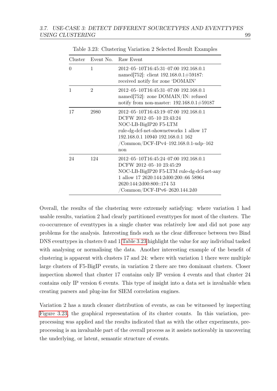|          |                | Cluster Event No. Raw Event                                                                                                                                                                                                      |  |
|----------|----------------|----------------------------------------------------------------------------------------------------------------------------------------------------------------------------------------------------------------------------------|--|
| $\Omega$ | 1              | 2012-05-10T16:45:31-07:00 192.168.0.1<br>named[752]: client $192.168.0.1 \# 59187$ :<br>received notify for zone 'DOMAIN'                                                                                                        |  |
| 1        | $\overline{2}$ | 2012-05-10T16:45:31-07:00 192.168.0.1<br>named $[752]$ : zone DOMAIN/IN: refused<br>notify from non-master: $192.168.0.1 \# 59187$                                                                                               |  |
| 17       | 2980           | 2012-05-10T16:43:19-07:00 192.168.0.1<br>DCFW 2012-05-10 23:43:24<br>NOC-LB-BigIP20 F5-LTM<br>rule-dg-dcf-net-shownetworks 1 allow 17<br>192.168.0.1 10940 192.168.0.1 162<br>$/$ Common $/$ DCF-IPv4-192.168.0.1-udp-162<br>non |  |
| 24       | 124            | 2012-05-10T16:45:24-07:00 192.168.0.1<br>DCFW 2012-05-10 23:45:29<br>NOC-LB-BigIP20 F5-LTM rule-dg-dcf-net-any<br>1 allow 17 2620:144:2d00:200::66 58964<br>2620:144:2d00:800::174 53<br>/Common/DCF-IPv6-2620.144.2d0           |  |

<span id="page-108-0"></span>Table 3.23: Clustering Variation 2 Selected Result Examples

Overall, the results of the clustering were extremely satisfying: where variation 1 had usable results, variation 2 had clearly partitioned eventtypes for most of the clusters. The co-occurrence of eventtypes in a single cluster was relatively low and did not pose any problems for the analysis. Interesting finds such as the clear difference between two Bind DNS eventtypes in clusters 0 and 1 [Table 3.23](#page-108-0) highlight the value for any individual tasked with analysing or normalising the data. Another interesting example of the benefit of clustering is apparent with clusters 17 and 24: where with variation 1 there were multiple large clusters of F5-BigIP events, in variation 2 there are two dominant clusters. Closer inspection showed that cluster 17 contains only IP version 4 events and that cluster 24 contains only IP version 6 events. This type of insight into a data set is invaluable when creating parsers and plug-ins for SIEM correlation engines.

Variation 2 has a much cleaner distribution of events, as can be witnessed by inspecting [Figure 3.23,](#page-107-0) the graphical representation of its cluster counts. In this variation, preprocessing was applied and the results indicated that as with the other experiments, preprocessing is an invaluable part of the overall process as it assists noticeably in uncovering the underlying, or latent, semantic structure of events.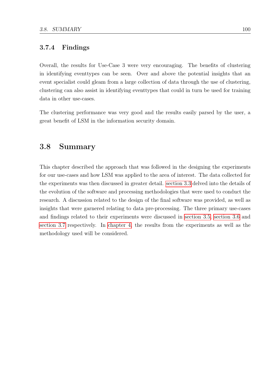#### 3.7.4 Findings

Overall, the results for Use-Case 3 were very encouraging. The benefits of clustering in identifying eventtypes can be seen. Over and above the potential insights that an event specialist could gleam from a large collection of data through the use of clustering, clustering can also assist in identifying eventtypes that could in turn be used for training data in other use-cases.

The clustering performance was very good and the results easily parsed by the user, a great benefit of LSM in the information security domain.

#### 3.8 Summary

This chapter described the approach that was followed in the designing the experiments for our use-cases and how LSM was applied to the area of interest. The data collected for the experiments was then discussed in greater detail. [section 3.3](#page-57-0) delved into the details of the evolution of the software and processing methodologies that were used to conduct the research. A discussion related to the design of the final software was provided, as well as insights that were garnered relating to data pre-processing. The three primary use-cases and findings related to their experiments were discussed in [section 3.5,](#page-67-0) [section 3.6](#page-90-0) and [section 3.7](#page-102-0) respectively. In [chapter 4,](#page-110-0) the results from the experiments as well as the methodology used will be considered.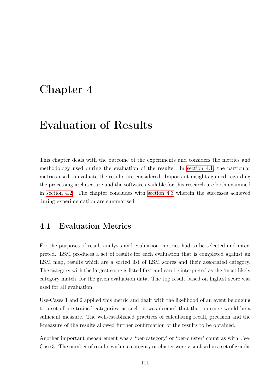## <span id="page-110-0"></span>Chapter 4

## Evaluation of Results

This chapter deals with the outcome of the experiments and considers the metrics and methodology used during the evaluation of the results. In [section 4.1,](#page-110-1) the particular metrics used to evaluate the results are considered. Important insights gained regarding the processing architecture and the software available for this research are both examined in [section 4.2.](#page-111-0) The chapter concludes with [section 4.3](#page-112-0) wherein the successes achieved during experimentation are summarised.

### <span id="page-110-1"></span>4.1 Evaluation Metrics

For the purposes of result analysis and evaluation, metrics had to be selected and interpreted. LSM produces a set of results for each evaluation that is completed against an LSM map, results which are a sorted list of LSM scores and their associated category. The category with the largest score is listed first and can be interpreted as the 'most likely category match' for the given evaluation data. The top result based on highest score was used for all evaluation.

Use-Cases 1 and 2 applied this metric and dealt with the likelihood of an event belonging to a set of pre-trained categories; as such, it was deemed that the top score would be a sufficient measure. The well-established practices of calculating recall, precision and the f-measure of the results allowed further confirmation of the results to be obtained.

Another important measurement was a 'per-category' or 'per-cluster' count as with Use-Case 3. The number of results within a category or cluster were visualised in a set of graphs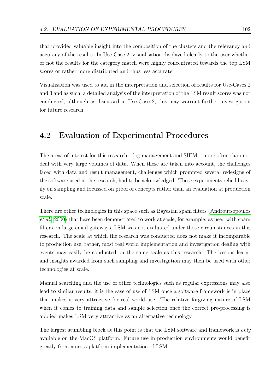that provided valuable insight into the composition of the clusters and the relevancy and accuracy of the results. In Use-Case 2, visualisation displayed clearly to the user whether or not the results for the category match were highly concentrated towards the top LSM scores or rather more distributed and thus less accurate.

Visualisation was used to aid in the interpretation and selection of results for Use-Cases 2 and 3 and as such, a detailed analysis of the interpretation of the LSM result scores was not conducted, although as discussed in Use-Case 2, this may warrant further investigation for future research.

### <span id="page-111-0"></span>4.2 Evaluation of Experimental Procedures

The areas of interest for this research – log management and SIEM – more often than not deal with very large volumes of data. When these are taken into account, the challenges faced with data and result management, challenges which prompted several redesigns of the software used in the research, had to be acknowledged. These experiments relied heavily on sampling and focussed on proof of concepts rather than an evaluation at production scale.

There are other technologies in this space such as Bayesian spam filters [\(Androutsopoulos](#page-119-0) [et al.](#page-119-0), [2000\)](#page-119-0) that have been demonstrated to work at scale; for example, as used with spam filters on large email gateways, LSM was not evaluated under those circumstances in this research. The scale at which the research was conducted does not make it incomparable to production use; rather, most real world implementation and investigation dealing with events may easily be conducted on the same scale as this research. The lessons learnt and insights awarded from such sampling and investigation may then be used with other technologies at scale.

Manual searching and the use of other technologies such as regular expressions may also lead to similar results; it is the ease of use of LSM once a software framework is in place that makes it very attractive for real world use. The relative forgiving nature of LSM when it comes to training data and sample selection once the correct pre-processing is applied makes LSM very attractive as an alternative technology.

The largest stumbling block at this point is that the LSM software and framework is *only* available on the MacOS platform. Future use in production environments would benefit greatly from a cross platform implementation of LSM.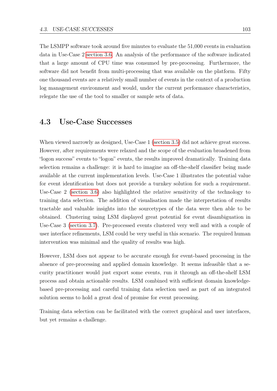The LSMPP software took around five minutes to evaluate the 51,000 events in evaluation data in Use-Case 2 [section 3.6.](#page-90-0) An analysis of the performance of the software indicated that a large amount of CPU time was consumed by pre-processing. Furthermore, the software did not benefit from multi-processing that was available on the platform. Fifty one thousand events are a relatively small number of events in the context of a production log management environment and would, under the current performance characteristics, relegate the use of the tool to smaller or sample sets of data.

#### <span id="page-112-0"></span>4.3 Use-Case Successes

When viewed narrowly as designed, Use-Case 1 [\(section 3.5\)](#page-67-0) did not achieve great success. However, after requirements were relaxed and the scope of the evaluation broadened from "logon success" events to "logon" events, the results improved dramatically. Training data selection remains a challenge: it is hard to imagine an off-the-shelf classifier being made available at the current implementation levels. Use-Case 1 illustrates the potential value for event identification but does not provide a turnkey solution for such a requirement. Use-Case 2 [\(section 3.6\)](#page-90-0) also highlighted the relative sensitivity of the technology to training data selection. The addition of visualisation made the interpretation of results tractable and valuable insights into the sourcetypes of the data were then able to be obtained. Clustering using LSM displayed great potential for event disambiguation in Use-Case 3 [\(section 3.7\)](#page-102-0). Pre-processed events clustered very well and with a couple of user interface refinements, LSM could be very useful in this scenario. The required human intervention was minimal and the quality of results was high.

However, LSM does not appear to be accurate enough for event-based processing in the absence of pre-processing and applied domain knowledge. It seems infeasible that a security practitioner would just export some events, run it through an off-the-shelf LSM process and obtain actionable results. LSM combined with sufficient domain knowledgebased pre-processing and careful training data selection used as part of an integrated solution seems to hold a great deal of promise for event processing.

Training data selection can be facilitated with the correct graphical and user interfaces, but yet remains a challenge.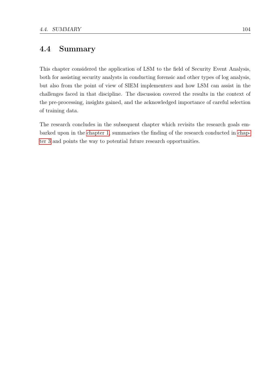### 4.4 Summary

This chapter considered the application of LSM to the field of Security Event Analysis, both for assisting security analysts in conducting forensic and other types of log analysis, but also from the point of view of SIEM implementers and how LSM can assist in the challenges faced in that discipline. The discussion covered the results in the context of the pre-processing, insights gained, and the acknowledged importance of careful selection of training data.

The research concludes in the subsequent chapter which revisits the research goals embarked upon in the [chapter 1,](#page-10-0) summarises the finding of the research conducted in [chap](#page-53-0)[ter 3](#page-53-0) and points the way to potential future research opportunities.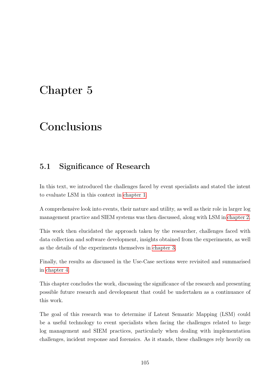# Chapter 5

# **Conclusions**

### 5.1 Significance of Research

In this text, we introduced the challenges faced by event specialists and stated the intent to evaluate LSM in this context in [chapter 1.](#page-10-0)

A comprehensive look into events, their nature and utility, as well as their role in larger log management practice and SIEM systems was then discussed, along with LSM in [chapter 2.](#page-21-0)

This work then elucidated the approach taken by the researcher, challenges faced with data collection and software development, insights obtained from the experiments, as well as the details of the experiments themselves in [chapter 3.](#page-53-0)

Finally, the results as discussed in the Use-Case sections were revisited and summarised in [chapter 4.](#page-110-0)

This chapter concludes the work, discussing the significance of the research and presenting possible future research and development that could be undertaken as a continuance of this work.

The goal of this research was to determine if Latent Semantic Mapping (LSM) could be a useful technology to event specialists when facing the challenges related to large log management and SIEM practices, particularly when dealing with implementation challenges, incident response and forensics. As it stands, these challenges rely heavily on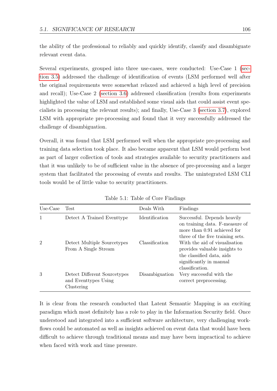the ability of the professional to reliably and quickly identify, classify and disambiguate relevant event data.

Several experiments, grouped into three use-cases, were conducted: Use-Case 1 [\(sec](#page-67-0)[tion 3.5\)](#page-67-0) addressed the challenge of identification of events (LSM performed well after the original requirements were somewhat relaxed and achieved a high level of precision and recall); Use-Case 2 [\(section 3.6\)](#page-90-0) addressed classification (results from experiments highlighted the value of LSM and established some visual aids that could assist event specialists in processing the relevant results); and finally, Use-Case 3 [\(section 3.7\)](#page-102-0), explored LSM with appropriate pre-processing and found that it very successfully addressed the challenge of disambiguation.

Overall, it was found that LSM performed well when the appropriate pre-processing and training data selection took place. It also became apparent that LSM would perform best as part of larger collection of tools and strategies available to security practitioners and that it was unlikely to be of sufficient value in the absence of pre-processing and a larger system that facilitated the processing of events and results. The unintegrated LSM CLI tools would be of little value to security practitioners.

| Use-Case       | Test                                                               | Deals With     | Findings                                                                                                                                  |
|----------------|--------------------------------------------------------------------|----------------|-------------------------------------------------------------------------------------------------------------------------------------------|
| 1              | Detect A Trained Eventype                                          | Identification | Successful. Depends heavily<br>on training data. F-measure of<br>more than 0.91 achieved for<br>three of the five training sets.          |
| $\overline{2}$ | Detect Multiple Sourcetypes<br>From A Single Stream                | Classification | With the aid of visualisation<br>provides valuable insights to<br>the classified data, aids<br>significantly in manual<br>classification. |
| 3              | Detect Different Sourcetypes<br>and Eventtypes Using<br>Clustering | Disambiguation | Very successful with the<br>correct preprocessing.                                                                                        |

Table 5.1: Table of Core Findings

It is clear from the research conducted that Latent Semantic Mapping is an exciting paradigm which most definitely has a role to play in the Information Security field. Once understood and integrated into a sufficient software architecture, very challenging workflows could be automated as well as insights achieved on event data that would have been difficult to achieve through traditional means and may have been impractical to achieve when faced with work and time pressure.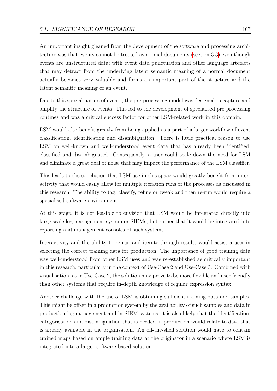An important insight gleaned from the development of the software and processing architecture was that events cannot be treated as normal documents [\(section 3.3\)](#page-57-0) even though events are unstructured data; with event data punctuation and other language artefacts that may detract from the underlying latent semantic meaning of a normal document actually becomes very valuable and forms an important part of the structure and the latent semantic meaning of an event.

Due to this special nature of events, the pre-processing model was designed to capture and amplify the structure of events. This led to the development of specialised pre-processing routines and was a critical success factor for other LSM-related work in this domain.

LSM would also benefit greatly from being applied as a part of a larger workflow of event classification, identification and disambiguation. There is little practical reason to use LSM on well-known and well-understood event data that has already been identified, classified and disambiguated. Consequently, a user could scale down the need for LSM and eliminate a great deal of noise that may impact the performance of the LSM classifier.

This leads to the conclusion that LSM use in this space would greatly benefit from interactivity that would easily allow for multiple iteration runs of the processes as discussed in this research. The ability to tag, classify, refine or tweak and then re-run would require a specialised software environment.

At this stage, it is not feasible to envision that LSM would be integrated directly into large scale log management system or SIEMs, but rather that it would be integrated into reporting and management consoles of such systems.

Interactivity and the ability to re-run and iterate through results would assist a user in selecting the correct training data for production. The importance of good training data was well-understood from other LSM uses and was re-established as critically important in this research, particularly in the context of Use-Case 2 and Use-Case 3. Combined with visualisation, as in Use-Case 2, the solution may prove to be more flexible and user-friendly than other systems that require in-depth knowledge of regular expression syntax.

Another challenge with the use of LSM is obtaining sufficient training data and samples. This might be offset in a production system by the availability of such samples and data in production log management and in SIEM systems; it is also likely that the identification, categorisation and disambiguation that is needed in production would relate to data that is already available in the organisation. An off-the-shelf solution would have to contain trained maps based on ample training data at the originator in a scenario where LSM is integrated into a larger software based solution.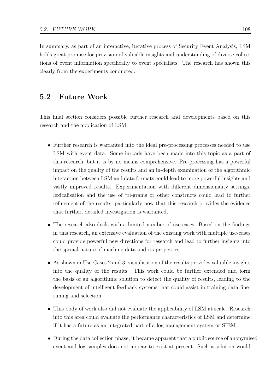In summary, as part of an interactive, iterative process of Security Event Analysis, LSM holds great promise for provision of valuable insights and understanding of diverse collections of event information specifically to event specialists. The research has shown this clearly from the experiments conducted.

#### 5.2 Future Work

This final section considers possible further research and developments based on this research and the application of LSM.

- Further research is warranted into the ideal pre-processing processes needed to use LSM with event data. Some inroads have been made into this topic as a part of this research, but it is by no means comprehensive. Pre-processing has a powerful impact on the quality of the results and an in-depth examination of the algorithmic interaction between LSM and data formats could lead to more powerful insights and vastly improved results. Experimentation with different dimensionality settings, lexicalisation and the use of tri-grams or other constructs could lead to further refinement of the results, particularly now that this research provides the evidence that further, detailed investigation is warranted.
- The research also deals with a limited number of use-cases. Based on the findings in this research, an extensive evaluation of the existing work with multiple use-cases could provide powerful new directions for research and lead to further insights into the special nature of machine data and its properties.
- As shown in Use-Cases 2 and 3, visualisation of the results provides valuable insights into the quality of the results. This work could be further extended and form the basis of an algorithmic solution to detect the quality of results, leading to the development of intelligent feedback systems that could assist in training data finetuning and selection.
- This body of work also did not evaluate the applicability of LSM at scale. Research into this area could evaluate the performance characteristics of LSM and determine if it has a future as an integrated part of a log management system or SIEM.
- During the data collection phase, it became apparent that a public source of anonymised event and log samples does not appear to exist at present. Such a solution would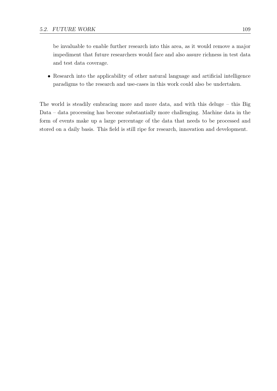be invaluable to enable further research into this area, as it would remove a major impediment that future researchers would face and also assure richness in test data and test data coverage.

• Research into the applicability of other natural language and artificial intelligence paradigms to the research and use-cases in this work could also be undertaken.

The world is steadily embracing more and more data, and with this deluge – this Big Data – data processing has become substantially more challenging. Machine data in the form of events make up a large percentage of the data that needs to be processed and stored on a daily basis. This field is still ripe for research, innovation and development.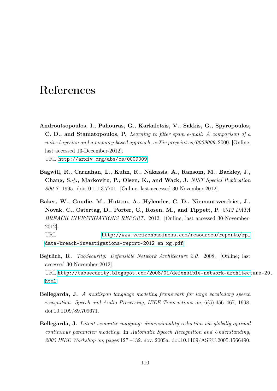## References

<span id="page-119-0"></span>Androutsopoulos, I., Paliouras, G., Karkaletsis, V., Sakkis, G., Spyropoulos, C. D., and Stamatopoulos, P. Learning to filter spam e-mail: A comparison of a naive bayesian and a memory-based approach. arXiv preprint  $cs/0009009$ , 2000. [Online; last accessed 13-December-2012].

URL <http://arxiv.org/abs/cs/0009009>

- Bagwill, R., Carnahan, L., Kuhn, R., Nakassis, A., Ransom, M., Backley, J., Chang, S.-j., Markovitz, P., Olsen, K., and Wack, J. NIST Special Publication 800-7. 1995. doi:10.1.1.3.7701. [Online; last accessed 30-November-2012].
- Baker, W., Goudie, M., Hutton, A., Hylender, C. D., Niemantsverdriet, J., Novak, C., Ostertag, D., Porter, C., Rosen, M., and Tippett, P. 2012 DATA BREACH INVESTIGATIONS REPORT. 2012. [Online; last accessed 30-November-2012].

URL [http://www.verizonbusiness.com/resources/reports/rp\\_](http://www.verizonbusiness.com/resources/reports/rp_data-breach-investigations-report-2012_en_xg.pdf) [data-breach-investigations-report-2012\\_en\\_xg.pdf](http://www.verizonbusiness.com/resources/reports/rp_data-breach-investigations-report-2012_en_xg.pdf)

- Bejtlich, R. TaoSecurity: Defensible Network Architecture 2.0. 2008. [Online; last accessed 30-November-2012]. URL [http://taosecurity.blogspot.com/2008/01/defensible-network-architect](http://taosecurity.blogspot.com/2008/01/defensible-network-architecture-20.html)ure-20. [html](http://taosecurity.blogspot.com/2008/01/defensible-network-architecture-20.html)
- Bellegarda, J. A multispan language modeling framework for large vocabulary speech recognition. Speech and Audio Processing, IEEE Transactions on, 6(5):456–467, 1998. doi:10.1109/89.709671.
- Bellegarda, J. Latent semantic mapping: dimensionality reduction via globally optimal continuous parameter modeling. In Automatic Speech Recognition and Understanding, 2005 IEEE Workshop on, pages 127 –132. nov. 2005a. doi:10.1109/ASRU.2005.1566490.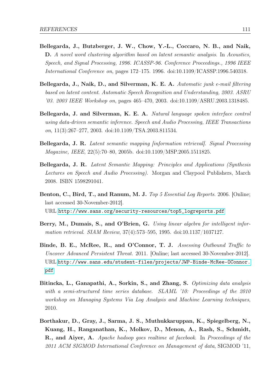- Bellegarda, J., Butzberger, J. W., Chow, Y.-L., Coccaro, N. B., and Naik, D. A novel word clustering algorithm based on latent semantic analysis. In Acoustics, Speech, and Signal Processing, 1996. ICASSP-96. Conference Proceedings., 1996 IEEE International Conference on, pages 172–175. 1996. doi:10.1109/ICASSP.1996.540318.
- Bellegarda, J., Naik, D., and Silverman, K. E. A. Automatic junk e-mail filtering based on latent content. Automatic Speech Recognition and Understanding, 2003. ASRU '03. 2003 IEEE Workshop on, pages 465–470, 2003. doi:10.1109/ASRU.2003.1318485.
- Bellegarda, J. and Silverman, K. E. A. Natural language spoken interface control using data-driven semantic inference. Speech and Audio Processing, IEEE Transactions on, 11(3):267–277, 2003. doi:10.1109/TSA.2003.811534.
- Bellegarda, J. R. Latent semantic mapping [information retrieval]. Signal Processing Magazine, IEEE, 22(5):70–80, 2005b. doi:10.1109/MSP.2005.1511825.
- Bellegarda, J. R. Latent Semantic Mapping: Principles and Applications (Synthesis Lectures on Speech and Audio Processing). Morgan and Claypool Publishers, March 2008. ISBN 1598291041.
- Benton, C., Bird, T., and Ranum, M. J. Top 5 Essential Log Reports. 2006. [Online; last accessed 30-November-2012]. URL [http://www.sans.org/security-resources/top5\\_logreports.pdf](http://www.sans.org/security-resources/top5_logreports.pdf)
- Berry, M., Dumais, S., and O'Brien, G. Using linear algebra for intelligent information retrieval. SIAM Review, 37(4):573–595, 1995. doi:10.1137/1037127.
- Binde, B. E., McRee, R., and O'Connor, T. J. Assessing Outbound Traffic to Uncover Advanced Persistent Threat. 2011. [Online; last accessed 30-November-2012]. URL [http://www.sans.edu/student-files/projects/JWP-Binde-McRee-OConnor.](http://www.sans.edu/student-files/projects/JWP-Binde-McRee-OConnor.pdf) [pdf](http://www.sans.edu/student-files/projects/JWP-Binde-McRee-OConnor.pdf)
- Bitincka, L., Ganapathi, A., Sorkin, S., and Zhang, S. Optimizing data analysis with a semi-structured time series database. SLAML '10: Proceedings of the 2010 workshop on Managing Systems Via Log Analysis and Machine Learning techniques, 2010.
- Borthakur, D., Gray, J., Sarma, J. S., Muthukkaruppan, K., Spiegelberg, N., Kuang, H., Ranganathan, K., Molkov, D., Menon, A., Rash, S., Schmidt, R., and Aiyer, A. Apache hadoop goes realtime at facebook. In Proceedings of the 2011 ACM SIGMOD International Conference on Management of data, SIGMOD '11,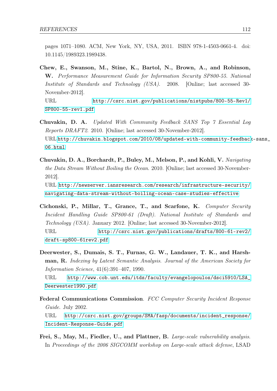pages 1071–1080. ACM, New York, NY, USA, 2011. ISBN 978-1-4503-0661-4. doi: 10.1145/1989323.1989438.

Chew, E., Swanson, M., Stine, K., Bartol, N., Brown, A., and Robinson, W. Performance Measurement Guide for Information Security SP800-55. National Institute of Standards and Technology (USA). 2008. [Online; last accessed 30- November-2012]. URL [http://csrc.nist.gov/publications/nistpubs/800-55-Rev1/](http://csrc.nist.gov/publications/nistpubs/800-55-Rev1/SP800-55-rev1.pdf)

[SP800-55-rev1.pdf](http://csrc.nist.gov/publications/nistpubs/800-55-Rev1/SP800-55-rev1.pdf)

- Chuvakin, D. A. Updated With Community Feedback SANS Top 7 Essential Log Reports DRAFT2. 2010. [Online; last accessed 30-November-2012]. URL [http://chuvakin.blogspot.com/2010/08/updated-with-community-feedback](http://chuvakin.blogspot.com/2010/08/updated-with-community-feedback-sans_06.html)-sans\_ [06.html](http://chuvakin.blogspot.com/2010/08/updated-with-community-feedback-sans_06.html)
- Chuvakin, D. A., Borchardt, P., Buley, M., Melson, P., and Kohli, V. Navigating the Data Stream Without Boiling the Ocean. 2010. [Online; last accessed 30-November-2012]. URL [http://newserver.iansresearch.com/research/infrastructure-security/](http://newserver.iansresearch.com/research/infrastructure-security/navigating-data-stream-without-boiling-ocean-case-studies-effective) [navigating-data-stream-without-boiling-ocean-case-studies-effective](http://newserver.iansresearch.com/research/infrastructure-security/navigating-data-stream-without-boiling-ocean-case-studies-effective)
- Cichonski, P., Millar, T., Grance, T., and Scarfone, K. Computer Security Incident Handling Guide SP800-61 (Draft). National Institute of Standards and Technology (USA). January 2012. [Online; last accessed 30-November-2012]. URL [http://csrc.nist.gov/publications/drafts/800-61-rev2/](http://csrc.nist.gov/publications/drafts/800-61-rev2/draft-sp800-61rev2.pdf) [draft-sp800-61rev2.pdf](http://csrc.nist.gov/publications/drafts/800-61-rev2/draft-sp800-61rev2.pdf)
- Deerwester, S., Dumais, S. T., Furnas, G. W., Landauer, T. K., and Harshman, R. Indexing by Latent Semantic Analysis. Journal of the American Society for Information Science, 41(6):391–407, 1990. URL [http://www.cob.unt.edu/itds/faculty/evangelopoulos/dsci5910/LSA\\_](http://www.cob.unt.edu/itds/faculty/evangelopoulos/dsci5910/LSA_Deerwester1990.pdf) [Deerwester1990.pdf](http://www.cob.unt.edu/itds/faculty/evangelopoulos/dsci5910/LSA_Deerwester1990.pdf)
- Federal Communications Commission. FCC Computer Security Incident Response Guide. July 2002. URL [http://csrc.nist.gov/groups/SMA/fasp/documents/incident\\_response/](http://csrc.nist.gov/groups/SMA/fasp/documents/incident_response/Incident-Response-Guide.pdf) [Incident-Response-Guide.pdf](http://csrc.nist.gov/groups/SMA/fasp/documents/incident_response/Incident-Response-Guide.pdf)
- Frei, S., May, M., Fiedler, U., and Plattner, B. Large-scale vulnerability analysis. In Proceedings of the 2006 SIGCOMM workshop on Large-scale attack defense, LSAD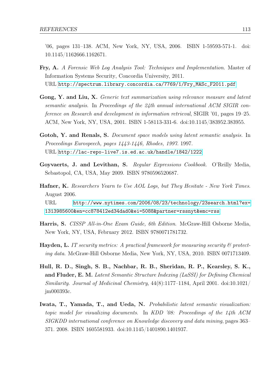'06, pages 131–138. ACM, New York, NY, USA, 2006. ISBN 1-59593-571-1. doi: 10.1145/1162666.1162671.

- Fry, A. A Forensic Web Log Analysis Tool: Techniques and Implementation. Master of Information Systems Security, Concordia University, 2011. URL [http://spectrum.library.concordia.ca/7769/1/Fry\\_MASc\\_F2011.pdf](http://spectrum.library.concordia.ca/7769/1/Fry_MASc_F2011.pdf)
- Gong, Y. and Liu, X. Generic text summarization using relevance measure and latent semantic analysis. In Proceedings of the 24th annual international ACM SIGIR conference on Research and development in information retrieval, SIGIR '01, pages 19–25. ACM, New York, NY, USA, 2001. ISBN 1-58113-331-6. doi:10.1145/383952.383955.
- Gotoh, Y. and Renals, S. *Document space models using latent semantic analysis*. In Proceedings Eurospeech, pages 1443-1446, Rhodes, 1997. 1997. URL <http://lac-repo-live7.is.ed.ac.uk/handle/1842/1222>
- Goyvaerts, J. and Levithan, S. Regular Expressions Cookbook. O'Reilly Media, Sebastopol, CA, USA, May 2009. ISBN 9780596520687.
- Hafner, K. Researchers Yearn to Use AOL Logs, but They Hesitate New York Times. August 2006. URL [http://www.nytimes.com/2006/08/23/technology/23search.html?ex=](http://www.nytimes.com/2006/08/23/technology/23search.html?ex=1313985600&en=cc878412ed34dad0&ei=5088&partner=rssnyt&emc=rss) [1313985600&en=cc878412ed34dad0&ei=5088&partner=rssnyt&emc=rss](http://www.nytimes.com/2006/08/23/technology/23search.html?ex=1313985600&en=cc878412ed34dad0&ei=5088&partner=rssnyt&emc=rss)
- Harris, S. CISSP All-in-One Exam Guide, 6th Edition. McGraw-Hill Osborne Media, New York, NY, USA, February 2012. ISBN 9780071781732.
- **Hayden, L.** IT security metrics: A practical framework for measuring security  $\mathcal{C}$  protecting data. McGraw-Hill Osborne Media, New York, NY, USA, 2010. ISBN 0071713409.
- Hull, R. D., Singh, S. B., Nachbar, R. B., Sheridan, R. P., Kearsley, S. K., and Fluder, E. M. Latent Semantic Structure Indexing (LaSSI) for Defining Chemical Similarity. Journal of Medicinal Chemistry,  $44(8):1177-1184$ , April 2001. doi:10.1021/ jm000393c.
- Iwata, T., Yamada, T., and Ueda, N. Probabilistic latent semantic visualization: topic model for visualizing documents. In KDD '08: Proceedings of the 14th ACM SIGKDD international conference on Knowledge discovery and data mining, pages 363– 371. 2008. ISBN 1605581933. doi:10.1145/1401890.1401937.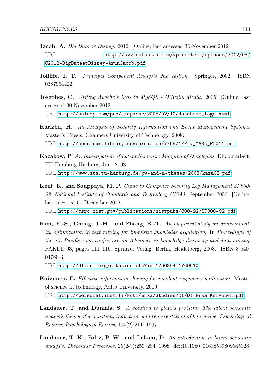- Jacob, A. Big Data @ Disney. 2012. [Online: last accessed 30-November-2012]. URL [http://www.datastax.com/wp-content/uploads/2012/08/](http://www.datastax.com/wp-content/uploads/2012/08/C2012-BigDataatDisney-ArunJacob.pdf) [C2012-BigDataatDisney-ArunJacob.pdf](http://www.datastax.com/wp-content/uploads/2012/08/C2012-BigDataatDisney-ArunJacob.pdf)
- Jolliffe, I. T. Principal Component Analysis 2nd edition. Springer, 2002. ISBN 0387954422.
- Josephes, C. Writing Apache's Logs to MySQL O'Reilly Media. 2005. [Online; last accessed 30-November-2012]. URL [http://onlamp.com/pub/a/apache/2005/02/10/database\\_logs.html](http://onlamp.com/pub/a/apache/2005/02/10/database_logs.html)
- Karlzén, H. An Analysis of Security Information and Event Management Systems. Master's Thesis, Chalmers University of Technology, 2008. URL [http://spectrum.library.concordia.ca/7769/1/Fry\\_MASc\\_F2011.pdf](http://spectrum.library.concordia.ca/7769/1/Fry_MASc_F2011.pdf)
- Kazakow, P. An Investigation of Latent Semantic Mapping of Ontologies. Diplomarbeit, TU Hamburg-Harburg, June 2008. URL <http://www.sts.tu-harburg.de/pw-and-m-theses/2008/kaza08.pdf>
- Kent, K. and Souppaya, M. P. Guide to Computer Security Log Management SP800- 92. National Institute of Standards and Technology (USA). September 2006. [Online; last accessed 01-December-2012]. URL <http://csrc.nist.gov/publications/nistpubs/800-92/SP800-92.pdf>
- Kim, Y.-S., Chang, J.-H., and Zhang, B.-T. An empirical study on dimensionality optimization in text mining for linguistic knowledge acquisition. In Proceedings of
- the 7th Pacific-Asia conference on Advances in knowledge discovery and data mining, PAKDD'03, pages 111–116. Springer-Verlag, Berlin, Heidelberg, 2003. ISBN 3-540- 04760-3.
- URL <http://dl.acm.org/citation.cfm?id=1760894.1760910>
- Koivunen, E. Effective information sharing for incident response coordination. Master of science in technology, Aalto University, 2010. URL [http://personal.inet.fi/koti/erka/Studies/DI/DI\\_Erka\\_Koivunen.pdf](http://personal.inet.fi/koti/erka/Studies/DI/DI_Erka_Koivunen.pdf)
- Landauer, T. and Dumais, S. A solution to plato's problem: The latent semantic analysis theory of acquisition, induction, and representation of knowledge. Psychological Review; Psychological Review, 104(2):211, 1997.
- Landauer, T. K., Foltz, P. W., and Laham, D. An introduction to latent semantic analysis. Discourse Processes, 25(2-3):259–284, 1998. doi:10.1080/01638539809545028.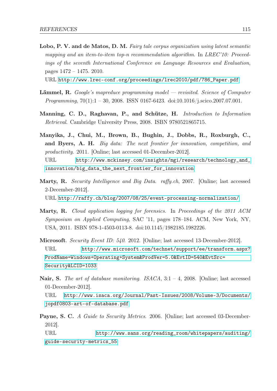Lobo, P. V. and de Matos, D. M. Fairy tale corpus organization using latent semantic mapping and an item-to-item top-n recommendation algorithm. In LREC'10: Proceedings of the seventh International Conference on Language Resources and Evaluation, pages 1472 – 1475. 2010.

URL [http://www.lrec-conf.org/proceedings/lrec2010/pdf/786\\_Paper.pdf](http://www.lrec-conf.org/proceedings/lrec2010/pdf/786_Paper.pdf)

- Lämmel, R. Google's mapreduce programming model revisited. Science of Computer *Programming*,  $70(1):1 - 30$ , 2008. ISSN 0167-6423. doi:10.1016/j.scico.2007.07.001.
- Manning, C. D., Raghavan, P., and Schütze, H. Introduction to Information Retrieval. Cambridge University Press, 2008. ISBN 9780521865715.
- Manyika, J., Chui, M., Brown, B., Bughin, J., Dobbs, R., Roxburgh, C., and Byers, A. H. Big data: The next frontier for innovation, competition, and productivity. 2011. [Online; last accessed 01-December-2012]. URL [http://www.mckinsey.com/insights/mgi/research/technology\\_and\\_](http://www.mckinsey.com/insights/mgi/research/technology_and_innovation/big_data_the_next_frontier_for_innovation) [innovation/big\\_data\\_the\\_next\\_frontier\\_for\\_innovation](http://www.mckinsey.com/insights/mgi/research/technology_and_innovation/big_data_the_next_frontier_for_innovation)
- Marty, R. Security Intelligence and Big Data. raffy.ch, 2007. [Online; last accessed 2-December-2012].

URL <http://raffy.ch/blog/2007/08/25/event-processing-normalization/>

- Marty, R. Cloud application logging for forensics. In Proceedings of the 2011 ACM Symposium on Applied Computing, SAC '11, pages 178–184. ACM, New York, NY, USA, 2011. ISBN 978-1-4503-0113-8. doi:10.1145/1982185.1982226.
- Microsoft. Security Event ID: 540. 2012. [Online; last accessed 13-December-2012]. URL [http://www.microsoft.com/technet/support/ee/transform.aspx?](http://www.microsoft.com/technet/support/ee/transform.aspx?ProdName=Windows+Operating+System&ProdVer=5.0&EvtID=540&EvtSrc=Security&LCID=1033) [ProdName=Windows+Operating+System&ProdVer=5.0&EvtID=540&EvtSrc=](http://www.microsoft.com/technet/support/ee/transform.aspx?ProdName=Windows+Operating+System&ProdVer=5.0&EvtID=540&EvtSrc=Security&LCID=1033) [Security&LCID=1033](http://www.microsoft.com/technet/support/ee/transform.aspx?ProdName=Windows+Operating+System&ProdVer=5.0&EvtID=540&EvtSrc=Security&LCID=1033)
- **Nair, S.** The art of database monitoring. ISACA,  $3:1-4$ , 2008. [Online; last accessed 01-December-2012].

URL [http://www.isaca.org/Journal/Past-Issues/2008/Volume-3/Documents/](http://www.isaca.org/Journal/Past-Issues/2008/Volume-3/Documents/jopdf0803-art-of-database.pdf) [jopdf0803-art-of-database.pdf](http://www.isaca.org/Journal/Past-Issues/2008/Volume-3/Documents/jopdf0803-art-of-database.pdf)

Payne, S. C. A Guide to Security Metrics. 2006. [Online: last accessed 03-December-2012].

URL [http://www.sans.org/reading\\_room/whitepapers/auditing/](http://www.sans.org/reading_room/whitepapers/auditing/guide-security-metrics_55) [guide-security-metrics\\_55](http://www.sans.org/reading_room/whitepapers/auditing/guide-security-metrics_55)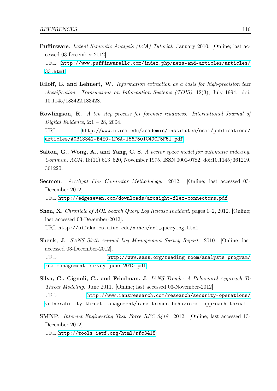Puffinware. Latent Semantic Analysis (LSA) Tutorial. January 2010. [Online; last accessed 03-December-2012].

URL [http://www.puffinwarellc.com/index.php/news-and-articles/articles/](http://www.puffinwarellc.com/index.php/news-and-articles/articles/33.html) [33.html](http://www.puffinwarellc.com/index.php/news-and-articles/articles/33.html)

- Riloff, E. and Lehnert, W. Information extraction as a basis for high-precision text classification. Transactions on Information Systems (TOIS), 12(3), July 1994. doi: 10.1145/183422.183428.
- Rowlingson, R. A ten step process for forensic readiness. International Journal of Digital Evidence,  $2:1 - 28$ , 2004. URL [http://www.utica.edu/academic/institutes/ecii/publications/](http://www.utica.edu/academic/institutes/ecii/publications/articles/A0B13342-B4E0-1F6A-156F501C49CF5F51.pdf) [articles/A0B13342-B4E0-1F6A-156F501C49CF5F51.pdf](http://www.utica.edu/academic/institutes/ecii/publications/articles/A0B13342-B4E0-1F6A-156F501C49CF5F51.pdf)
- Salton, G., Wong, A., and Yang, C. S. A vector space model for automatic indexing. Commun. ACM, 18(11):613–620, November 1975. ISSN 0001-0782. doi:10.1145/361219. 361220.
- Secmon. ArcSight Flex Connector Methodology. 2012. [Online; last accessed 03-December-2012].

URL <http://edgeseven.com/downloads/arcsight-flex-connectors.pdf>

- Shen, X. Chronicle of AOL Search Query Log Release Incident. pages 1–2, 2012. [Online; last accessed 03-December-2012]. URL [http://sifaka.cs.uiuc.edu/xshen/aol\\_querylog.html](http://sifaka.cs.uiuc.edu/xshen/aol_querylog.html)
- Shenk, J. SANS Sixth Annual Log Management Survey Report. 2010. [Online; last accessed 03-December-2012]. URL [http://www.sans.org/reading\\_room/analysts\\_program/](http://www.sans.org/reading_room/analysts_program/rsa-management-survey-june-2010.pdf) [rsa-management-survey-june-2010.pdf](http://www.sans.org/reading_room/analysts_program/rsa-management-survey-june-2010.pdf)
- Silva, C., Cignoli, C., and Friedman, J. IANS Trends: A Behavioral Approach To Threat Modeling. June 2011. [Online; last accessed 03-November-2012]. URL [http://www.iansresearch.com/research/security-operations/](http://www.iansresearch.com/research/security-operations/vulnerability-threat-management/ians-trends-behavioral-approach-threat-) [vulnerability-threat-management/ians-trends-behavioral-approach-threat-](http://www.iansresearch.com/research/security-operations/vulnerability-threat-management/ians-trends-behavioral-approach-threat-)
- SMNP. Internet Engineering Task Force RFC 3418. 2012. [Online; last accessed 13- December-2012].

URL <http://tools.ietf.org/html/rfc3418>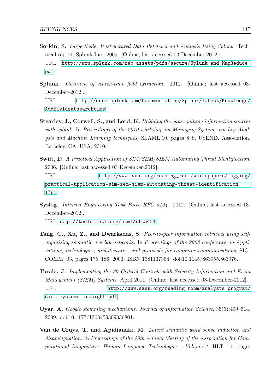- Sorkin, S. Large-Scale, Unstructured Data Retrieval and Analysis Using Splunk. Technical report, Splunk Inc., 2009. [Online; last accessed 03-December-2012]. URL [http://www.splunk.com/web\\_assets/pdfs/secure/Splunk\\_and\\_MapReduce.](http://www.splunk.com/web_assets/pdfs/secure/Splunk_and_MapReduce.pdf) [pdf](http://www.splunk.com/web_assets/pdfs/secure/Splunk_and_MapReduce.pdf)
- Splunk. Overview of search-time field extraction. 2012. [Online; last accessed 03- December-2012].

URL [http://docs.splunk.com/Documentation/Splunk/latest/Knowledge/](http://docs.splunk.com/Documentation/Splunk/latest/Knowledge/Addfieldsatsearchtime) [Addfieldsatsearchtime](http://docs.splunk.com/Documentation/Splunk/latest/Knowledge/Addfieldsatsearchtime)

- Stearley, J., Corwell, S., and Lord, K. Bridging the gaps: joining information sources with splunk. In Proceedings of the 2010 workshop on Managing Systems via Log Analysis and Machine Learning techniques, SLAML'10, pages 8–8. USENIX Association, Berkeley, CA, USA, 2010.
- Swift, D. A Practical Application of SIM/SEM/SIEM Automating Threat Identification. 2006. [Online; last accessed 03-December-2012]. URL [http://www.sans.org/reading\\_room/whitepapers/logging/](http://www.sans.org/reading_room/whitepapers/logging/practical-application-sim-sem-siem-automating-threat-identification_1781) [practical-application-sim-sem-siem-automating-threat-identification\\_](http://www.sans.org/reading_room/whitepapers/logging/practical-application-sim-sem-siem-automating-threat-identification_1781) [1781](http://www.sans.org/reading_room/whitepapers/logging/practical-application-sim-sem-siem-automating-threat-identification_1781)
- Syslog. Internet Engineering Task Force RFC 5424. 2012. [Online; last accessed 13- December-2012].

URL <http://tools.ietf.org/html/rfc5424>

- Tang, C., Xu, Z., and Dwarkadas, S. Peer-to-peer information retrieval using selforganizing semantic overlay networks. In Proceedings of the 2003 conference on Applications, technologies, architectures, and protocols for computer communications, SIG-COMM '03, pages 175–186. 2003. ISBN 1581137354. doi:10.1145/863955.863976.
- Tarala, J. Implementing the 20 Critical Controls with Security Information and Event Management (SIEM) Systems. April 2011. [Online; last accessed 03-December-2012]. URL [http://www.sans.org/reading\\_room/analysts\\_program/](http://www.sans.org/reading_room/analysts_program/siem-systems-arcsight.pdf) [siem-systems-arcsight.pdf](http://www.sans.org/reading_room/analysts_program/siem-systems-arcsight.pdf)
- Uyar, A. Google stemming mechanisms. Journal of Information Science, 35(5):499–514, 2009. doi:10.1177/1363459309336801.
- Van de Cruys, T. and Apidianaki, M. Latent semantic word sense induction and disambiguation. In Proceedings of the 49th Annual Meeting of the Association for Computational Linguistics: Human Language Technologies - Volume 1, HLT '11, pages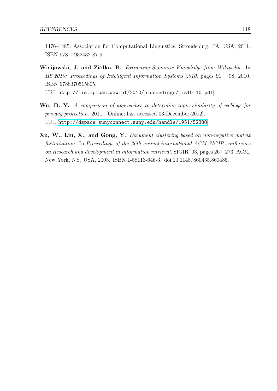1476–1485. Association for Computational Linguistics, Stroudsburg, PA, USA, 2011. ISBN 978-1-932432-87-9.

Wicijowski, J. and Ziółko, B. Extracting Semantic Knowledge from Wikipedia. In IIS'2010: Proceedings of Intelligent Information Systems 2010, pages  $91 - 98$ . 2010. ISBN 9788370515805.

URL <http://iis.ipipan.waw.pl/2010/proceedings/iis10-10.pdf>

- Wu, D. Y. A comparison of approaches to determine topic similarity of weblogs for privacy protection. 2011. [Online; last accessed 03-December-2012]. URL <http://dspace.sunyconnect.suny.edu/handle/1951/52388>
- Xu, W., Liu, X., and Gong, Y. Document clustering based on non-negative matrix factorization. In Proceedings of the 26th annual international ACM SIGIR conference on Research and development in information retrieval, SIGIR '03, pages 267–273. ACM, New York, NY, USA, 2003. ISBN 1-58113-646-3. doi:10.1145/860435.860485.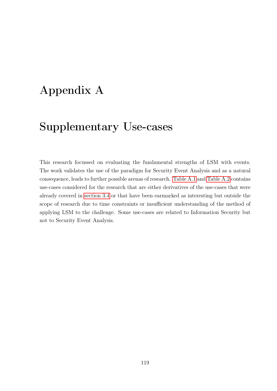# Appendix A

# Supplementary Use-cases

This research focussed on evaluating the fundamental strengths of LSM with events. The work validates the use of the paradigm for Security Event Analysis and as a natural consequence, leads to further possible arenas of research. [Table A.1](#page-129-0) and [Table A.2](#page-130-0) contains use-cases considered for the research that are either derivatives of the use-cases that were already covered in [section 3.4](#page-66-0) or that have been earmarked as interesting but outside the scope of research due to time constraints or insufficient understanding of the method of applying LSM to the challenge. Some use-cases are related to Information Security but not to Security Event Analysis.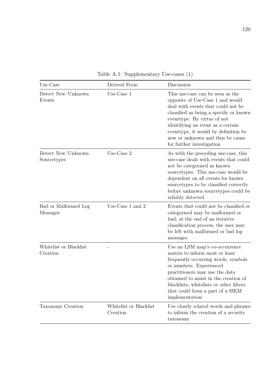| Use-Case                           | Derived From                       | Discussion                                                                                                                                                                                                                                                                                                                         |
|------------------------------------|------------------------------------|------------------------------------------------------------------------------------------------------------------------------------------------------------------------------------------------------------------------------------------------------------------------------------------------------------------------------------|
| Detect New/Unknown<br>Events       | Use-Case 1                         | This use-case can be seen as the<br>opposite of Use-Case 1 and would<br>deal with events that could not be<br>classified as being a specific or known<br>eventtype. By virtue of not<br>identifying an event as a certain<br>eventtype, it would by definition be<br>new or unknown and thus be cause<br>for further investigation |
| Detect New/Unknown<br>Sourcetypes  | Use-Case 2                         | As with the preceding use-case, this<br>use-case deals with events that could<br>not be categorised as known<br>sourcetypes. This use-case would be<br>dependent on all events for known<br>sourcetypes to be classified correctly<br>before unknown sourcetypes could be<br>reliably detected                                     |
| Bad or Malformed Log<br>Messages   | Use-Case 1 and 2                   | Events that could not be classified or<br>categorised may be malformed or<br>bad; at the end of an iterative<br>classification process, the user may<br>be left with malformed or bad log<br>messages                                                                                                                              |
| Whitelist or Blacklist<br>Creation |                                    | Use an LSM map's co-occurrence<br>matrix to inform most or least<br>frequently occurring words, symbols<br>or numbers. Experienced<br>practitioners may use the data<br>obtained to assist in the creation of<br>blacklists, whitelists or other filters<br>that could form a part of a SIEM<br>implementation                     |
| Taxonomy Creation                  | Whitelist or Blacklist<br>Creation | Use closely related words and phrases<br>to inform the creation of a security<br>taxonomy                                                                                                                                                                                                                                          |

<span id="page-129-0"></span>Table A.1: Supplementary Use-cases (1)